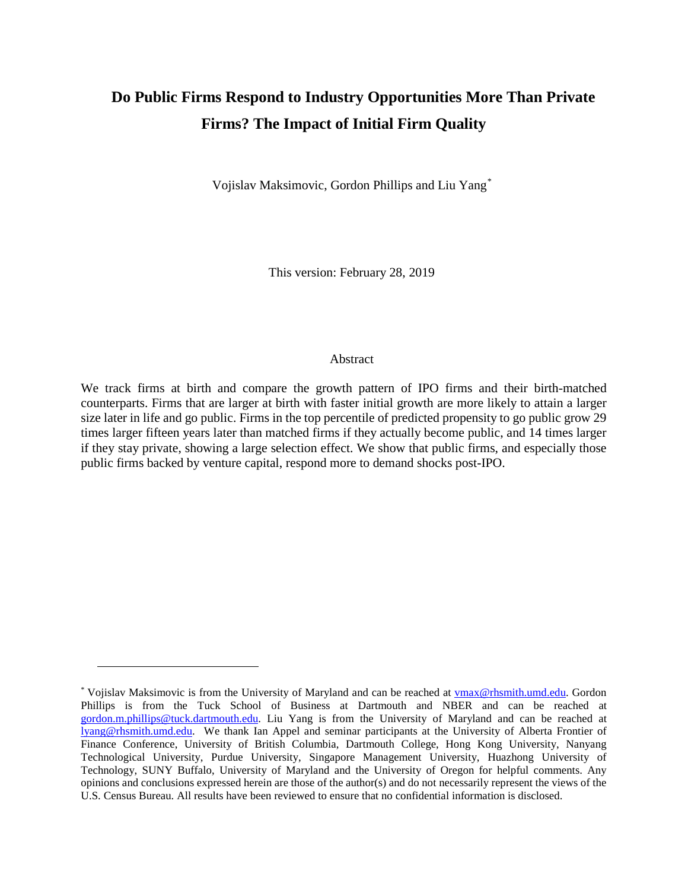# **Do Public Firms Respond to Industry Opportunities More Than Private Firms? The Impact of Initial Firm Quality**

Vojislav Maksimovic, Gordon Phillips and Liu Yang[\\*](#page-0-0)

This version: February 28, 2019

# Abstract

We track firms at birth and compare the growth pattern of IPO firms and their birth-matched counterparts. Firms that are larger at birth with faster initial growth are more likely to attain a larger size later in life and go public. Firms in the top percentile of predicted propensity to go public grow 29 times larger fifteen years later than matched firms if they actually become public, and 14 times larger if they stay private, showing a large selection effect. We show that public firms, and especially those public firms backed by venture capital, respond more to demand shocks post-IPO.

l

<span id="page-0-0"></span><sup>\*</sup> Vojislav Maksimovic is from the University of Maryland and can be reached at [vmax@rhsmith.umd.edu.](mailto:vmax@rhsmith.umd.edu) Gordon Phillips is from the Tuck School of Business at Dartmouth and NBER and can be reached at [gordon.m.phillips@tuck.dartmouth.edu.](mailto:gordon.m.phillips@tuck.dartmouth.edu) Liu Yang is from the University of Maryland and can be reached at [lyang@rhsmith.umd.edu.](mailto:lyang@rhsmith.umd.edu) We thank Ian Appel and seminar participants at the University of Alberta Frontier of Finance Conference, University of British Columbia, Dartmouth College, Hong Kong University, Nanyang Technological University, Purdue University, Singapore Management University, Huazhong University of Technology, SUNY Buffalo, University of Maryland and the University of Oregon for helpful comments. Any opinions and conclusions expressed herein are those of the author(s) and do not necessarily represent the views of the U.S. Census Bureau. All results have been reviewed to ensure that no confidential information is disclosed.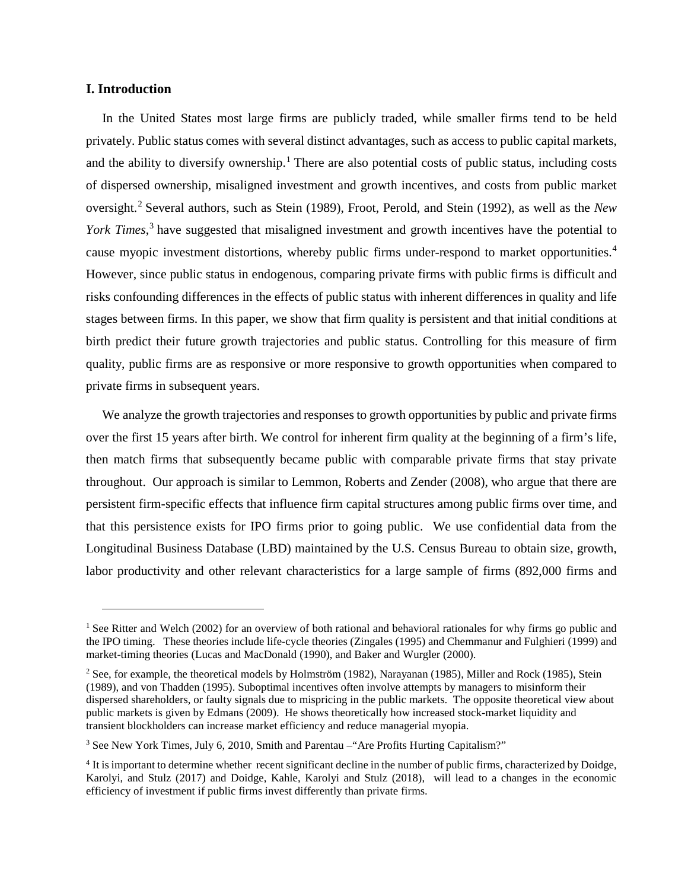# **I. Introduction**

-

In the United States most large firms are publicly traded, while smaller firms tend to be held privately. Public status comes with several distinct advantages, such as access to public capital markets, and the ability to diversify ownership.<sup>[1](#page-1-0)</sup> There are also potential costs of public status, including costs of dispersed ownership, misaligned investment and growth incentives, and costs from public market oversight. [2](#page-1-1) Several authors, such as Stein (1989), Froot, Perold, and Stein (1992), as well as the *New*  York Times,<sup>[3](#page-1-2)</sup> have suggested that misaligned investment and growth incentives have the potential to cause myopic investment distortions, whereby public firms under-respond to market opportunities. [4](#page-1-3) However, since public status in endogenous, comparing private firms with public firms is difficult and risks confounding differences in the effects of public status with inherent differences in quality and life stages between firms. In this paper, we show that firm quality is persistent and that initial conditions at birth predict their future growth trajectories and public status. Controlling for this measure of firm quality, public firms are as responsive or more responsive to growth opportunities when compared to private firms in subsequent years.

We analyze the growth trajectories and responses to growth opportunities by public and private firms over the first 15 years after birth. We control for inherent firm quality at the beginning of a firm's life, then match firms that subsequently became public with comparable private firms that stay private throughout. Our approach is similar to Lemmon, Roberts and Zender (2008), who argue that there are persistent firm-specific effects that influence firm capital structures among public firms over time, and that this persistence exists for IPO firms prior to going public. We use confidential data from the Longitudinal Business Database (LBD) maintained by the U.S. Census Bureau to obtain size, growth, labor productivity and other relevant characteristics for a large sample of firms (892,000 firms and

<span id="page-1-0"></span><sup>&</sup>lt;sup>1</sup> See Ritter and Welch (2002) for an overview of both rational and behavioral rationales for why firms go public and the IPO timing. These theories include life-cycle theories (Zingales (1995) and Chemmanur and Fulghieri (1999) and market-timing theories (Lucas and MacDonald (1990), and Baker and Wurgler (2000).

<span id="page-1-1"></span><sup>&</sup>lt;sup>2</sup> See, for example, the theoretical models by Holmström (1982), Narayanan (1985), Miller and Rock (1985), Stein (1989), and von Thadden (1995). Suboptimal incentives often involve attempts by managers to misinform their dispersed shareholders, or faulty signals due to mispricing in the public markets. The opposite theoretical view about public markets is given by Edmans (2009). He shows theoretically how increased stock-market liquidity and transient blockholders can increase market efficiency and reduce managerial myopia.

<span id="page-1-2"></span><sup>&</sup>lt;sup>3</sup> See New York Times, July 6, 2010, Smith and Parentau – "Are Profits Hurting Capitalism?"

<span id="page-1-3"></span><sup>4</sup> It is important to determine whether recent significant decline in the number of public firms, characterized by Doidge, Karolyi, and Stulz (2017) and Doidge, Kahle, Karolyi and Stulz (2018), will lead to a changes in the economic efficiency of investment if public firms invest differently than private firms.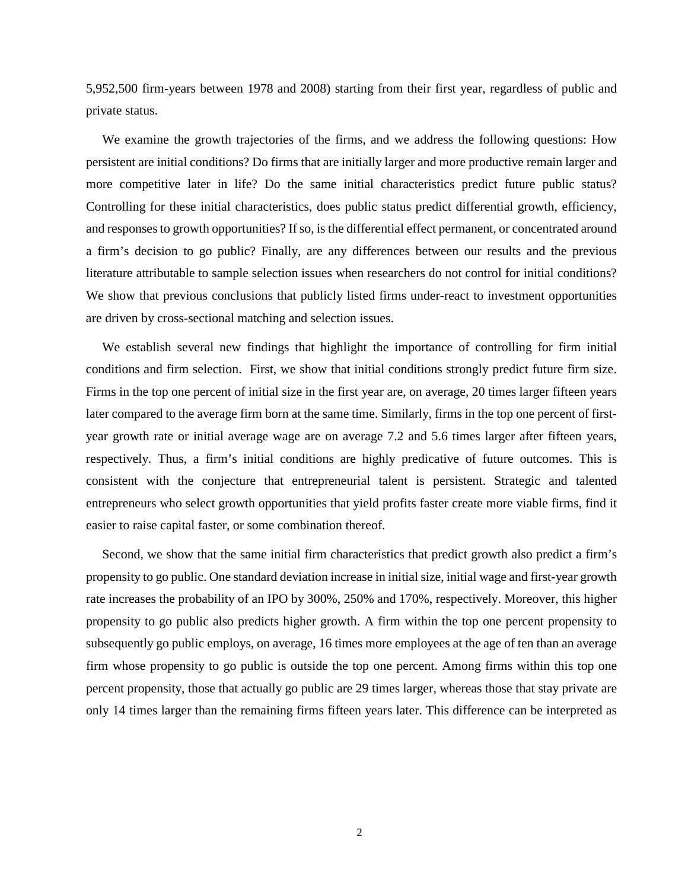5,952,500 firm-years between 1978 and 2008) starting from their first year, regardless of public and private status.

We examine the growth trajectories of the firms, and we address the following questions: How persistent are initial conditions? Do firms that are initially larger and more productive remain larger and more competitive later in life? Do the same initial characteristics predict future public status? Controlling for these initial characteristics, does public status predict differential growth, efficiency, and responses to growth opportunities? If so, is the differential effect permanent, or concentrated around a firm's decision to go public? Finally, are any differences between our results and the previous literature attributable to sample selection issues when researchers do not control for initial conditions? We show that previous conclusions that publicly listed firms under-react to investment opportunities are driven by cross-sectional matching and selection issues.

We establish several new findings that highlight the importance of controlling for firm initial conditions and firm selection. First, we show that initial conditions strongly predict future firm size. Firms in the top one percent of initial size in the first year are, on average, 20 times larger fifteen years later compared to the average firm born at the same time. Similarly, firms in the top one percent of firstyear growth rate or initial average wage are on average 7.2 and 5.6 times larger after fifteen years, respectively. Thus, a firm's initial conditions are highly predicative of future outcomes. This is consistent with the conjecture that entrepreneurial talent is persistent. Strategic and talented entrepreneurs who select growth opportunities that yield profits faster create more viable firms, find it easier to raise capital faster, or some combination thereof.

Second, we show that the same initial firm characteristics that predict growth also predict a firm's propensity to go public. One standard deviation increase in initial size, initial wage and first-year growth rate increases the probability of an IPO by 300%, 250% and 170%, respectively. Moreover, this higher propensity to go public also predicts higher growth. A firm within the top one percent propensity to subsequently go public employs, on average, 16 times more employees at the age of ten than an average firm whose propensity to go public is outside the top one percent. Among firms within this top one percent propensity, those that actually go public are 29 times larger, whereas those that stay private are only 14 times larger than the remaining firms fifteen years later. This difference can be interpreted as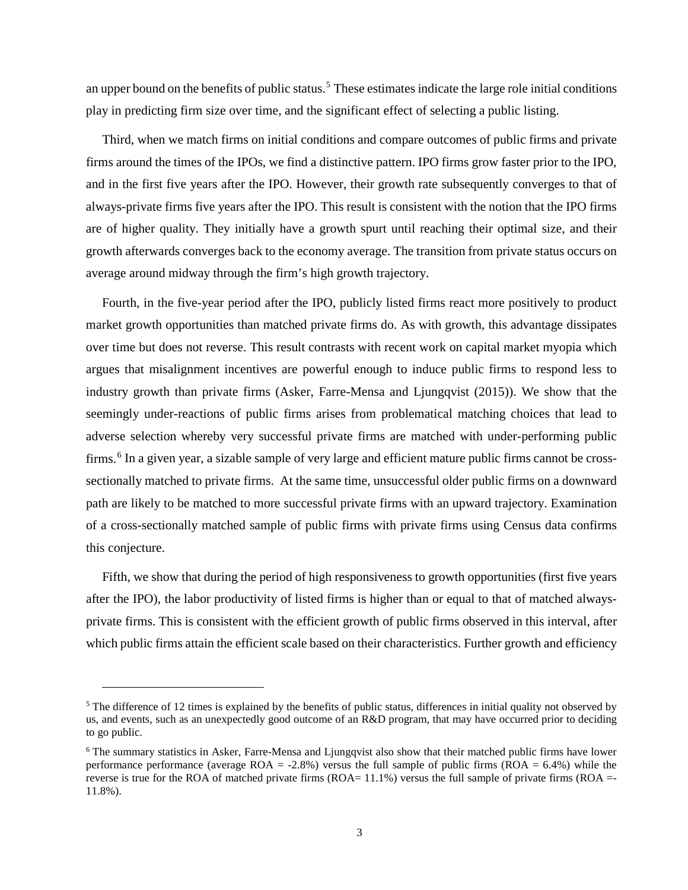an upper bound on the benefits of public status.<sup>[5](#page-3-0)</sup> These estimates indicate the large role initial conditions play in predicting firm size over time, and the significant effect of selecting a public listing.

Third, when we match firms on initial conditions and compare outcomes of public firms and private firms around the times of the IPOs, we find a distinctive pattern. IPO firms grow faster prior to the IPO, and in the first five years after the IPO. However, their growth rate subsequently converges to that of always-private firms five years after the IPO. This result is consistent with the notion that the IPO firms are of higher quality. They initially have a growth spurt until reaching their optimal size, and their growth afterwards converges back to the economy average. The transition from private status occurs on average around midway through the firm's high growth trajectory.

Fourth, in the five-year period after the IPO, publicly listed firms react more positively to product market growth opportunities than matched private firms do. As with growth, this advantage dissipates over time but does not reverse. This result contrasts with recent work on capital market myopia which argues that misalignment incentives are powerful enough to induce public firms to respond less to industry growth than private firms (Asker, Farre-Mensa and Ljungqvist (2015)). We show that the seemingly under-reactions of public firms arises from problematical matching choices that lead to adverse selection whereby very successful private firms are matched with under-performing public firms.[6](#page-3-1) In a given year, a sizable sample of very large and efficient mature public firms cannot be crosssectionally matched to private firms. At the same time, unsuccessful older public firms on a downward path are likely to be matched to more successful private firms with an upward trajectory. Examination of a cross-sectionally matched sample of public firms with private firms using Census data confirms this conjecture.

Fifth, we show that during the period of high responsiveness to growth opportunities (first five years after the IPO), the labor productivity of listed firms is higher than or equal to that of matched alwaysprivate firms. This is consistent with the efficient growth of public firms observed in this interval, after which public firms attain the efficient scale based on their characteristics. Further growth and efficiency

<span id="page-3-0"></span><sup>&</sup>lt;sup>5</sup> The difference of 12 times is explained by the benefits of public status, differences in initial quality not observed by us, and events, such as an unexpectedly good outcome of an R&D program, that may have occurred prior to deciding to go public.

<span id="page-3-1"></span><sup>&</sup>lt;sup>6</sup> The summary statistics in Asker, Farre-Mensa and Ljungqvist also show that their matched public firms have lower performance performance (average  $ROA = -2.8\%$ ) versus the full sample of public firms  $(ROA = 6.4\%)$  while the reverse is true for the ROA of matched private firms (ROA= 11.1%) versus the full sample of private firms (ROA =-11.8%).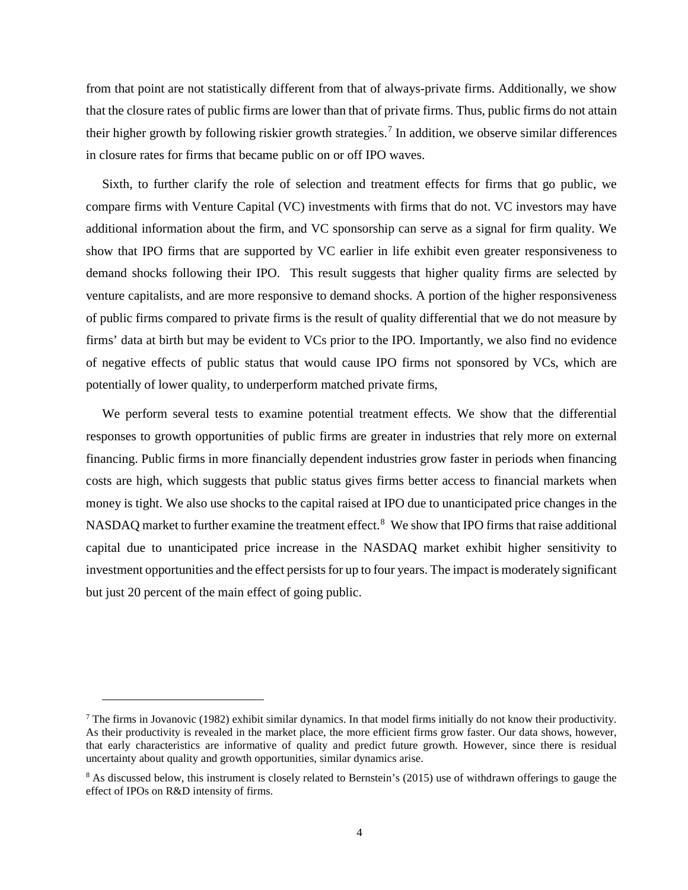from that point are not statistically different from that of always-private firms. Additionally, we show that the closure rates of public firms are lower than that of private firms. Thus, public firms do not attain their higher growth by following riskier growth strategies.<sup>[7](#page-4-0)</sup> In addition, we observe similar differences in closure rates for firms that became public on or off IPO waves.

Sixth, to further clarify the role of selection and treatment effects for firms that go public, we compare firms with Venture Capital (VC) investments with firms that do not. VC investors may have additional information about the firm, and VC sponsorship can serve as a signal for firm quality. We show that IPO firms that are supported by VC earlier in life exhibit even greater responsiveness to demand shocks following their IPO. This result suggests that higher quality firms are selected by venture capitalists, and are more responsive to demand shocks. A portion of the higher responsiveness of public firms compared to private firms is the result of quality differential that we do not measure by firms' data at birth but may be evident to VCs prior to the IPO. Importantly, we also find no evidence of negative effects of public status that would cause IPO firms not sponsored by VCs, which are potentially of lower quality, to underperform matched private firms,

We perform several tests to examine potential treatment effects. We show that the differential responses to growth opportunities of public firms are greater in industries that rely more on external financing. Public firms in more financially dependent industries grow faster in periods when financing costs are high, which suggests that public status gives firms better access to financial markets when money is tight. We also use shocks to the capital raised at IPO due to unanticipated price changes in the NASDAQ market to further examine the treatment effect.<sup>[8](#page-4-1)</sup> We show that IPO firms that raise additional capital due to unanticipated price increase in the NASDAQ market exhibit higher sensitivity to investment opportunities and the effect persists for up to four years. The impact is moderately significant but just 20 percent of the main effect of going public.

<span id="page-4-0"></span><sup>&</sup>lt;sup>7</sup> The firms in Jovanovic (1982) exhibit similar dynamics. In that model firms initially do not know their productivity. As their productivity is revealed in the market place, the more efficient firms grow faster. Our data shows, however, that early characteristics are informative of quality and predict future growth. However, since there is residual uncertainty about quality and growth opportunities, similar dynamics arise.

<span id="page-4-1"></span><sup>&</sup>lt;sup>8</sup> As discussed below, this instrument is closely related to Bernstein's (2015) use of withdrawn offerings to gauge the effect of IPOs on R&D intensity of firms.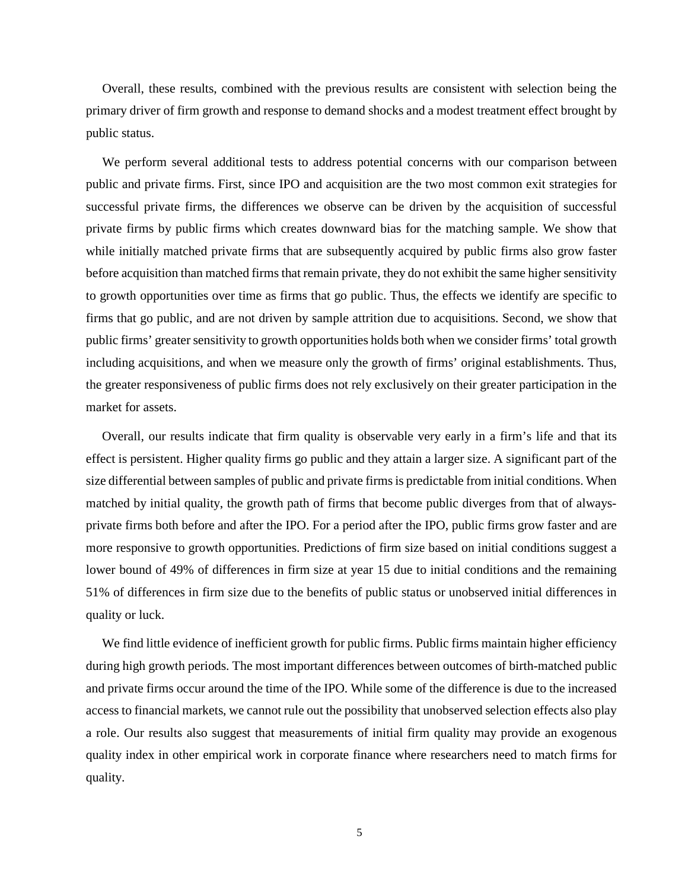Overall, these results, combined with the previous results are consistent with selection being the primary driver of firm growth and response to demand shocks and a modest treatment effect brought by public status.

We perform several additional tests to address potential concerns with our comparison between public and private firms. First, since IPO and acquisition are the two most common exit strategies for successful private firms, the differences we observe can be driven by the acquisition of successful private firms by public firms which creates downward bias for the matching sample. We show that while initially matched private firms that are subsequently acquired by public firms also grow faster before acquisition than matched firms that remain private, they do not exhibit the same higher sensitivity to growth opportunities over time as firms that go public. Thus, the effects we identify are specific to firms that go public, and are not driven by sample attrition due to acquisitions. Second, we show that public firms' greater sensitivity to growth opportunities holds both when we consider firms' total growth including acquisitions, and when we measure only the growth of firms' original establishments. Thus, the greater responsiveness of public firms does not rely exclusively on their greater participation in the market for assets.

Overall, our results indicate that firm quality is observable very early in a firm's life and that its effect is persistent. Higher quality firms go public and they attain a larger size. A significant part of the size differential between samples of public and private firms is predictable from initial conditions. When matched by initial quality, the growth path of firms that become public diverges from that of alwaysprivate firms both before and after the IPO. For a period after the IPO, public firms grow faster and are more responsive to growth opportunities. Predictions of firm size based on initial conditions suggest a lower bound of 49% of differences in firm size at year 15 due to initial conditions and the remaining 51% of differences in firm size due to the benefits of public status or unobserved initial differences in quality or luck.

We find little evidence of inefficient growth for public firms. Public firms maintain higher efficiency during high growth periods. The most important differences between outcomes of birth-matched public and private firms occur around the time of the IPO. While some of the difference is due to the increased access to financial markets, we cannot rule out the possibility that unobserved selection effects also play a role. Our results also suggest that measurements of initial firm quality may provide an exogenous quality index in other empirical work in corporate finance where researchers need to match firms for quality.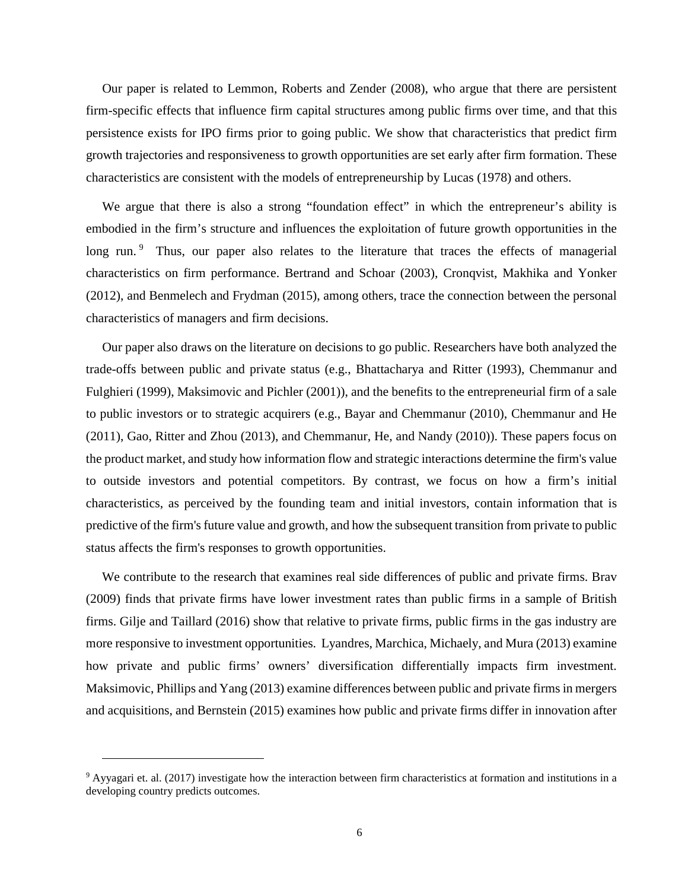Our paper is related to Lemmon, Roberts and Zender (2008), who argue that there are persistent firm-specific effects that influence firm capital structures among public firms over time, and that this persistence exists for IPO firms prior to going public. We show that characteristics that predict firm growth trajectories and responsiveness to growth opportunities are set early after firm formation. These characteristics are consistent with the models of entrepreneurship by Lucas (1978) and others.

We argue that there is also a strong "foundation effect" in which the entrepreneur's ability is embodied in the firm's structure and influences the exploitation of future growth opportunities in the long run.<sup>[9](#page-6-0)</sup> Thus, our paper also relates to the literature that traces the effects of managerial characteristics on firm performance. Bertrand and Schoar (2003), Cronqvist, Makhika and Yonker (2012), and Benmelech and Frydman (2015), among others, trace the connection between the personal characteristics of managers and firm decisions.

Our paper also draws on the literature on decisions to go public. Researchers have both analyzed the trade-offs between public and private status (e.g., Bhattacharya and Ritter (1993), Chemmanur and Fulghieri (1999), Maksimovic and Pichler (2001)), and the benefits to the entrepreneurial firm of a sale to public investors or to strategic acquirers (e.g., Bayar and Chemmanur (2010), Chemmanur and He (2011), Gao, Ritter and Zhou (2013), and Chemmanur, He, and Nandy (2010)). These papers focus on the product market, and study how information flow and strategic interactions determine the firm's value to outside investors and potential competitors. By contrast, we focus on how a firm's initial characteristics, as perceived by the founding team and initial investors, contain information that is predictive of the firm's future value and growth, and how the subsequent transition from private to public status affects the firm's responses to growth opportunities.

We contribute to the research that examines real side differences of public and private firms. Brav (2009) finds that private firms have lower investment rates than public firms in a sample of British firms. Gilje and Taillard (2016) show that relative to private firms, public firms in the gas industry are more responsive to investment opportunities. Lyandres, Marchica, Michaely, and Mura (2013) examine how private and public firms' owners' diversification differentially impacts firm investment. Maksimovic, Phillips and Yang (2013) examine differences between public and private firms in mergers and acquisitions, and Bernstein (2015) examines how public and private firms differ in innovation after

<span id="page-6-0"></span><sup>&</sup>lt;sup>9</sup> Ayyagari et. al. (2017) investigate how the interaction between firm characteristics at formation and institutions in a developing country predicts outcomes.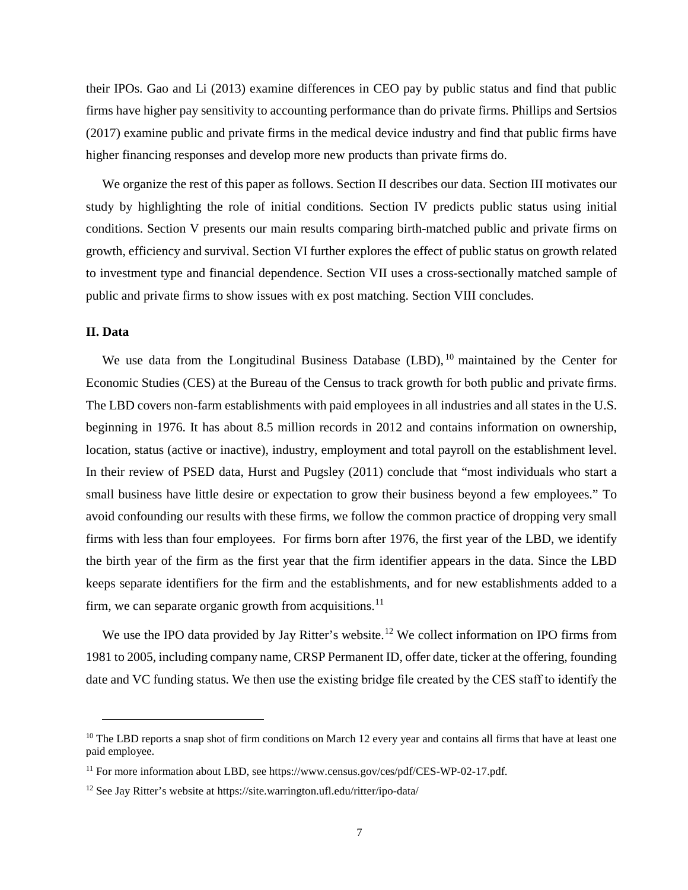their IPOs. Gao and Li (2013) examine differences in CEO pay by public status and find that public firms have higher pay sensitivity to accounting performance than do private firms. Phillips and Sertsios (2017) examine public and private firms in the medical device industry and find that public firms have higher financing responses and develop more new products than private firms do.

We organize the rest of this paper as follows. Section II describes our data. Section III motivates our study by highlighting the role of initial conditions. Section IV predicts public status using initial conditions. Section V presents our main results comparing birth-matched public and private firms on growth, efficiency and survival. Section VI further explores the effect of public status on growth related to investment type and financial dependence. Section VII uses a cross-sectionally matched sample of public and private firms to show issues with ex post matching. Section VIII concludes.

#### **II. Data**

-

We use data from the Longitudinal Business Database  $(LBD)$ , <sup>[10](#page-7-0)</sup> maintained by the Center for Economic Studies (CES) at the Bureau of the Census to track growth for both public and private firms. The LBD covers non-farm establishments with paid employees in all industries and all states in the U.S. beginning in 1976. It has about 8.5 million records in 2012 and contains information on ownership, location, status (active or inactive), industry, employment and total payroll on the establishment level. In their review of PSED data, Hurst and Pugsley (2011) conclude that "most individuals who start a small business have little desire or expectation to grow their business beyond a few employees." To avoid confounding our results with these firms, we follow the common practice of dropping very small firms with less than four employees. For firms born after 1976, the first year of the LBD, we identify the birth year of the firm as the first year that the firm identifier appears in the data. Since the LBD keeps separate identifiers for the firm and the establishments, and for new establishments added to a firm, we can separate organic growth from acquisitions.<sup>[11](#page-7-1)</sup>

We use the IPO data provided by Jay Ritter's website.<sup>[12](#page-7-2)</sup> We collect information on IPO firms from 1981 to 2005, including company name, CRSP Permanent ID, offer date, ticker at the offering, founding date and VC funding status. We then use the existing bridge file created by the CES staff to identify the

<span id="page-7-0"></span> $10$  The LBD reports a snap shot of firm conditions on March 12 every year and contains all firms that have at least one paid employee.

<span id="page-7-1"></span><sup>&</sup>lt;sup>11</sup> For more information about LBD, see https://www.census.gov/ces/pdf/CES-WP-02-17.pdf.

<span id="page-7-2"></span><sup>12</sup> See Jay Ritter's website at https://site.warrington.ufl.edu/ritter/ipo-data/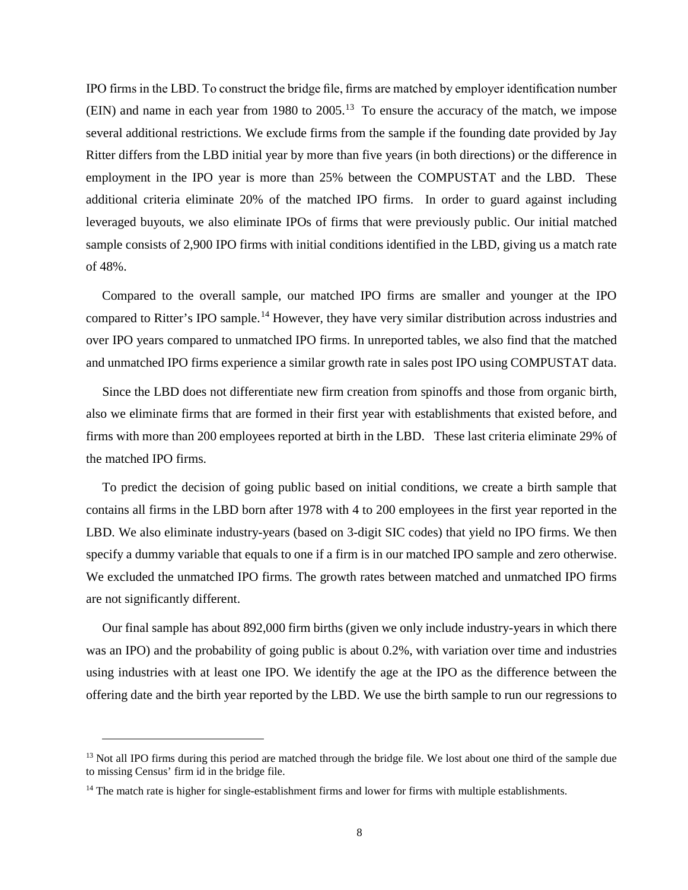IPO firms in the LBD. To construct the bridge file, firms are matched by employer identification number  $(EIN)$  and name in each year from 1980 to 2005.<sup>[13](#page-8-0)</sup> To ensure the accuracy of the match, we impose several additional restrictions. We exclude firms from the sample if the founding date provided by Jay Ritter differs from the LBD initial year by more than five years (in both directions) or the difference in employment in the IPO year is more than 25% between the COMPUSTAT and the LBD. These additional criteria eliminate 20% of the matched IPO firms. In order to guard against including leveraged buyouts, we also eliminate IPOs of firms that were previously public. Our initial matched sample consists of 2,900 IPO firms with initial conditions identified in the LBD, giving us a match rate of 48%.

Compared to the overall sample, our matched IPO firms are smaller and younger at the IPO compared to Ritter's IPO sample.[14](#page-8-1) However, they have very similar distribution across industries and over IPO years compared to unmatched IPO firms. In unreported tables, we also find that the matched and unmatched IPO firms experience a similar growth rate in sales post IPO using COMPUSTAT data.

Since the LBD does not differentiate new firm creation from spinoffs and those from organic birth, also we eliminate firms that are formed in their first year with establishments that existed before, and firms with more than 200 employees reported at birth in the LBD. These last criteria eliminate 29% of the matched IPO firms.

To predict the decision of going public based on initial conditions, we create a birth sample that contains all firms in the LBD born after 1978 with 4 to 200 employees in the first year reported in the LBD. We also eliminate industry-years (based on 3-digit SIC codes) that yield no IPO firms. We then specify a dummy variable that equals to one if a firm is in our matched IPO sample and zero otherwise. We excluded the unmatched IPO firms. The growth rates between matched and unmatched IPO firms are not significantly different.

Our final sample has about 892,000 firm births (given we only include industry-years in which there was an IPO) and the probability of going public is about 0.2%, with variation over time and industries using industries with at least one IPO. We identify the age at the IPO as the difference between the offering date and the birth year reported by the LBD. We use the birth sample to run our regressions to

<span id="page-8-0"></span><sup>&</sup>lt;sup>13</sup> Not all IPO firms during this period are matched through the bridge file. We lost about one third of the sample due to missing Census' firm id in the bridge file.

<span id="page-8-1"></span><sup>&</sup>lt;sup>14</sup> The match rate is higher for single-establishment firms and lower for firms with multiple establishments.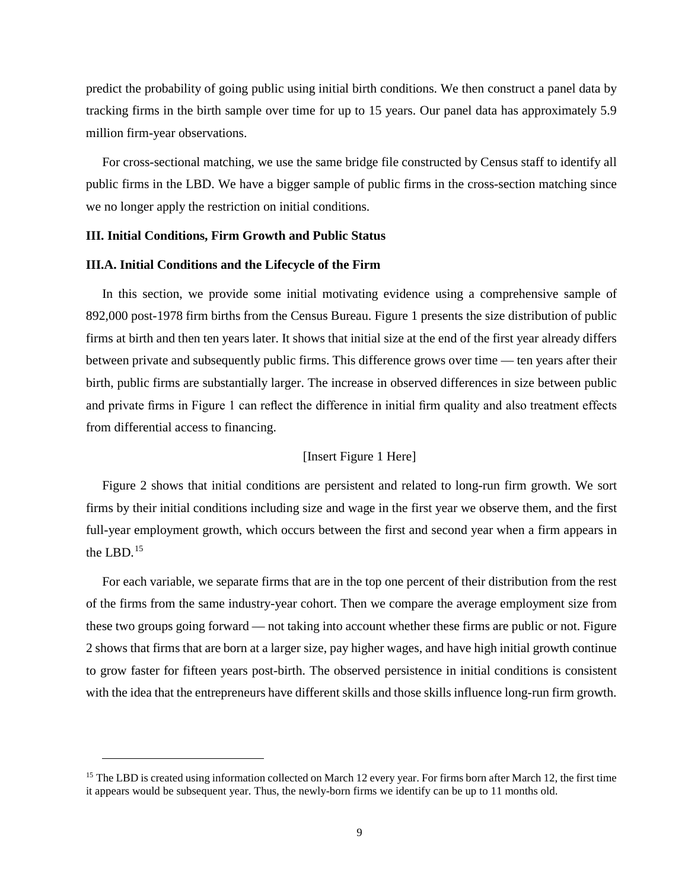predict the probability of going public using initial birth conditions. We then construct a panel data by tracking firms in the birth sample over time for up to 15 years. Our panel data has approximately 5.9 million firm-year observations.

For cross-sectional matching, we use the same bridge file constructed by Census staff to identify all public firms in the LBD. We have a bigger sample of public firms in the cross-section matching since we no longer apply the restriction on initial conditions.

#### **III. Initial Conditions, Firm Growth and Public Status**

#### **III.A. Initial Conditions and the Lifecycle of the Firm**

-

In this section, we provide some initial motivating evidence using a comprehensive sample of 892,000 post-1978 firm births from the Census Bureau. Figure 1 presents the size distribution of public firms at birth and then ten years later. It shows that initial size at the end of the first year already differs between private and subsequently public firms. This difference grows over time — ten years after their birth, public firms are substantially larger. The increase in observed differences in size between public and private firms in Figure 1 can reflect the difference in initial firm quality and also treatment effects from differential access to financing.

## [Insert Figure 1 Here]

Figure 2 shows that initial conditions are persistent and related to long-run firm growth. We sort firms by their initial conditions including size and wage in the first year we observe them, and the first full-year employment growth, which occurs between the first and second year when a firm appears in the LBD. $15$ 

For each variable, we separate firms that are in the top one percent of their distribution from the rest of the firms from the same industry-year cohort. Then we compare the average employment size from these two groups going forward — not taking into account whether these firms are public or not. Figure 2 shows that firms that are born at a larger size, pay higher wages, and have high initial growth continue to grow faster for fifteen years post-birth. The observed persistence in initial conditions is consistent with the idea that the entrepreneurs have different skills and those skills influence long-run firm growth.

<span id="page-9-0"></span><sup>&</sup>lt;sup>15</sup> The LBD is created using information collected on March 12 every year. For firms born after March 12, the first time it appears would be subsequent year. Thus, the newly-born firms we identify can be up to 11 months old.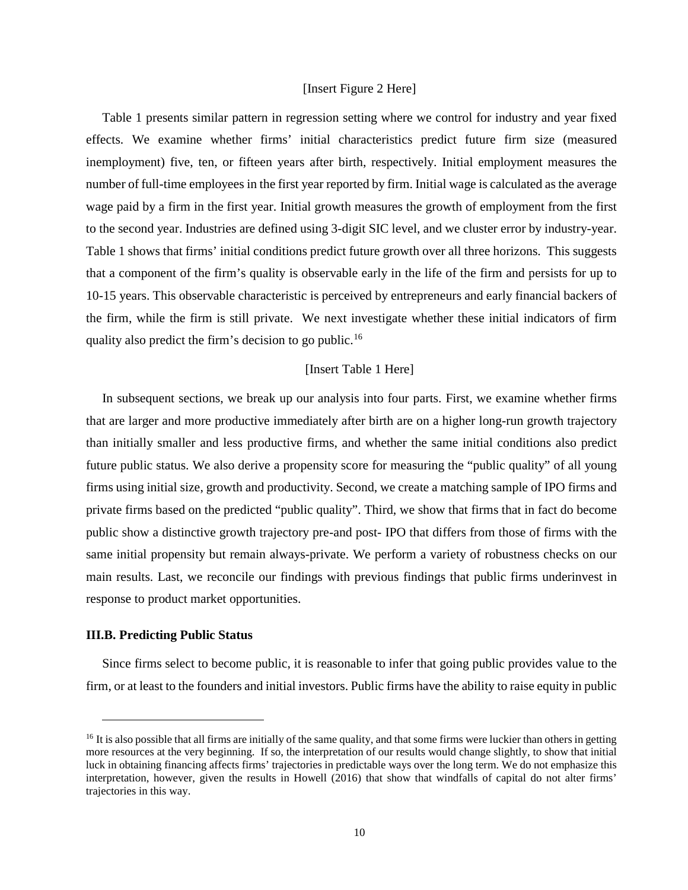#### [Insert Figure 2 Here]

Table 1 presents similar pattern in regression setting where we control for industry and year fixed effects. We examine whether firms' initial characteristics predict future firm size (measured inemployment) five, ten, or fifteen years after birth, respectively. Initial employment measures the number of full-time employees in the first year reported by firm. Initial wage is calculated as the average wage paid by a firm in the first year. Initial growth measures the growth of employment from the first to the second year. Industries are defined using 3-digit SIC level, and we cluster error by industry-year. Table 1 shows that firms' initial conditions predict future growth over all three horizons. This suggests that a component of the firm's quality is observable early in the life of the firm and persists for up to 10-15 years. This observable characteristic is perceived by entrepreneurs and early financial backers of the firm, while the firm is still private. We next investigate whether these initial indicators of firm quality also predict the firm's decision to go public.<sup>[16](#page-10-0)</sup>

#### [Insert Table 1 Here]

In subsequent sections, we break up our analysis into four parts. First, we examine whether firms that are larger and more productive immediately after birth are on a higher long-run growth trajectory than initially smaller and less productive firms, and whether the same initial conditions also predict future public status. We also derive a propensity score for measuring the "public quality" of all young firms using initial size, growth and productivity. Second, we create a matching sample of IPO firms and private firms based on the predicted "public quality". Third, we show that firms that in fact do become public show a distinctive growth trajectory pre-and post- IPO that differs from those of firms with the same initial propensity but remain always-private. We perform a variety of robustness checks on our main results. Last, we reconcile our findings with previous findings that public firms underinvest in response to product market opportunities.

#### **III.B. Predicting Public Status**

-

Since firms select to become public, it is reasonable to infer that going public provides value to the firm, or at least to the founders and initial investors. Public firms have the ability to raise equity in public

<span id="page-10-0"></span><sup>&</sup>lt;sup>16</sup> It is also possible that all firms are initially of the same quality, and that some firms were luckier than others in getting more resources at the very beginning. If so, the interpretation of our results would change slightly, to show that initial luck in obtaining financing affects firms' trajectories in predictable ways over the long term. We do not emphasize this interpretation, however, given the results in Howell (2016) that show that windfalls of capital do not alter firms' trajectories in this way.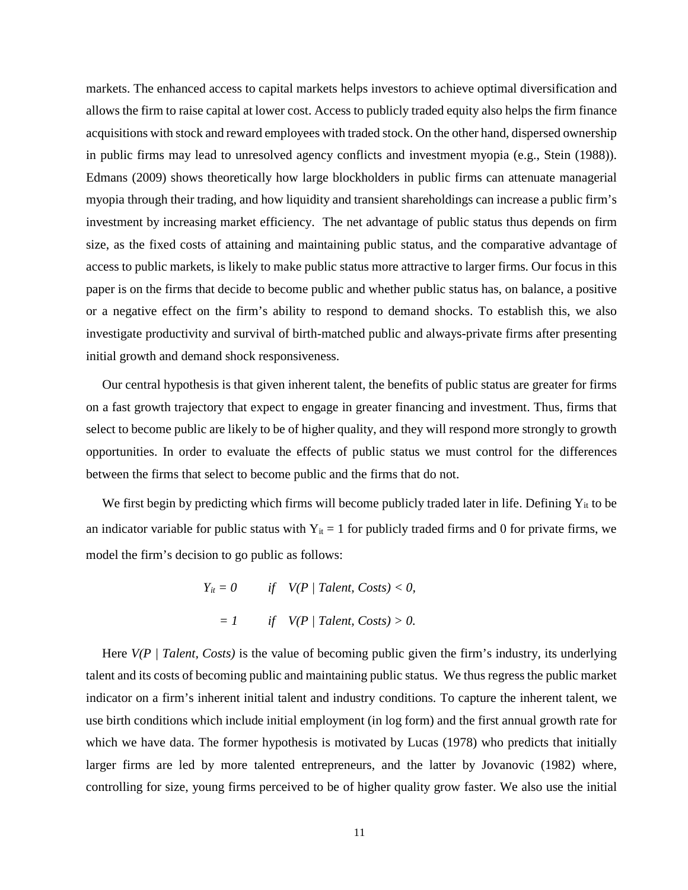markets. The enhanced access to capital markets helps investors to achieve optimal diversification and allows the firm to raise capital at lower cost. Access to publicly traded equity also helps the firm finance acquisitions with stock and reward employees with traded stock. On the other hand, dispersed ownership in public firms may lead to unresolved agency conflicts and investment myopia (e.g., Stein (1988)). Edmans (2009) shows theoretically how large blockholders in public firms can attenuate managerial myopia through their trading, and how liquidity and transient shareholdings can increase a public firm's investment by increasing market efficiency. The net advantage of public status thus depends on firm size, as the fixed costs of attaining and maintaining public status, and the comparative advantage of access to public markets, is likely to make public status more attractive to larger firms. Our focus in this paper is on the firms that decide to become public and whether public status has, on balance, a positive or a negative effect on the firm's ability to respond to demand shocks. To establish this, we also investigate productivity and survival of birth-matched public and always-private firms after presenting initial growth and demand shock responsiveness.

Our central hypothesis is that given inherent talent, the benefits of public status are greater for firms on a fast growth trajectory that expect to engage in greater financing and investment. Thus, firms that select to become public are likely to be of higher quality, and they will respond more strongly to growth opportunities. In order to evaluate the effects of public status we must control for the differences between the firms that select to become public and the firms that do not.

We first begin by predicting which firms will become publicly traded later in life. Defining  $Y_{it}$  to be an indicator variable for public status with  $Y_{it} = 1$  for publicly traded firms and 0 for private firms, we model the firm's decision to go public as follows:

$$
Y_{it} = 0
$$
 if  $V(P | Talent, Costs) < 0$ ,  
= 1 if  $V(P | Talent, Costs) > 0$ .

Here *V(P | Talent, Costs)* is the value of becoming public given the firm's industry, its underlying talent and its costs of becoming public and maintaining public status. We thus regress the public market indicator on a firm's inherent initial talent and industry conditions. To capture the inherent talent, we use birth conditions which include initial employment (in log form) and the first annual growth rate for which we have data. The former hypothesis is motivated by Lucas (1978) who predicts that initially larger firms are led by more talented entrepreneurs, and the latter by Jovanovic (1982) where, controlling for size, young firms perceived to be of higher quality grow faster. We also use the initial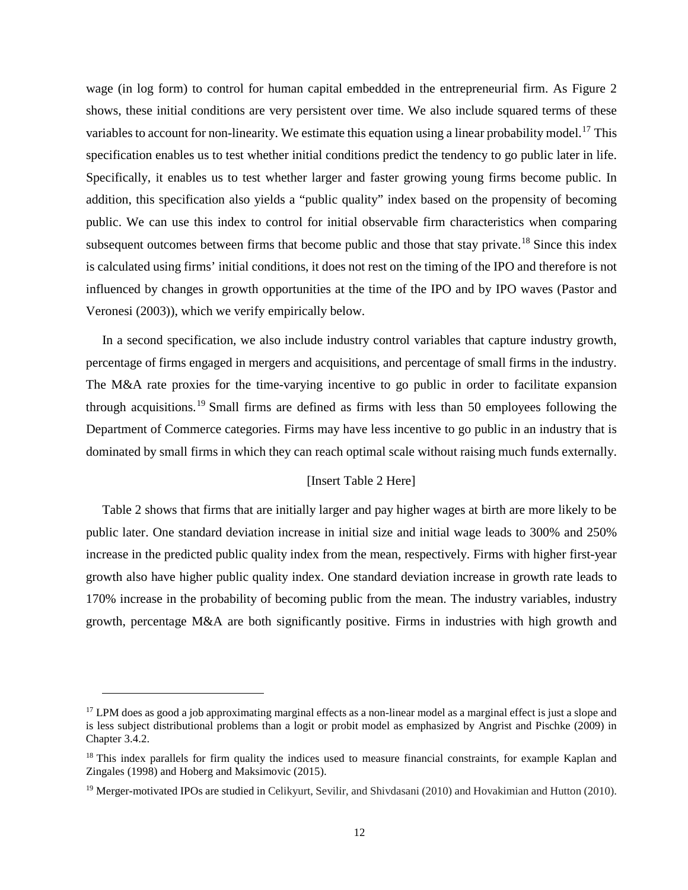wage (in log form) to control for human capital embedded in the entrepreneurial firm. As Figure 2 shows, these initial conditions are very persistent over time. We also include squared terms of these variables to account for non-linearity. We estimate this equation using a linear probability model.<sup>[17](#page-12-0)</sup> This specification enables us to test whether initial conditions predict the tendency to go public later in life. Specifically, it enables us to test whether larger and faster growing young firms become public. In addition, this specification also yields a "public quality" index based on the propensity of becoming public. We can use this index to control for initial observable firm characteristics when comparing subsequent outcomes between firms that become public and those that stay private.<sup>[18](#page-12-1)</sup> Since this index is calculated using firms' initial conditions, it does not rest on the timing of the IPO and therefore is not influenced by changes in growth opportunities at the time of the IPO and by IPO waves (Pastor and Veronesi (2003)), which we verify empirically below.

In a second specification, we also include industry control variables that capture industry growth, percentage of firms engaged in mergers and acquisitions, and percentage of small firms in the industry. The M&A rate proxies for the time-varying incentive to go public in order to facilitate expansion through acquisitions.[19](#page-12-2) Small firms are defined as firms with less than 50 employees following the Department of Commerce categories. Firms may have less incentive to go public in an industry that is dominated by small firms in which they can reach optimal scale without raising much funds externally.

# [Insert Table 2 Here]

Table 2 shows that firms that are initially larger and pay higher wages at birth are more likely to be public later. One standard deviation increase in initial size and initial wage leads to 300% and 250% increase in the predicted public quality index from the mean, respectively. Firms with higher first-year growth also have higher public quality index. One standard deviation increase in growth rate leads to 170% increase in the probability of becoming public from the mean. The industry variables, industry growth, percentage M&A are both significantly positive. Firms in industries with high growth and

<span id="page-12-0"></span><sup>&</sup>lt;sup>17</sup> LPM does as good a job approximating marginal effects as a non-linear model as a marginal effect is just a slope and is less subject distributional problems than a logit or probit model as emphasized by Angrist and Pischke (2009) in Chapter 3.4.2.

<span id="page-12-1"></span><sup>&</sup>lt;sup>18</sup> This index parallels for firm quality the indices used to measure financial constraints, for example Kaplan and Zingales (1998) and Hoberg and Maksimovic (2015).

<span id="page-12-2"></span><sup>&</sup>lt;sup>19</sup> Merger-motivated IPOs are studied in Celikyurt, Sevilir, and Shivdasani (2010) and Hovakimian and Hutton (2010).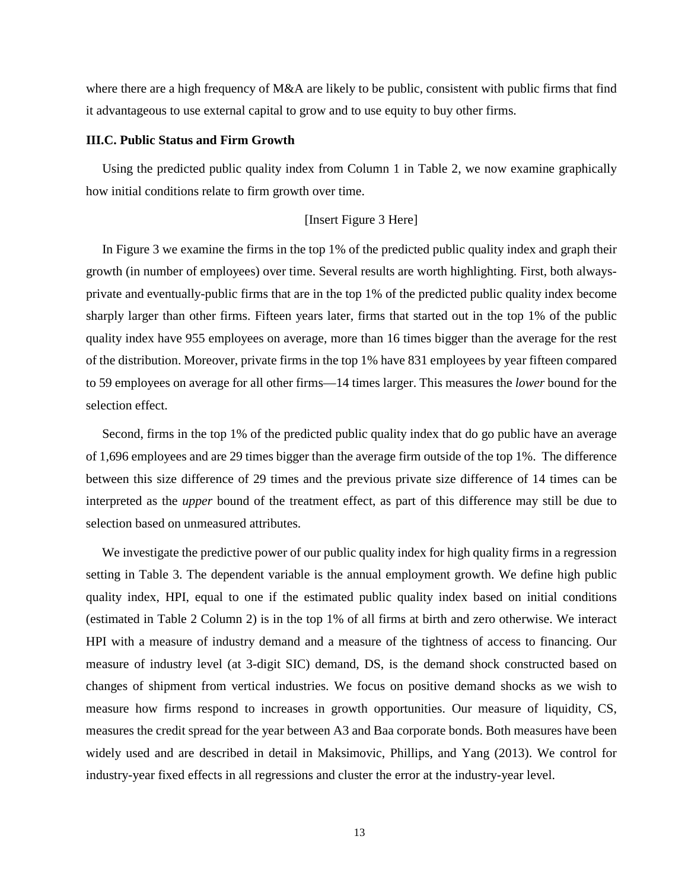where there are a high frequency of M&A are likely to be public, consistent with public firms that find it advantageous to use external capital to grow and to use equity to buy other firms.

#### **III.C. Public Status and Firm Growth**

Using the predicted public quality index from Column 1 in Table 2, we now examine graphically how initial conditions relate to firm growth over time.

#### [Insert Figure 3 Here]

In Figure 3 we examine the firms in the top 1% of the predicted public quality index and graph their growth (in number of employees) over time. Several results are worth highlighting. First, both alwaysprivate and eventually-public firms that are in the top 1% of the predicted public quality index become sharply larger than other firms. Fifteen years later, firms that started out in the top 1% of the public quality index have 955 employees on average, more than 16 times bigger than the average for the rest of the distribution. Moreover, private firms in the top 1% have 831 employees by year fifteen compared to 59 employees on average for all other firms—14 times larger. This measures the *lower* bound for the selection effect.

Second, firms in the top 1% of the predicted public quality index that do go public have an average of 1,696 employees and are 29 times bigger than the average firm outside of the top 1%. The difference between this size difference of 29 times and the previous private size difference of 14 times can be interpreted as the *upper* bound of the treatment effect, as part of this difference may still be due to selection based on unmeasured attributes.

We investigate the predictive power of our public quality index for high quality firms in a regression setting in Table 3. The dependent variable is the annual employment growth. We define high public quality index, HPI, equal to one if the estimated public quality index based on initial conditions (estimated in Table 2 Column 2) is in the top 1% of all firms at birth and zero otherwise. We interact HPI with a measure of industry demand and a measure of the tightness of access to financing. Our measure of industry level (at 3-digit SIC) demand, DS, is the demand shock constructed based on changes of shipment from vertical industries. We focus on positive demand shocks as we wish to measure how firms respond to increases in growth opportunities. Our measure of liquidity, CS, measures the credit spread for the year between A3 and Baa corporate bonds. Both measures have been widely used and are described in detail in Maksimovic, Phillips, and Yang (2013). We control for industry-year fixed effects in all regressions and cluster the error at the industry-year level.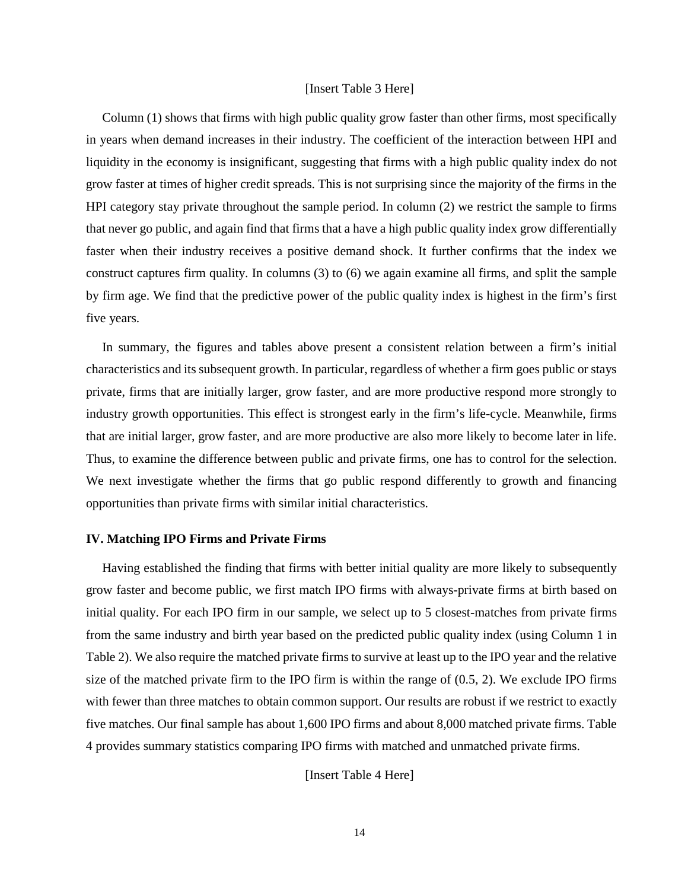#### [Insert Table 3 Here]

Column (1) shows that firms with high public quality grow faster than other firms, most specifically in years when demand increases in their industry. The coefficient of the interaction between HPI and liquidity in the economy is insignificant, suggesting that firms with a high public quality index do not grow faster at times of higher credit spreads. This is not surprising since the majority of the firms in the HPI category stay private throughout the sample period. In column (2) we restrict the sample to firms that never go public, and again find that firms that a have a high public quality index grow differentially faster when their industry receives a positive demand shock. It further confirms that the index we construct captures firm quality. In columns (3) to (6) we again examine all firms, and split the sample by firm age. We find that the predictive power of the public quality index is highest in the firm's first five years.

In summary, the figures and tables above present a consistent relation between a firm's initial characteristics and its subsequent growth. In particular, regardless of whether a firm goes public or stays private, firms that are initially larger, grow faster, and are more productive respond more strongly to industry growth opportunities. This effect is strongest early in the firm's life-cycle. Meanwhile, firms that are initial larger, grow faster, and are more productive are also more likely to become later in life. Thus, to examine the difference between public and private firms, one has to control for the selection. We next investigate whether the firms that go public respond differently to growth and financing opportunities than private firms with similar initial characteristics.

#### **IV. Matching IPO Firms and Private Firms**

Having established the finding that firms with better initial quality are more likely to subsequently grow faster and become public, we first match IPO firms with always-private firms at birth based on initial quality. For each IPO firm in our sample, we select up to 5 closest-matches from private firms from the same industry and birth year based on the predicted public quality index (using Column 1 in Table 2). We also require the matched private firms to survive at least up to the IPO year and the relative size of the matched private firm to the IPO firm is within the range of (0.5, 2). We exclude IPO firms with fewer than three matches to obtain common support. Our results are robust if we restrict to exactly five matches. Our final sample has about 1,600 IPO firms and about 8,000 matched private firms. Table 4 provides summary statistics comparing IPO firms with matched and unmatched private firms.

[Insert Table 4 Here]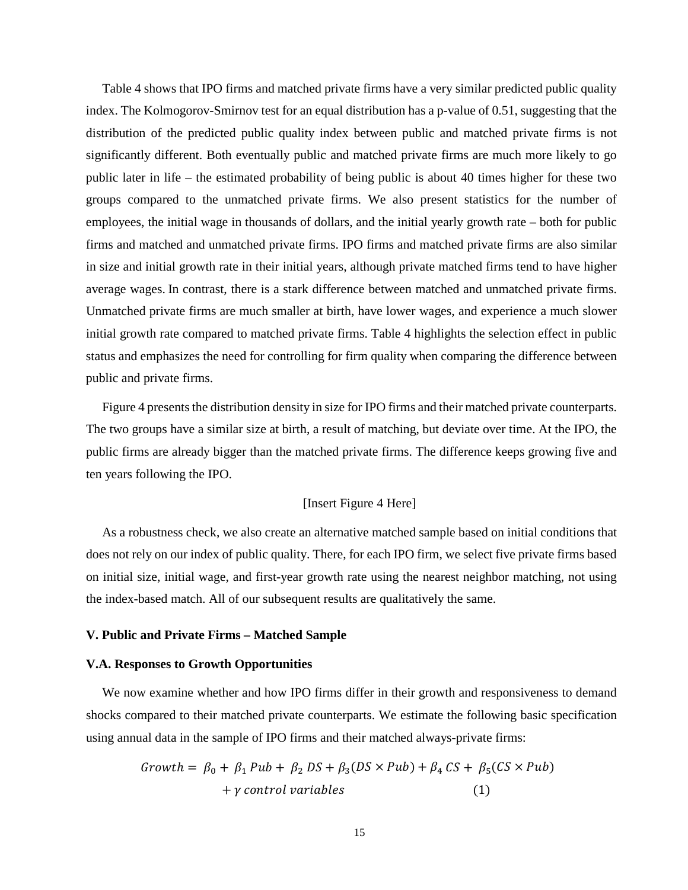Table 4 shows that IPO firms and matched private firms have a very similar predicted public quality index. The Kolmogorov-Smirnov test for an equal distribution has a p-value of 0.51, suggesting that the distribution of the predicted public quality index between public and matched private firms is not significantly different. Both eventually public and matched private firms are much more likely to go public later in life – the estimated probability of being public is about 40 times higher for these two groups compared to the unmatched private firms. We also present statistics for the number of employees, the initial wage in thousands of dollars, and the initial yearly growth rate – both for public firms and matched and unmatched private firms. IPO firms and matched private firms are also similar in size and initial growth rate in their initial years, although private matched firms tend to have higher average wages. In contrast, there is a stark difference between matched and unmatched private firms. Unmatched private firms are much smaller at birth, have lower wages, and experience a much slower initial growth rate compared to matched private firms. Table 4 highlights the selection effect in public status and emphasizes the need for controlling for firm quality when comparing the difference between public and private firms.

Figure 4 presents the distribution density in size for IPO firms and their matched private counterparts. The two groups have a similar size at birth, a result of matching, but deviate over time. At the IPO, the public firms are already bigger than the matched private firms. The difference keeps growing five and ten years following the IPO.

#### [Insert Figure 4 Here]

As a robustness check, we also create an alternative matched sample based on initial conditions that does not rely on our index of public quality. There, for each IPO firm, we select five private firms based on initial size, initial wage, and first-year growth rate using the nearest neighbor matching, not using the index-based match. All of our subsequent results are qualitatively the same.

## **V. Public and Private Firms – Matched Sample**

#### **V.A. Responses to Growth Opportunities**

We now examine whether and how IPO firms differ in their growth and responsiveness to demand shocks compared to their matched private counterparts. We estimate the following basic specification using annual data in the sample of IPO firms and their matched always-private firms:

$$
Growth = \beta_0 + \beta_1 Pub + \beta_2 DS + \beta_3 (DS \times Pub) + \beta_4 CS + \beta_5 (CS \times Pub) + \gamma \text{ control variables} \tag{1}
$$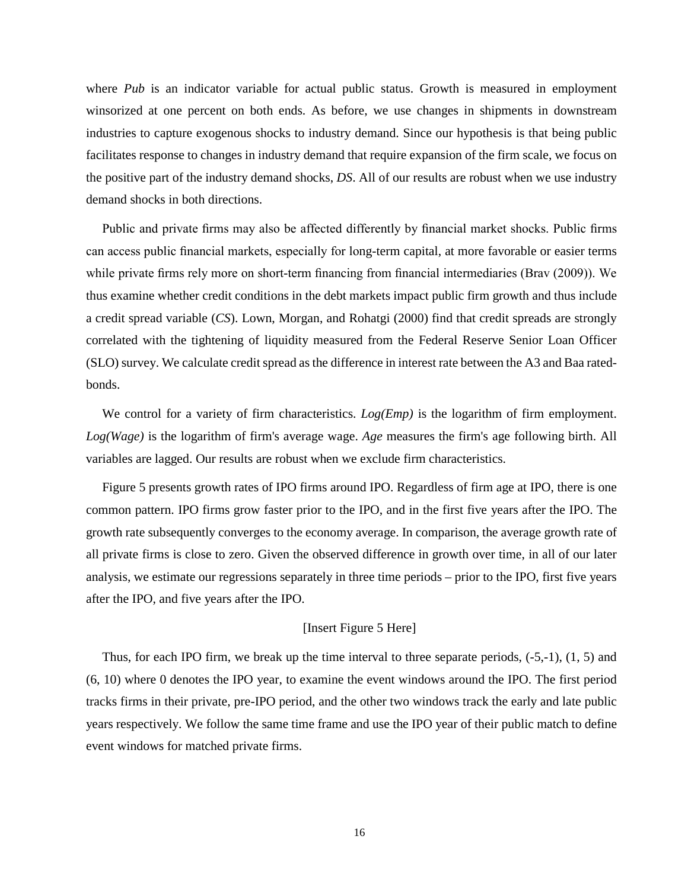where *Pub* is an indicator variable for actual public status. Growth is measured in employment winsorized at one percent on both ends. As before, we use changes in shipments in downstream industries to capture exogenous shocks to industry demand. Since our hypothesis is that being public facilitates response to changes in industry demand that require expansion of the firm scale, we focus on the positive part of the industry demand shocks, *DS*. All of our results are robust when we use industry demand shocks in both directions.

Public and private firms may also be affected differently by financial market shocks. Public firms can access public financial markets, especially for long-term capital, at more favorable or easier terms while private firms rely more on short-term financing from financial intermediaries (Brav (2009)). We thus examine whether credit conditions in the debt markets impact public firm growth and thus include a credit spread variable (*CS*). Lown, Morgan, and Rohatgi (2000) find that credit spreads are strongly correlated with the tightening of liquidity measured from the Federal Reserve Senior Loan Officer (SLO) survey. We calculate credit spread as the difference in interest rate between the A3 and Baa ratedbonds.

We control for a variety of firm characteristics. *Log(Emp)* is the logarithm of firm employment. *Log(Wage)* is the logarithm of firm's average wage. *Age* measures the firm's age following birth. All variables are lagged. Our results are robust when we exclude firm characteristics.

Figure 5 presents growth rates of IPO firms around IPO. Regardless of firm age at IPO, there is one common pattern. IPO firms grow faster prior to the IPO, and in the first five years after the IPO. The growth rate subsequently converges to the economy average. In comparison, the average growth rate of all private firms is close to zero. Given the observed difference in growth over time, in all of our later analysis, we estimate our regressions separately in three time periods – prior to the IPO, first five years after the IPO, and five years after the IPO.

#### [Insert Figure 5 Here]

Thus, for each IPO firm, we break up the time interval to three separate periods,  $(-5,-1)$ ,  $(1, 5)$  and (6, 10) where 0 denotes the IPO year, to examine the event windows around the IPO. The first period tracks firms in their private, pre-IPO period, and the other two windows track the early and late public years respectively. We follow the same time frame and use the IPO year of their public match to define event windows for matched private firms.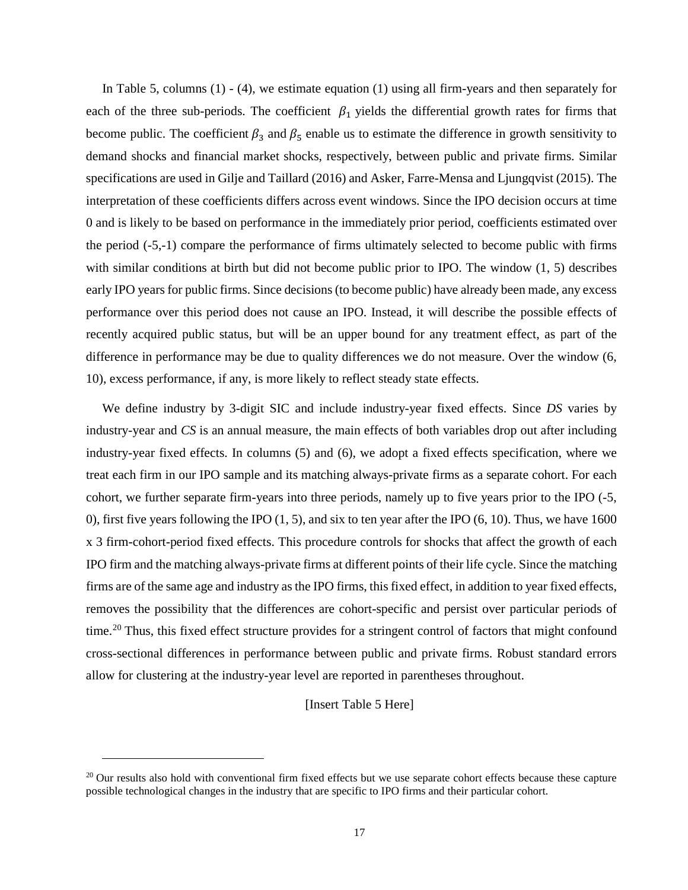In Table 5, columns  $(1)$  -  $(4)$ , we estimate equation  $(1)$  using all firm-years and then separately for each of the three sub-periods. The coefficient  $\beta_1$  yields the differential growth rates for firms that become public. The coefficient  $\beta_3$  and  $\beta_5$  enable us to estimate the difference in growth sensitivity to demand shocks and financial market shocks, respectively, between public and private firms. Similar specifications are used in Gilje and Taillard (2016) and Asker, Farre-Mensa and Ljungqvist (2015). The interpretation of these coefficients differs across event windows. Since the IPO decision occurs at time 0 and is likely to be based on performance in the immediately prior period, coefficients estimated over the period (-5,-1) compare the performance of firms ultimately selected to become public with firms with similar conditions at birth but did not become public prior to IPO. The window  $(1, 5)$  describes early IPO years for public firms. Since decisions (to become public) have already been made, any excess performance over this period does not cause an IPO. Instead, it will describe the possible effects of recently acquired public status, but will be an upper bound for any treatment effect, as part of the difference in performance may be due to quality differences we do not measure. Over the window (6, 10), excess performance, if any, is more likely to reflect steady state effects.

We define industry by 3-digit SIC and include industry-year fixed effects. Since *DS* varies by industry-year and *CS* is an annual measure, the main effects of both variables drop out after including industry-year fixed effects. In columns (5) and (6), we adopt a fixed effects specification, where we treat each firm in our IPO sample and its matching always-private firms as a separate cohort. For each cohort, we further separate firm-years into three periods, namely up to five years prior to the IPO (-5, 0), first five years following the IPO  $(1, 5)$ , and six to ten year after the IPO  $(6, 10)$ . Thus, we have 1600 x 3 firm-cohort-period fixed effects. This procedure controls for shocks that affect the growth of each IPO firm and the matching always-private firms at different points of their life cycle. Since the matching firms are of the same age and industry as the IPO firms, this fixed effect, in addition to year fixed effects, removes the possibility that the differences are cohort-specific and persist over particular periods of time.<sup>[20](#page-17-0)</sup> Thus, this fixed effect structure provides for a stringent control of factors that might confound cross-sectional differences in performance between public and private firms. Robust standard errors allow for clustering at the industry-year level are reported in parentheses throughout.

[Insert Table 5 Here]

<span id="page-17-0"></span><sup>&</sup>lt;sup>20</sup> Our results also hold with conventional firm fixed effects but we use separate cohort effects because these capture possible technological changes in the industry that are specific to IPO firms and their particular cohort.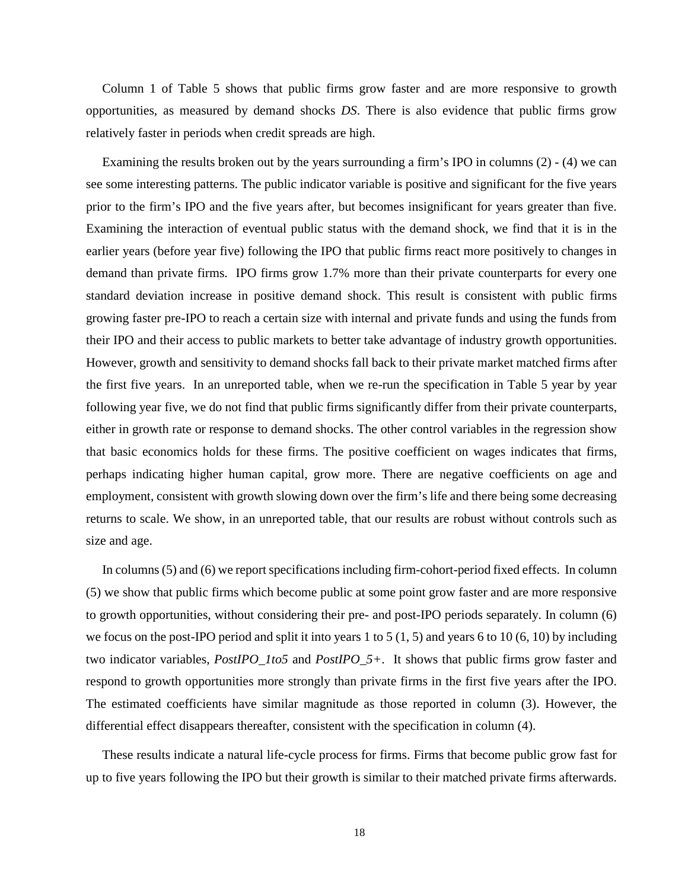Column 1 of Table 5 shows that public firms grow faster and are more responsive to growth opportunities, as measured by demand shocks *DS*. There is also evidence that public firms grow relatively faster in periods when credit spreads are high.

Examining the results broken out by the years surrounding a firm's IPO in columns (2) - (4) we can see some interesting patterns. The public indicator variable is positive and significant for the five years prior to the firm's IPO and the five years after, but becomes insignificant for years greater than five. Examining the interaction of eventual public status with the demand shock, we find that it is in the earlier years (before year five) following the IPO that public firms react more positively to changes in demand than private firms. IPO firms grow 1.7% more than their private counterparts for every one standard deviation increase in positive demand shock. This result is consistent with public firms growing faster pre-IPO to reach a certain size with internal and private funds and using the funds from their IPO and their access to public markets to better take advantage of industry growth opportunities. However, growth and sensitivity to demand shocks fall back to their private market matched firms after the first five years. In an unreported table, when we re-run the specification in Table 5 year by year following year five, we do not find that public firms significantly differ from their private counterparts, either in growth rate or response to demand shocks. The other control variables in the regression show that basic economics holds for these firms. The positive coefficient on wages indicates that firms, perhaps indicating higher human capital, grow more. There are negative coefficients on age and employment, consistent with growth slowing down over the firm's life and there being some decreasing returns to scale. We show, in an unreported table, that our results are robust without controls such as size and age.

In columns (5) and (6) we report specifications including firm-cohort-period fixed effects. In column (5) we show that public firms which become public at some point grow faster and are more responsive to growth opportunities, without considering their pre- and post-IPO periods separately. In column (6) we focus on the post-IPO period and split it into years 1 to 5  $(1, 5)$  and years 6 to 10  $(6, 10)$  by including two indicator variables, *PostIPO\_1to5* and *PostIPO\_5+*. It shows that public firms grow faster and respond to growth opportunities more strongly than private firms in the first five years after the IPO. The estimated coefficients have similar magnitude as those reported in column (3). However, the differential effect disappears thereafter, consistent with the specification in column (4).

These results indicate a natural life-cycle process for firms. Firms that become public grow fast for up to five years following the IPO but their growth is similar to their matched private firms afterwards.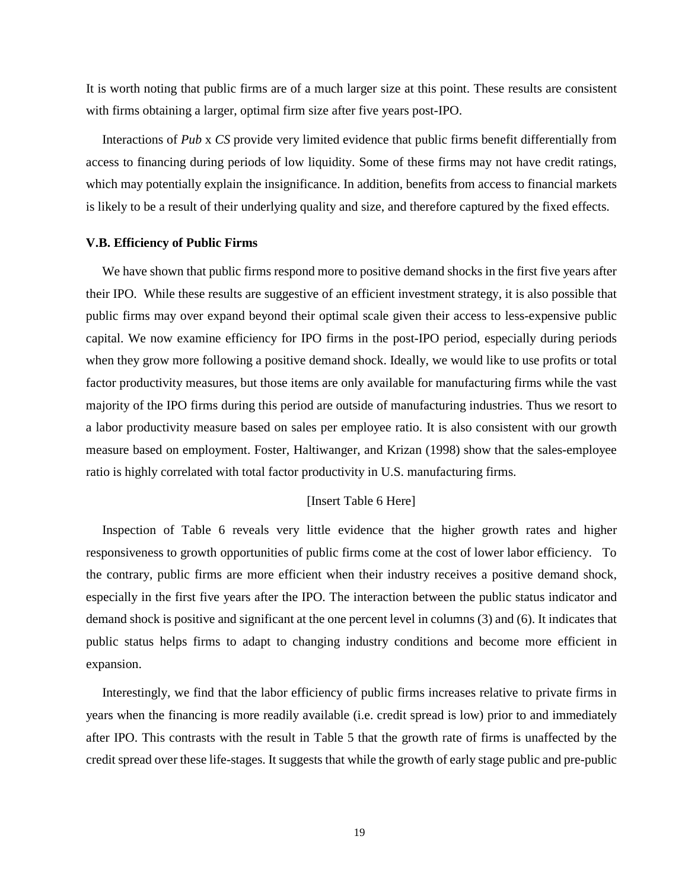It is worth noting that public firms are of a much larger size at this point. These results are consistent with firms obtaining a larger, optimal firm size after five years post-IPO.

Interactions of *Pub* x *CS* provide very limited evidence that public firms benefit differentially from access to financing during periods of low liquidity. Some of these firms may not have credit ratings, which may potentially explain the insignificance. In addition, benefits from access to financial markets is likely to be a result of their underlying quality and size, and therefore captured by the fixed effects.

#### **V.B. Efficiency of Public Firms**

We have shown that public firms respond more to positive demand shocks in the first five years after their IPO. While these results are suggestive of an efficient investment strategy, it is also possible that public firms may over expand beyond their optimal scale given their access to less-expensive public capital. We now examine efficiency for IPO firms in the post-IPO period, especially during periods when they grow more following a positive demand shock. Ideally, we would like to use profits or total factor productivity measures, but those items are only available for manufacturing firms while the vast majority of the IPO firms during this period are outside of manufacturing industries. Thus we resort to a labor productivity measure based on sales per employee ratio. It is also consistent with our growth measure based on employment. Foster, Haltiwanger, and Krizan (1998) show that the sales-employee ratio is highly correlated with total factor productivity in U.S. manufacturing firms.

#### [Insert Table 6 Here]

Inspection of Table 6 reveals very little evidence that the higher growth rates and higher responsiveness to growth opportunities of public firms come at the cost of lower labor efficiency. To the contrary, public firms are more efficient when their industry receives a positive demand shock, especially in the first five years after the IPO. The interaction between the public status indicator and demand shock is positive and significant at the one percent level in columns (3) and (6). It indicates that public status helps firms to adapt to changing industry conditions and become more efficient in expansion.

Interestingly, we find that the labor efficiency of public firms increases relative to private firms in years when the financing is more readily available (i.e. credit spread is low) prior to and immediately after IPO. This contrasts with the result in Table 5 that the growth rate of firms is unaffected by the credit spread over these life-stages. It suggests that while the growth of early stage public and pre-public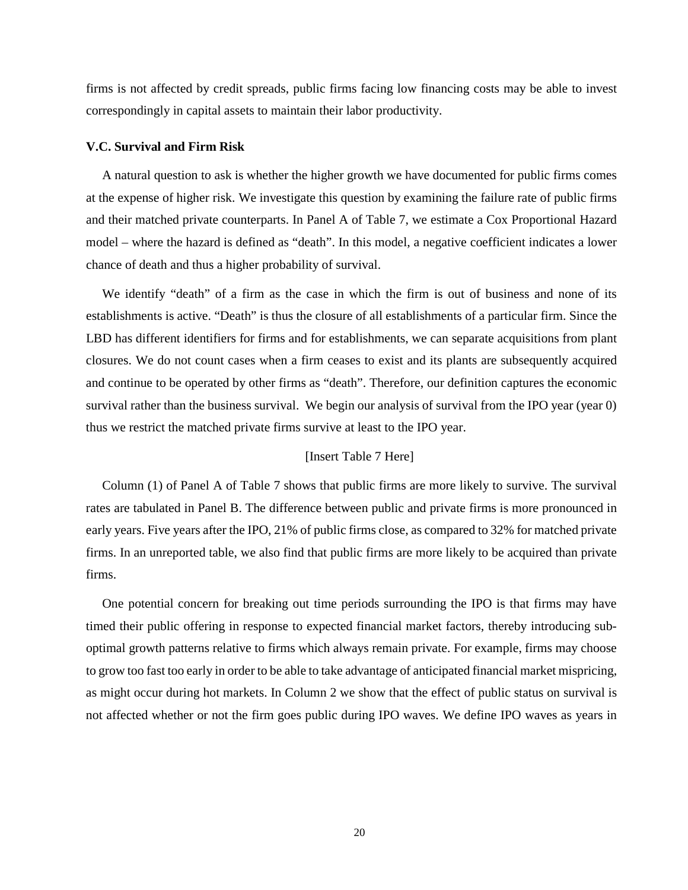firms is not affected by credit spreads, public firms facing low financing costs may be able to invest correspondingly in capital assets to maintain their labor productivity.

#### **V.C. Survival and Firm Risk**

A natural question to ask is whether the higher growth we have documented for public firms comes at the expense of higher risk. We investigate this question by examining the failure rate of public firms and their matched private counterparts. In Panel A of Table 7, we estimate a Cox Proportional Hazard model – where the hazard is defined as "death". In this model, a negative coefficient indicates a lower chance of death and thus a higher probability of survival.

We identify "death" of a firm as the case in which the firm is out of business and none of its establishments is active. "Death" is thus the closure of all establishments of a particular firm. Since the LBD has different identifiers for firms and for establishments, we can separate acquisitions from plant closures. We do not count cases when a firm ceases to exist and its plants are subsequently acquired and continue to be operated by other firms as "death". Therefore, our definition captures the economic survival rather than the business survival. We begin our analysis of survival from the IPO year (year 0) thus we restrict the matched private firms survive at least to the IPO year.

## [Insert Table 7 Here]

Column (1) of Panel A of Table 7 shows that public firms are more likely to survive. The survival rates are tabulated in Panel B. The difference between public and private firms is more pronounced in early years. Five years after the IPO, 21% of public firms close, as compared to 32% for matched private firms. In an unreported table, we also find that public firms are more likely to be acquired than private firms.

One potential concern for breaking out time periods surrounding the IPO is that firms may have timed their public offering in response to expected financial market factors, thereby introducing suboptimal growth patterns relative to firms which always remain private. For example, firms may choose to grow too fast too early in order to be able to take advantage of anticipated financial market mispricing, as might occur during hot markets. In Column 2 we show that the effect of public status on survival is not affected whether or not the firm goes public during IPO waves. We define IPO waves as years in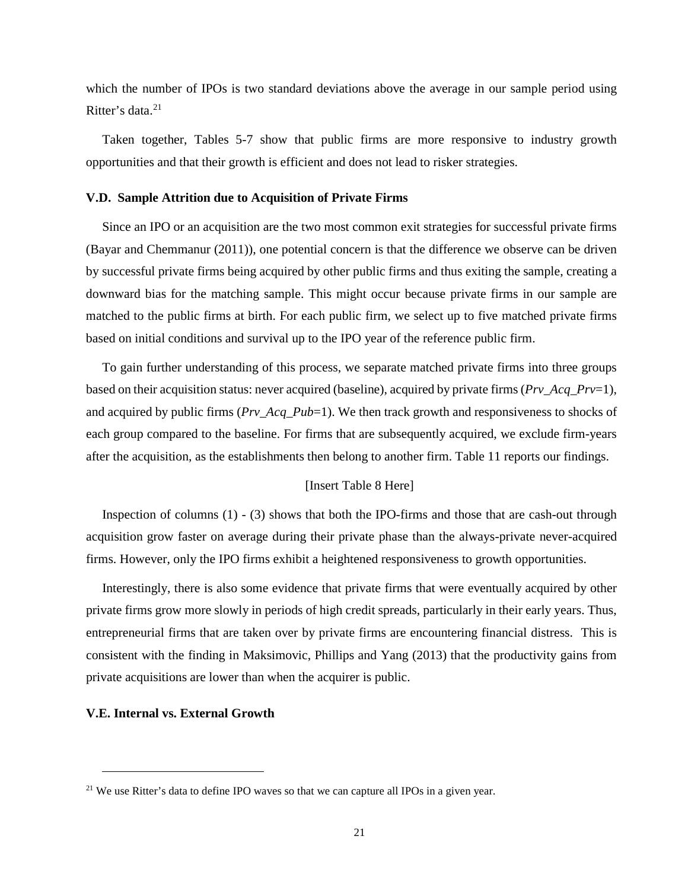which the number of IPOs is two standard deviations above the average in our sample period using Ritter's data. $21$ 

Taken together, Tables 5-7 show that public firms are more responsive to industry growth opportunities and that their growth is efficient and does not lead to risker strategies.

#### **V.D. Sample Attrition due to Acquisition of Private Firms**

Since an IPO or an acquisition are the two most common exit strategies for successful private firms (Bayar and Chemmanur (2011)), one potential concern is that the difference we observe can be driven by successful private firms being acquired by other public firms and thus exiting the sample, creating a downward bias for the matching sample. This might occur because private firms in our sample are matched to the public firms at birth. For each public firm, we select up to five matched private firms based on initial conditions and survival up to the IPO year of the reference public firm.

To gain further understanding of this process, we separate matched private firms into three groups based on their acquisition status: never acquired (baseline), acquired by private firms (*Prv\_Acq\_Prv*=1), and acquired by public firms (*Prv\_Acq\_Pub*=1). We then track growth and responsiveness to shocks of each group compared to the baseline. For firms that are subsequently acquired, we exclude firm-years after the acquisition, as the establishments then belong to another firm. Table 11 reports our findings.

#### [Insert Table 8 Here]

Inspection of columns (1) - (3) shows that both the IPO-firms and those that are cash-out through acquisition grow faster on average during their private phase than the always-private never-acquired firms. However, only the IPO firms exhibit a heightened responsiveness to growth opportunities.

Interestingly, there is also some evidence that private firms that were eventually acquired by other private firms grow more slowly in periods of high credit spreads, particularly in their early years. Thus, entrepreneurial firms that are taken over by private firms are encountering financial distress. This is consistent with the finding in Maksimovic, Phillips and Yang (2013) that the productivity gains from private acquisitions are lower than when the acquirer is public.

# **V.E. Internal vs. External Growth**

<span id="page-21-0"></span> $21$  We use Ritter's data to define IPO waves so that we can capture all IPOs in a given year.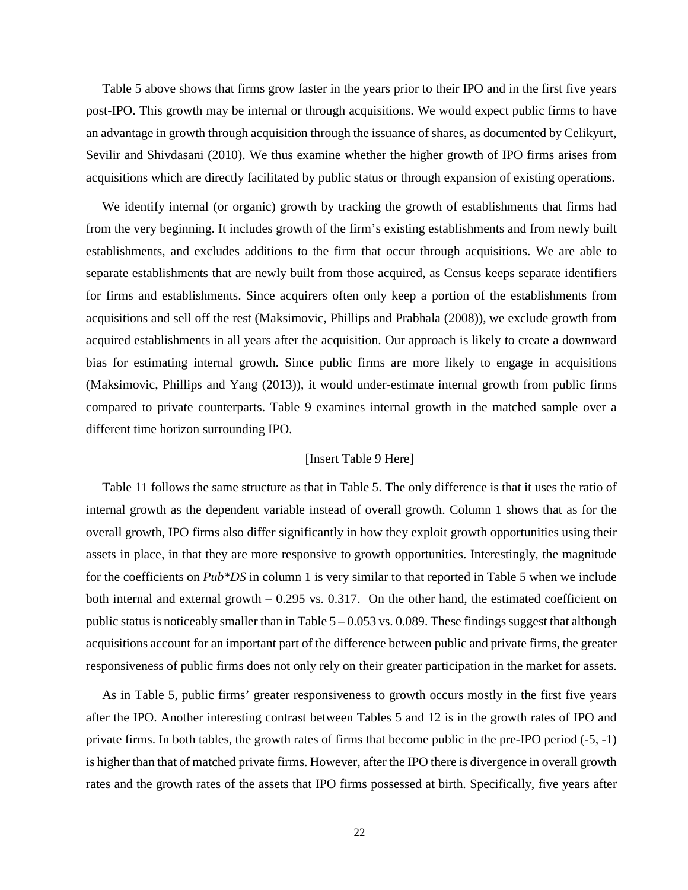Table 5 above shows that firms grow faster in the years prior to their IPO and in the first five years post-IPO. This growth may be internal or through acquisitions. We would expect public firms to have an advantage in growth through acquisition through the issuance of shares, as documented by Celikyurt, Sevilir and Shivdasani (2010). We thus examine whether the higher growth of IPO firms arises from acquisitions which are directly facilitated by public status or through expansion of existing operations.

We identify internal (or organic) growth by tracking the growth of establishments that firms had from the very beginning. It includes growth of the firm's existing establishments and from newly built establishments, and excludes additions to the firm that occur through acquisitions. We are able to separate establishments that are newly built from those acquired, as Census keeps separate identifiers for firms and establishments. Since acquirers often only keep a portion of the establishments from acquisitions and sell off the rest (Maksimovic, Phillips and Prabhala (2008)), we exclude growth from acquired establishments in all years after the acquisition. Our approach is likely to create a downward bias for estimating internal growth. Since public firms are more likely to engage in acquisitions (Maksimovic, Phillips and Yang (2013)), it would under-estimate internal growth from public firms compared to private counterparts. Table 9 examines internal growth in the matched sample over a different time horizon surrounding IPO.

# [Insert Table 9 Here]

Table 11 follows the same structure as that in Table 5. The only difference is that it uses the ratio of internal growth as the dependent variable instead of overall growth. Column 1 shows that as for the overall growth, IPO firms also differ significantly in how they exploit growth opportunities using their assets in place, in that they are more responsive to growth opportunities. Interestingly, the magnitude for the coefficients on *Pub\*DS* in column 1 is very similar to that reported in Table 5 when we include both internal and external growth – 0.295 vs. 0.317. On the other hand, the estimated coefficient on public status is noticeably smaller than in Table  $5 - 0.053$  vs. 0.089. These findings suggest that although acquisitions account for an important part of the difference between public and private firms, the greater responsiveness of public firms does not only rely on their greater participation in the market for assets.

As in Table 5, public firms' greater responsiveness to growth occurs mostly in the first five years after the IPO. Another interesting contrast between Tables 5 and 12 is in the growth rates of IPO and private firms. In both tables, the growth rates of firms that become public in the pre-IPO period (-5, -1) is higher than that of matched private firms. However, after the IPO there is divergence in overall growth rates and the growth rates of the assets that IPO firms possessed at birth. Specifically, five years after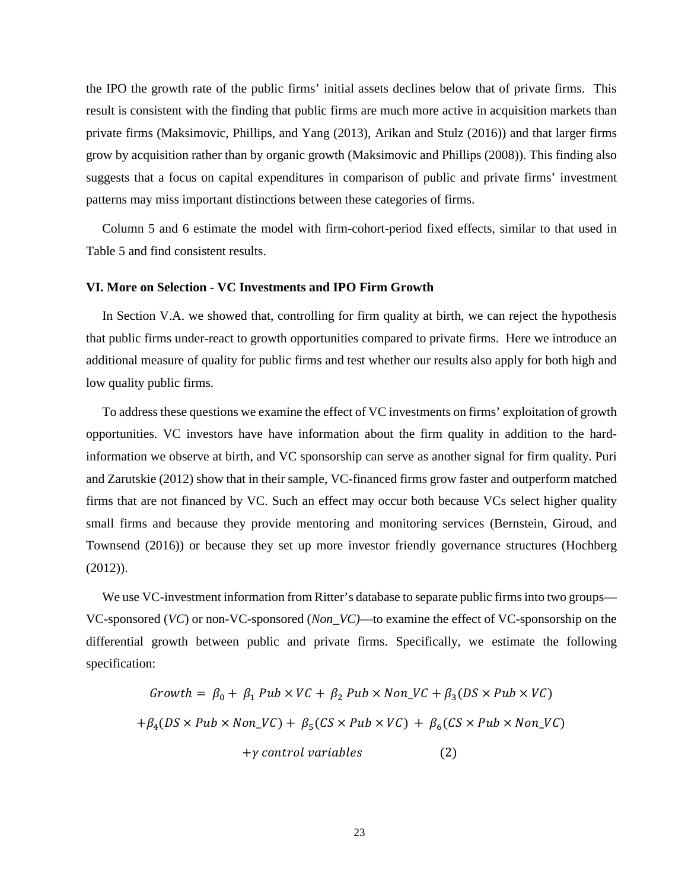the IPO the growth rate of the public firms' initial assets declines below that of private firms. This result is consistent with the finding that public firms are much more active in acquisition markets than private firms (Maksimovic, Phillips, and Yang (2013), Arikan and Stulz (2016)) and that larger firms grow by acquisition rather than by organic growth (Maksimovic and Phillips (2008)). This finding also suggests that a focus on capital expenditures in comparison of public and private firms' investment patterns may miss important distinctions between these categories of firms.

Column 5 and 6 estimate the model with firm-cohort-period fixed effects, similar to that used in Table 5 and find consistent results.

#### **VI. More on Selection - VC Investments and IPO Firm Growth**

In Section V.A. we showed that, controlling for firm quality at birth, we can reject the hypothesis that public firms under-react to growth opportunities compared to private firms. Here we introduce an additional measure of quality for public firms and test whether our results also apply for both high and low quality public firms.

To address these questions we examine the effect of VC investments on firms' exploitation of growth opportunities. VC investors have have information about the firm quality in addition to the hardinformation we observe at birth, and VC sponsorship can serve as another signal for firm quality. Puri and Zarutskie (2012) show that in their sample, VC-financed firms grow faster and outperform matched firms that are not financed by VC. Such an effect may occur both because VCs select higher quality small firms and because they provide mentoring and monitoring services (Bernstein, Giroud, and Townsend (2016)) or because they set up more investor friendly governance structures (Hochberg (2012)).

We use VC-investment information from Ritter's database to separate public firms into two groups— VC-sponsored (*VC*) or non-VC-sponsored (*Non\_VC)*—to examine the effect of VC-sponsorship on the differential growth between public and private firms. Specifically, we estimate the following specification:

 $Growth = \beta_0 + \beta_1 Pub \times VC + \beta_2 Pub \times Non\_VC + \beta_3 (DS \times Pub \times VC)$  $+\beta_4(DS \times Pub \times Non_VC) + \beta_5(CS \times Pub \times VC) + \beta_6(CS \times Pub \times Non_VC)$  $+\gamma$  control variables (2)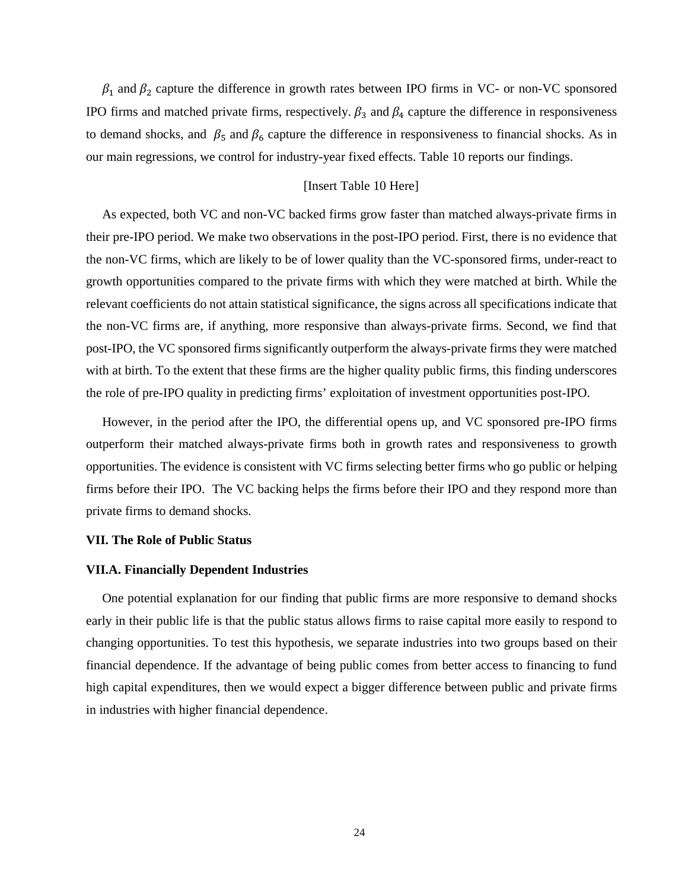$\beta_1$  and  $\beta_2$  capture the difference in growth rates between IPO firms in VC- or non-VC sponsored IPO firms and matched private firms, respectively.  $\beta_3$  and  $\beta_4$  capture the difference in responsiveness to demand shocks, and  $\beta_5$  and  $\beta_6$  capture the difference in responsiveness to financial shocks. As in our main regressions, we control for industry-year fixed effects. Table 10 reports our findings.

# [Insert Table 10 Here]

As expected, both VC and non-VC backed firms grow faster than matched always-private firms in their pre-IPO period. We make two observations in the post-IPO period. First, there is no evidence that the non-VC firms, which are likely to be of lower quality than the VC-sponsored firms, under-react to growth opportunities compared to the private firms with which they were matched at birth. While the relevant coefficients do not attain statistical significance, the signs across all specifications indicate that the non-VC firms are, if anything, more responsive than always-private firms. Second, we find that post-IPO, the VC sponsored firms significantly outperform the always-private firms they were matched with at birth. To the extent that these firms are the higher quality public firms, this finding underscores the role of pre-IPO quality in predicting firms' exploitation of investment opportunities post-IPO.

However, in the period after the IPO, the differential opens up, and VC sponsored pre-IPO firms outperform their matched always-private firms both in growth rates and responsiveness to growth opportunities. The evidence is consistent with VC firms selecting better firms who go public or helping firms before their IPO. The VC backing helps the firms before their IPO and they respond more than private firms to demand shocks.

#### **VII. The Role of Public Status**

#### **VII.A. Financially Dependent Industries**

One potential explanation for our finding that public firms are more responsive to demand shocks early in their public life is that the public status allows firms to raise capital more easily to respond to changing opportunities. To test this hypothesis, we separate industries into two groups based on their financial dependence. If the advantage of being public comes from better access to financing to fund high capital expenditures, then we would expect a bigger difference between public and private firms in industries with higher financial dependence.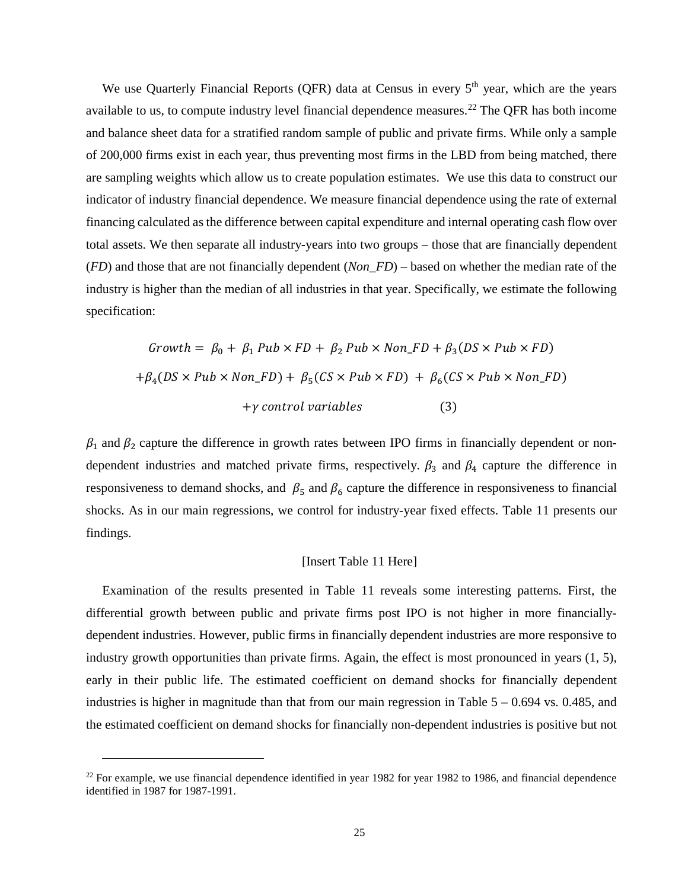We use Quarterly Financial Reports (QFR) data at Census in every 5<sup>th</sup> year, which are the years available to us, to compute industry level financial dependence measures.<sup>[22](#page-25-0)</sup> The QFR has both income and balance sheet data for a stratified random sample of public and private firms. While only a sample of 200,000 firms exist in each year, thus preventing most firms in the LBD from being matched, there are sampling weights which allow us to create population estimates. We use this data to construct our indicator of industry financial dependence. We measure financial dependence using the rate of external financing calculated as the difference between capital expenditure and internal operating cash flow over total assets. We then separate all industry-years into two groups – those that are financially dependent (*FD*) and those that are not financially dependent (*Non\_FD*) – based on whether the median rate of the industry is higher than the median of all industries in that year. Specifically, we estimate the following specification:

$$
Growth = \beta_0 + \beta_1 Pub \times FD + \beta_2 Pub \times Non\_FD + \beta_3 (DS \times Pub \times FD)
$$

$$
+ \beta_4 (DS \times Pub \times Non\_FD) + \beta_5 (CS \times Pub \times FD) + \beta_6 (CS \times Pub \times Non\_FD)
$$

$$
+ \gamma \text{ control variables}
$$
(3)

 $\beta_1$  and  $\beta_2$  capture the difference in growth rates between IPO firms in financially dependent or nondependent industries and matched private firms, respectively.  $\beta_3$  and  $\beta_4$  capture the difference in responsiveness to demand shocks, and  $\beta_5$  and  $\beta_6$  capture the difference in responsiveness to financial shocks. As in our main regressions, we control for industry-year fixed effects. Table 11 presents our findings.

# [Insert Table 11 Here]

Examination of the results presented in Table 11 reveals some interesting patterns. First, the differential growth between public and private firms post IPO is not higher in more financiallydependent industries. However, public firms in financially dependent industries are more responsive to industry growth opportunities than private firms. Again, the effect is most pronounced in years (1, 5), early in their public life. The estimated coefficient on demand shocks for financially dependent industries is higher in magnitude than that from our main regression in Table  $5 - 0.694$  vs. 0.485, and the estimated coefficient on demand shocks for financially non-dependent industries is positive but not

<span id="page-25-0"></span><sup>&</sup>lt;sup>22</sup> For example, we use financial dependence identified in year 1982 for year 1982 to 1986, and financial dependence identified in 1987 for 1987-1991.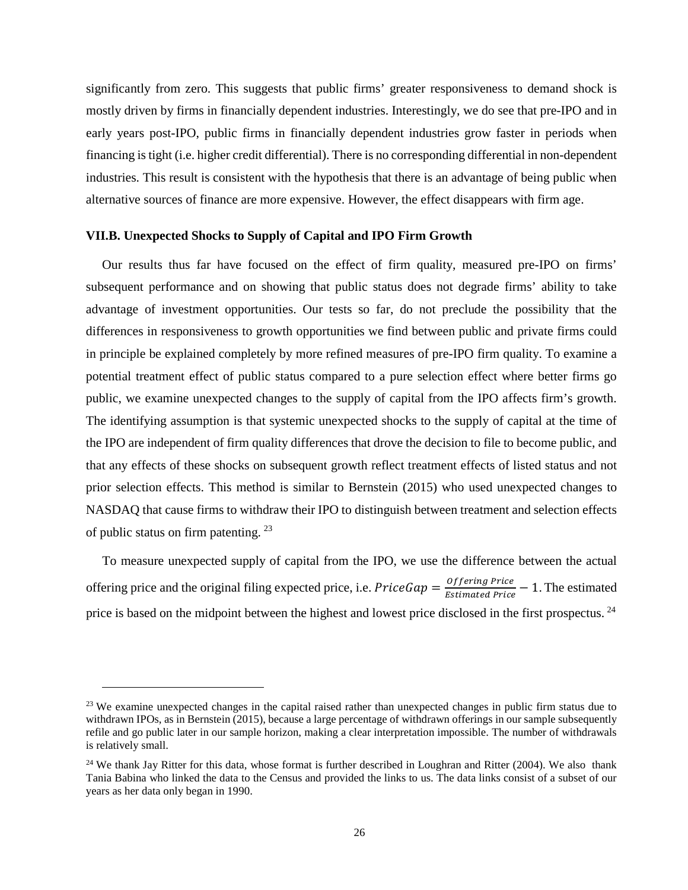significantly from zero. This suggests that public firms' greater responsiveness to demand shock is mostly driven by firms in financially dependent industries. Interestingly, we do see that pre-IPO and in early years post-IPO, public firms in financially dependent industries grow faster in periods when financing is tight (i.e. higher credit differential). There is no corresponding differential in non-dependent industries. This result is consistent with the hypothesis that there is an advantage of being public when alternative sources of finance are more expensive. However, the effect disappears with firm age.

#### **VII.B. Unexpected Shocks to Supply of Capital and IPO Firm Growth**

Our results thus far have focused on the effect of firm quality, measured pre-IPO on firms' subsequent performance and on showing that public status does not degrade firms' ability to take advantage of investment opportunities. Our tests so far, do not preclude the possibility that the differences in responsiveness to growth opportunities we find between public and private firms could in principle be explained completely by more refined measures of pre-IPO firm quality. To examine a potential treatment effect of public status compared to a pure selection effect where better firms go public, we examine unexpected changes to the supply of capital from the IPO affects firm's growth. The identifying assumption is that systemic unexpected shocks to the supply of capital at the time of the IPO are independent of firm quality differences that drove the decision to file to become public, and that any effects of these shocks on subsequent growth reflect treatment effects of listed status and not prior selection effects. This method is similar to Bernstein (2015) who used unexpected changes to NASDAQ that cause firms to withdraw their IPO to distinguish between treatment and selection effects of public status on firm patenting. [23](#page-26-0) 

To measure unexpected supply of capital from the IPO, we use the difference between the actual offering price and the original filing expected price, i.e.  $PriceGap = \frac{Offering Price}{Estimated Price} - 1$ . The estimated price is based on the midpoint between the highest and lowest price disclosed in the first prospectus. <sup>[24](#page-26-1)</sup>

<span id="page-26-0"></span><sup>&</sup>lt;sup>23</sup> We examine unexpected changes in the capital raised rather than unexpected changes in public firm status due to withdrawn IPOs, as in Bernstein (2015), because a large percentage of withdrawn offerings in our sample subsequently refile and go public later in our sample horizon, making a clear interpretation impossible. The number of withdrawals is relatively small.

<span id="page-26-1"></span><sup>&</sup>lt;sup>24</sup> We thank Jay Ritter for this data, whose format is further described in Loughran and Ritter (2004). We also thank Tania Babina who linked the data to the Census and provided the links to us. The data links consist of a subset of our years as her data only began in 1990.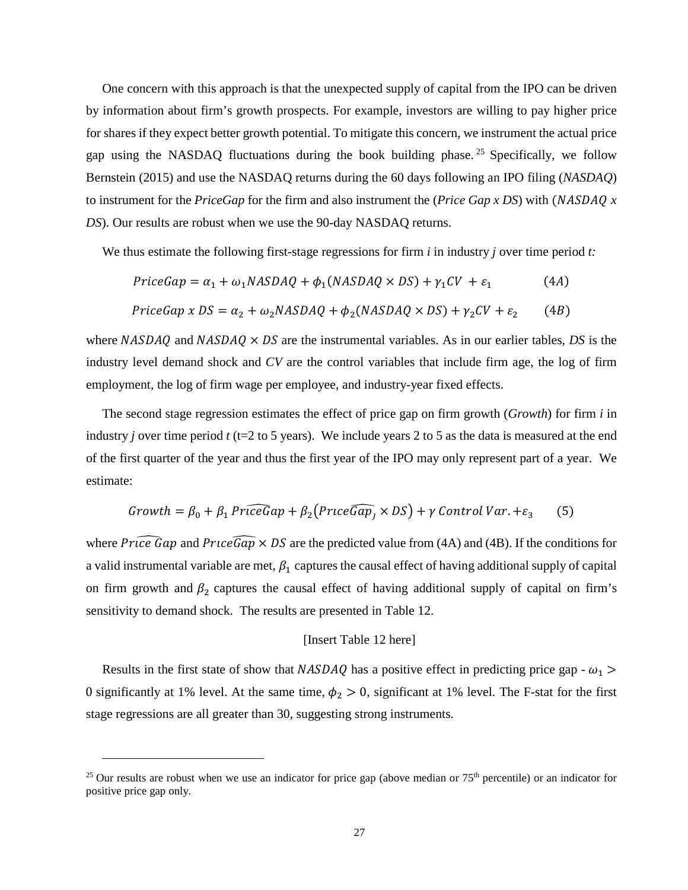One concern with this approach is that the unexpected supply of capital from the IPO can be driven by information about firm's growth prospects. For example, investors are willing to pay higher price for shares if they expect better growth potential. To mitigate this concern, we instrument the actual price gap using the NASDAQ fluctuations during the book building phase.<sup>[25](#page-27-0)</sup> Specifically, we follow Bernstein (2015) and use the NASDAQ returns during the 60 days following an IPO filing (*NASDAQ*) to instrument for the *PriceGap* for the firm and also instrument the (*Price Gap x DS*) with ( *x DS*). Our results are robust when we use the 90-day NASDAQ returns.

We thus estimate the following first-stage regressions for firm *i* in industry *j* over time period *t:* 

$$
PriceGap = \alpha_1 + \omega_1 NASDAQ + \phi_1(NASDAQ \times DS) + \gamma_1 CV + \varepsilon_1
$$
\n
$$
PriceGap \times DS = \alpha_2 + \omega_2 NASDAQ + \phi_2(NASDAQ \times DS) + \gamma_2 CV + \varepsilon_2
$$
\n
$$
(4B)
$$

where  $NASDAQ$  and  $NASDAQ \times DS$  are the instrumental variables. As in our earlier tables, DS is the industry level demand shock and *CV* are the control variables that include firm age, the log of firm employment, the log of firm wage per employee, and industry-year fixed effects.

The second stage regression estimates the effect of price gap on firm growth (*Growth*) for firm *i* in industry *j* over time period  $t$  ( $t=2$  to 5 years). We include years 2 to 5 as the data is measured at the end of the first quarter of the year and thus the first year of the IPO may only represent part of a year. We estimate:

$$
Growth = \beta_0 + \beta_1 \text{PriceGap} + \beta_2 \text{PriceGap} \times \text{DS} + \gamma \text{ Control Var.} + \varepsilon_3 \tag{5}
$$

where *Price Gap* and *Price Gap*  $\times$  *DS* are the predicted value from (4A) and (4B). If the conditions for a valid instrumental variable are met,  $\beta_1$  captures the causal effect of having additional supply of capital on firm growth and  $\beta_2$  captures the causal effect of having additional supply of capital on firm's sensitivity to demand shock. The results are presented in Table 12.

# [Insert Table 12 here]

Results in the first state of show that NASDAQ has a positive effect in predicting price gap -  $\omega_1$  > 0 significantly at 1% level. At the same time,  $\phi_2 > 0$ , significant at 1% level. The F-stat for the first stage regressions are all greater than 30, suggesting strong instruments.

<span id="page-27-0"></span> $25$  Our results are robust when we use an indicator for price gap (above median or  $75<sup>th</sup>$  percentile) or an indicator for positive price gap only.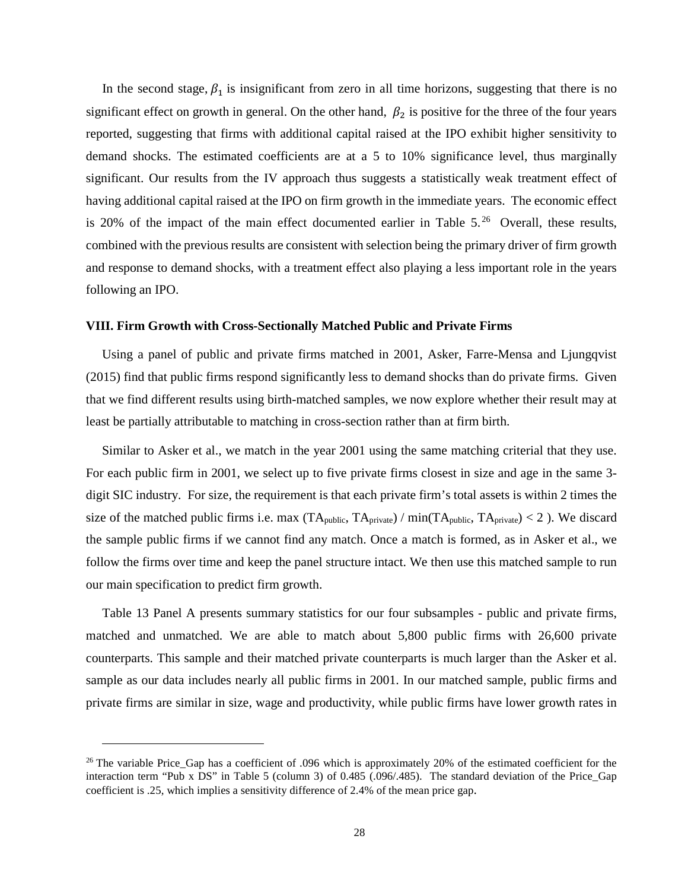In the second stage,  $\beta_1$  is insignificant from zero in all time horizons, suggesting that there is no significant effect on growth in general. On the other hand,  $\beta_2$  is positive for the three of the four years reported, suggesting that firms with additional capital raised at the IPO exhibit higher sensitivity to demand shocks. The estimated coefficients are at a 5 to 10% significance level, thus marginally significant. Our results from the IV approach thus suggests a statistically weak treatment effect of having additional capital raised at the IPO on firm growth in the immediate years. The economic effect is 20% of the impact of the main effect documented earlier in Table 5.<sup>[26](#page-28-0)</sup> Overall, these results, combined with the previous results are consistent with selection being the primary driver of firm growth and response to demand shocks, with a treatment effect also playing a less important role in the years following an IPO.

#### **VIII. Firm Growth with Cross-Sectionally Matched Public and Private Firms**

Using a panel of public and private firms matched in 2001, Asker, Farre-Mensa and Ljungqvist (2015) find that public firms respond significantly less to demand shocks than do private firms. Given that we find different results using birth-matched samples, we now explore whether their result may at least be partially attributable to matching in cross-section rather than at firm birth.

Similar to Asker et al., we match in the year 2001 using the same matching criterial that they use. For each public firm in 2001, we select up to five private firms closest in size and age in the same 3 digit SIC industry. For size, the requirement is that each private firm's total assets is within 2 times the size of the matched public firms i.e. max  $(TA_{\text{public}}, TA_{\text{private}})$  / min $(TA_{\text{public}}, TA_{\text{private}})$  < 2). We discard the sample public firms if we cannot find any match. Once a match is formed, as in Asker et al., we follow the firms over time and keep the panel structure intact. We then use this matched sample to run our main specification to predict firm growth.

Table 13 Panel A presents summary statistics for our four subsamples - public and private firms, matched and unmatched. We are able to match about 5,800 public firms with 26,600 private counterparts. This sample and their matched private counterparts is much larger than the Asker et al. sample as our data includes nearly all public firms in 2001. In our matched sample, public firms and private firms are similar in size, wage and productivity, while public firms have lower growth rates in

<span id="page-28-0"></span><sup>&</sup>lt;sup>26</sup> The variable Price\_Gap has a coefficient of .096 which is approximately 20% of the estimated coefficient for the interaction term "Pub x DS" in Table 5 (column 3) of 0.485 (.096/.485). The standard deviation of the Price\_Gap coefficient is .25, which implies a sensitivity difference of 2.4% of the mean price gap.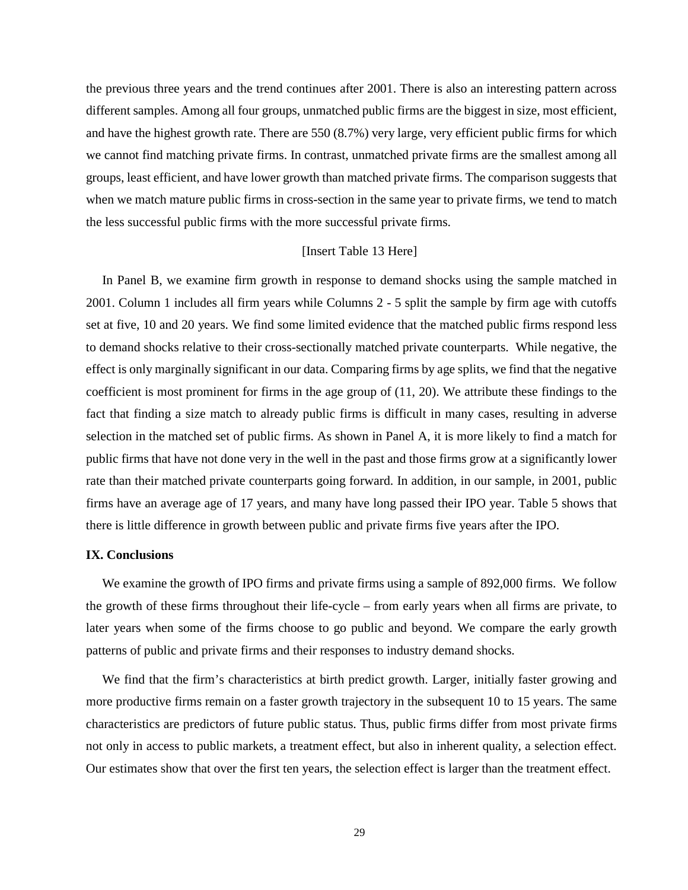the previous three years and the trend continues after 2001. There is also an interesting pattern across different samples. Among all four groups, unmatched public firms are the biggest in size, most efficient, and have the highest growth rate. There are 550 (8.7%) very large, very efficient public firms for which we cannot find matching private firms. In contrast, unmatched private firms are the smallest among all groups, least efficient, and have lower growth than matched private firms. The comparison suggests that when we match mature public firms in cross-section in the same year to private firms, we tend to match the less successful public firms with the more successful private firms.

#### [Insert Table 13 Here]

In Panel B, we examine firm growth in response to demand shocks using the sample matched in 2001. Column 1 includes all firm years while Columns 2 - 5 split the sample by firm age with cutoffs set at five, 10 and 20 years. We find some limited evidence that the matched public firms respond less to demand shocks relative to their cross-sectionally matched private counterparts. While negative, the effect is only marginally significant in our data. Comparing firms by age splits, we find that the negative coefficient is most prominent for firms in the age group of (11, 20). We attribute these findings to the fact that finding a size match to already public firms is difficult in many cases, resulting in adverse selection in the matched set of public firms. As shown in Panel A, it is more likely to find a match for public firms that have not done very in the well in the past and those firms grow at a significantly lower rate than their matched private counterparts going forward. In addition, in our sample, in 2001, public firms have an average age of 17 years, and many have long passed their IPO year. Table 5 shows that there is little difference in growth between public and private firms five years after the IPO.

#### **IX. Conclusions**

We examine the growth of IPO firms and private firms using a sample of 892,000 firms. We follow the growth of these firms throughout their life-cycle – from early years when all firms are private, to later years when some of the firms choose to go public and beyond. We compare the early growth patterns of public and private firms and their responses to industry demand shocks.

We find that the firm's characteristics at birth predict growth. Larger, initially faster growing and more productive firms remain on a faster growth trajectory in the subsequent 10 to 15 years. The same characteristics are predictors of future public status. Thus, public firms differ from most private firms not only in access to public markets, a treatment effect, but also in inherent quality, a selection effect. Our estimates show that over the first ten years, the selection effect is larger than the treatment effect.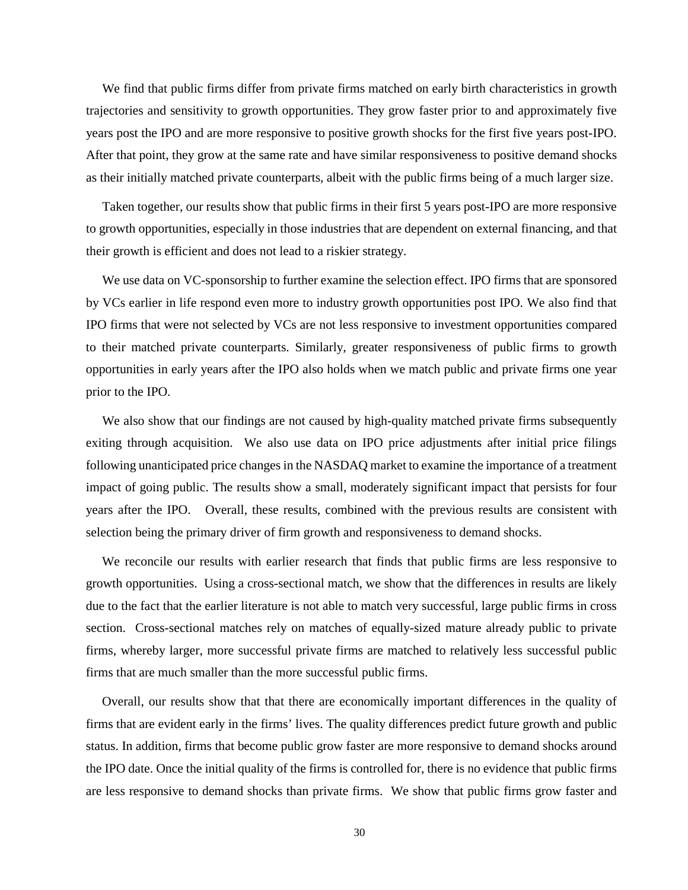We find that public firms differ from private firms matched on early birth characteristics in growth trajectories and sensitivity to growth opportunities. They grow faster prior to and approximately five years post the IPO and are more responsive to positive growth shocks for the first five years post-IPO. After that point, they grow at the same rate and have similar responsiveness to positive demand shocks as their initially matched private counterparts, albeit with the public firms being of a much larger size.

Taken together, our results show that public firms in their first 5 years post-IPO are more responsive to growth opportunities, especially in those industries that are dependent on external financing, and that their growth is efficient and does not lead to a riskier strategy.

We use data on VC-sponsorship to further examine the selection effect. IPO firms that are sponsored by VCs earlier in life respond even more to industry growth opportunities post IPO. We also find that IPO firms that were not selected by VCs are not less responsive to investment opportunities compared to their matched private counterparts. Similarly, greater responsiveness of public firms to growth opportunities in early years after the IPO also holds when we match public and private firms one year prior to the IPO.

We also show that our findings are not caused by high-quality matched private firms subsequently exiting through acquisition. We also use data on IPO price adjustments after initial price filings following unanticipated price changes in the NASDAQ market to examine the importance of a treatment impact of going public. The results show a small, moderately significant impact that persists for four years after the IPO. Overall, these results, combined with the previous results are consistent with selection being the primary driver of firm growth and responsiveness to demand shocks.

We reconcile our results with earlier research that finds that public firms are less responsive to growth opportunities. Using a cross-sectional match, we show that the differences in results are likely due to the fact that the earlier literature is not able to match very successful, large public firms in cross section. Cross-sectional matches rely on matches of equally-sized mature already public to private firms, whereby larger, more successful private firms are matched to relatively less successful public firms that are much smaller than the more successful public firms.

Overall, our results show that that there are economically important differences in the quality of firms that are evident early in the firms' lives. The quality differences predict future growth and public status. In addition, firms that become public grow faster are more responsive to demand shocks around the IPO date. Once the initial quality of the firms is controlled for, there is no evidence that public firms are less responsive to demand shocks than private firms. We show that public firms grow faster and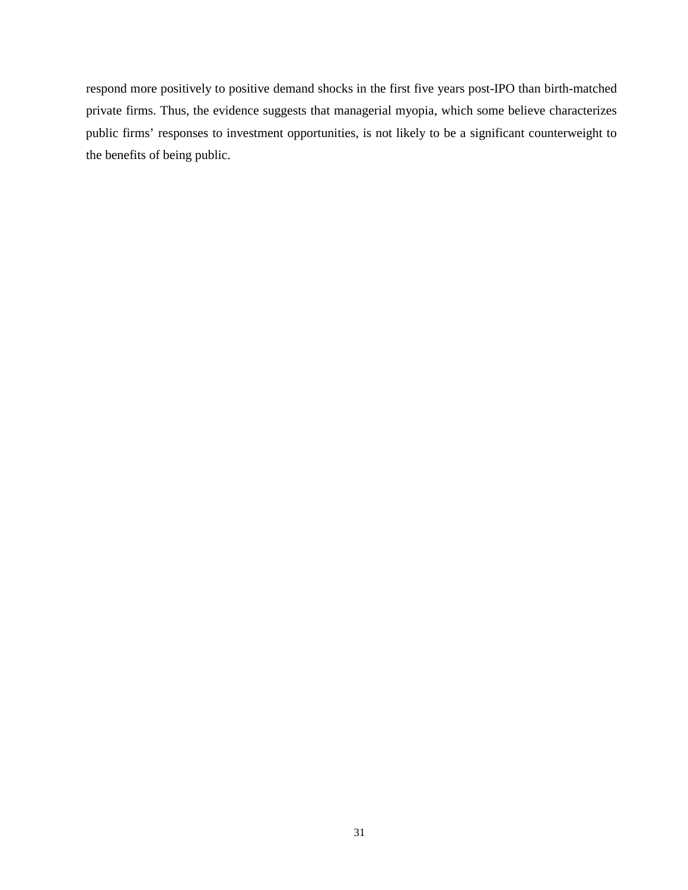respond more positively to positive demand shocks in the first five years post-IPO than birth-matched private firms. Thus, the evidence suggests that managerial myopia, which some believe characterizes public firms' responses to investment opportunities, is not likely to be a significant counterweight to the benefits of being public.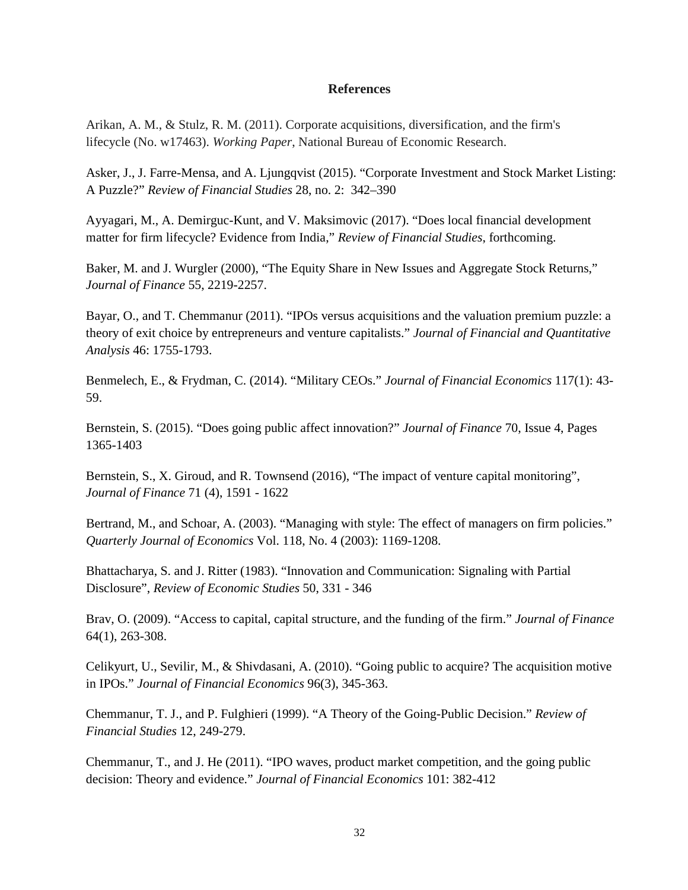# **References**

Arikan, A. M., & Stulz, R. M. (2011). Corporate acquisitions, diversification, and the firm's lifecycle (No. w17463). *Working Paper*, National Bureau of Economic Research.

Asker, J., J. Farre-Mensa, and A. Ljungqvist (2015). "Corporate Investment and Stock Market Listing: A Puzzle?" *Review of Financial Studies* 28, no. 2: 342–390

Ayyagari, M., A. Demirguc-Kunt, and V. Maksimovic (2017). "Does local financial development matter for firm lifecycle? Evidence from India," *Review of Financial Studies*, forthcoming.

Baker, M. and J. Wurgler (2000), "The Equity Share in New Issues and Aggregate Stock Returns," *Journal of Finance* 55, 2219-2257.

Bayar, O., and T. Chemmanur (2011). "IPOs versus acquisitions and the valuation premium puzzle: a theory of exit choice by entrepreneurs and venture capitalists." *Journal of Financial and Quantitative Analysis* 46: 1755-1793.

Benmelech, E., & Frydman, C. (2014). "Military CEOs." *Journal of Financial Economics* 117(1): 43- 59.

Bernstein, S. (2015). "Does going public affect innovation?" *Journal of Finance* 70, Issue 4, Pages 1365-1403

Bernstein, S., X. Giroud, and R. Townsend (2016), "The impact of venture capital monitoring", *Journal of Finance* 71 (4), 1591 - 1622

Bertrand, M., and Schoar, A. (2003). "Managing with style: The effect of managers on firm policies." *Quarterly Journal of Economics* Vol. 118, No. 4 (2003): 1169-1208.

Bhattacharya, S. and J. Ritter (1983). "Innovation and Communication: Signaling with Partial Disclosure", *Review of Economic Studies* 50, 331 - 346

Brav, O. (2009). "Access to capital, capital structure, and the funding of the firm." *Journal of Finance* 64(1), 263-308.

Celikyurt, U., Sevilir, M., & Shivdasani, A. (2010). "Going public to acquire? The acquisition motive in IPOs." *Journal of Financial Economics* 96(3), 345-363.

Chemmanur, T. J., and P. Fulghieri (1999). "A Theory of the Going-Public Decision." *Review of Financial Studies* 12, 249-279.

Chemmanur, T., and J. He (2011). "IPO waves, product market competition, and the going public decision: Theory and evidence." *Journal of Financial Economics* 101: 382-412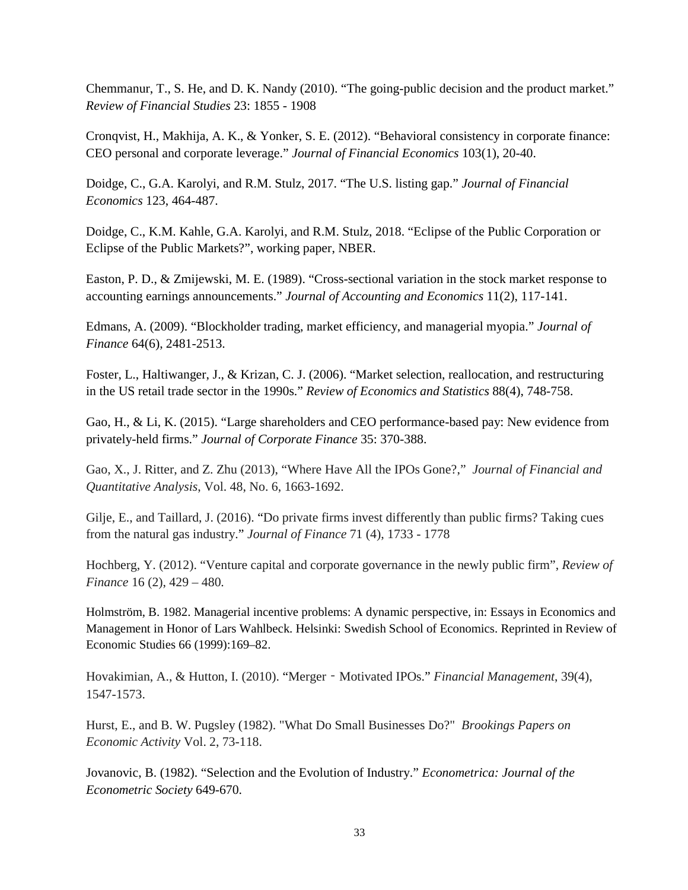Chemmanur, T., S. He, and D. K. Nandy (2010). "The going-public decision and the product market." *Review of Financial Studies* 23: 1855 - 1908

Cronqvist, H., Makhija, A. K., & Yonker, S. E. (2012). "Behavioral consistency in corporate finance: CEO personal and corporate leverage." *Journal of Financial Economics* 103(1), 20-40.

Doidge, C., G.A. Karolyi, and R.M. Stulz, 2017. "The U.S. listing gap." *Journal of Financial Economics* 123, 464-487.

Doidge, C., K.M. Kahle, G.A. Karolyi, and R.M. Stulz, 2018. "Eclipse of the Public Corporation or Eclipse of the Public Markets?", working paper, NBER.

Easton, P. D., & Zmijewski, M. E. (1989). "Cross-sectional variation in the stock market response to accounting earnings announcements." *Journal of Accounting and Economics* 11(2), 117-141.

Edmans, A. (2009). "Blockholder trading, market efficiency, and managerial myopia." *Journal of Finance* 64(6), 2481-2513.

Foster, L., Haltiwanger, J., & Krizan, C. J. (2006). "Market selection, reallocation, and restructuring in the US retail trade sector in the 1990s." *Review of Economics and Statistics* 88(4), 748-758.

Gao, H., & Li, K. (2015). "Large shareholders and CEO performance-based pay: New evidence from privately-held firms." *Journal of Corporate Finance* 35: 370-388.

Gao, X., J. Ritter, and Z. Zhu (2013), "Where Have All the IPOs Gone?," *Journal of Financial and Quantitative Analysis*, Vol. 48, No. 6, 1663-1692.

Gilje, E., and Taillard, J. (2016). "Do private firms invest differently than public firms? Taking cues from the natural gas industry." *Journal of Finance* 71 (4), 1733 - 1778

Hochberg, Y. (2012). "Venture capital and corporate governance in the newly public firm", *Review of Finance* 16 (2), 429 – 480.

Holmström, B. 1982. Managerial incentive problems: A dynamic perspective, in: Essays in Economics and Management in Honor of Lars Wahlbeck. Helsinki: Swedish School of Economics. Reprinted in Review of Economic Studies 66 (1999):169–82.

Hovakimian, A., & Hutton, I. (2010). "Merger‐Motivated IPOs." *Financial Management*, 39(4), 1547-1573.

Hurst, E., and B. W. Pugsley (1982). "What Do Small Businesses Do?" *Brookings Papers on Economic Activity* Vol. 2, 73-118.

Jovanovic, B. (1982). "Selection and the Evolution of Industry." *Econometrica: Journal of the Econometric Society* 649-670.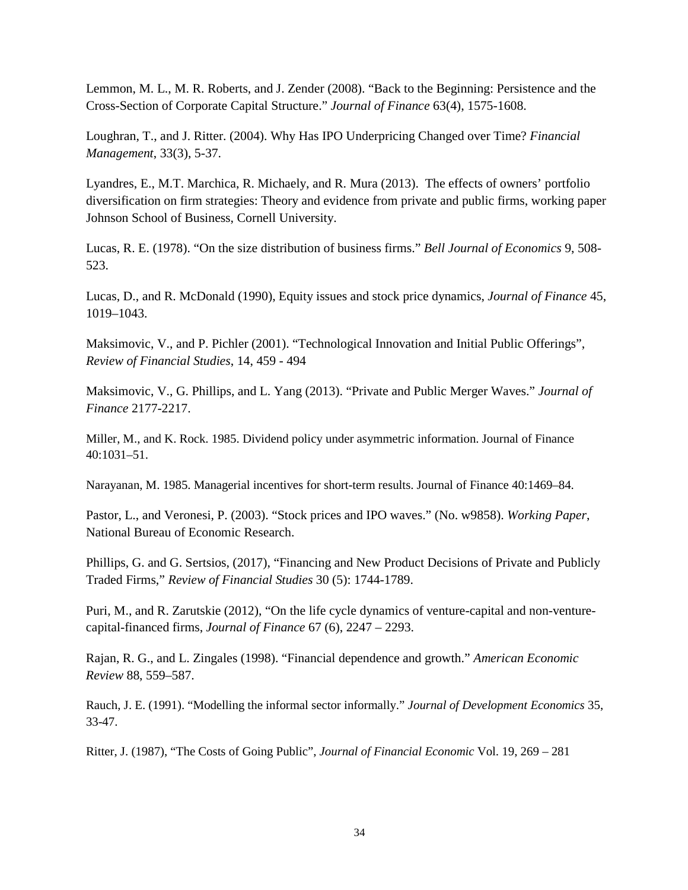Lemmon, M. L., M. R. Roberts, and J. Zender (2008). "Back to the Beginning: Persistence and the Cross-Section of Corporate Capital Structure." *Journal of Finance* 63(4), 1575-1608.

Loughran, T., and J. Ritter. (2004). Why Has IPO Underpricing Changed over Time? *Financial Management*, 33(3), 5-37.

Lyandres, E., M.T. Marchica, R. Michaely, and R. Mura (2013). The effects of owners' portfolio diversification on firm strategies: Theory and evidence from private and public firms, working paper Johnson School of Business, Cornell University.

Lucas, R. E. (1978). "On the size distribution of business firms." *Bell Journal of Economics* 9, 508- 523.

Lucas, D., and R. McDonald (1990), Equity issues and stock price dynamics, *Journal of Finance* 45, 1019–1043.

Maksimovic, V., and P. Pichler (2001). "Technological Innovation and Initial Public Offerings", *Review of Financial Studies*, 14, 459 - 494

Maksimovic, V., G. Phillips, and L. Yang (2013). "Private and Public Merger Waves." *Journal of Finance* 2177-2217.

Miller, M., and K. Rock. 1985. Dividend policy under asymmetric information. Journal of Finance 40:1031–51.

Narayanan, M. 1985. Managerial incentives for short-term results. Journal of Finance 40:1469–84.

Pastor, L., and Veronesi, P. (2003). "Stock prices and IPO waves." (No. w9858). *Working Paper*, National Bureau of Economic Research.

Phillips, G. and G. Sertsios, (2017), "Financing and New Product Decisions of Private and Publicly Traded Firms," *Review of Financial Studies* 30 (5): 1744-1789.

Puri, M., and R. Zarutskie (2012), "On the life cycle dynamics of venture-capital and non-venturecapital-financed firms, *Journal of Finance* 67 (6), 2247 – 2293.

Rajan, R. G., and L. Zingales (1998). "Financial dependence and growth." *American Economic Review* 88, 559–587.

Rauch, J. E. (1991). "Modelling the informal sector informally." *Journal of Development Economics* 35, 33-47.

Ritter, J. (1987), "The Costs of Going Public", *Journal of Financial Economic* Vol. 19, 269 – 281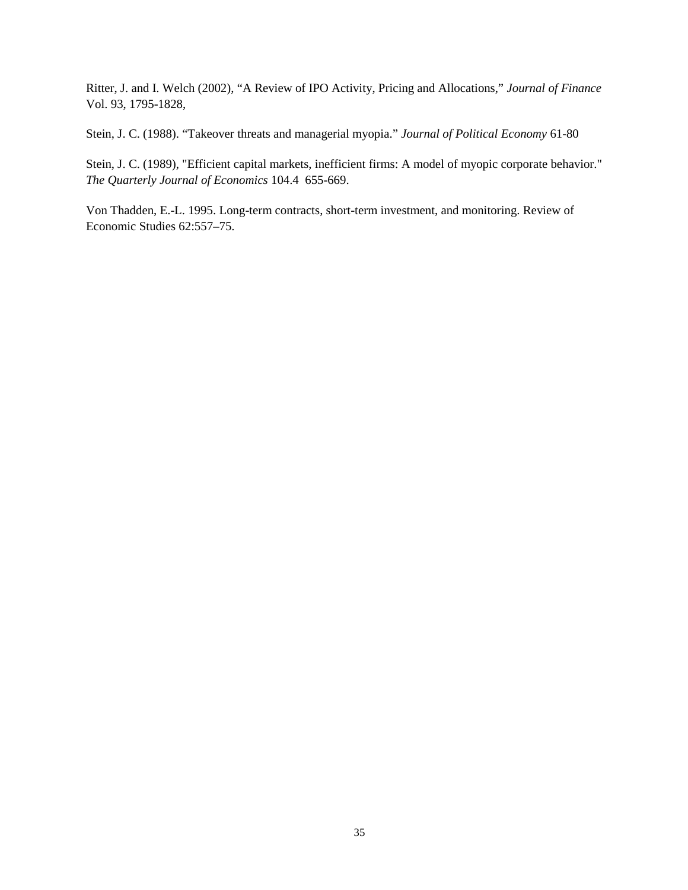Ritter, J. and I. Welch (2002), "A Review of IPO Activity, Pricing and Allocations," *Journal of Finance* Vol. 93, 1795-1828,

Stein, J. C. (1988). "Takeover threats and managerial myopia." *Journal of Political Economy* 61-80

Stein, J. C. (1989), "Efficient capital markets, inefficient firms: A model of myopic corporate behavior." *The Quarterly Journal of Economics* 104.4 655-669.

Von Thadden, E.-L. 1995. Long-term contracts, short-term investment, and monitoring. Review of Economic Studies 62:557–75.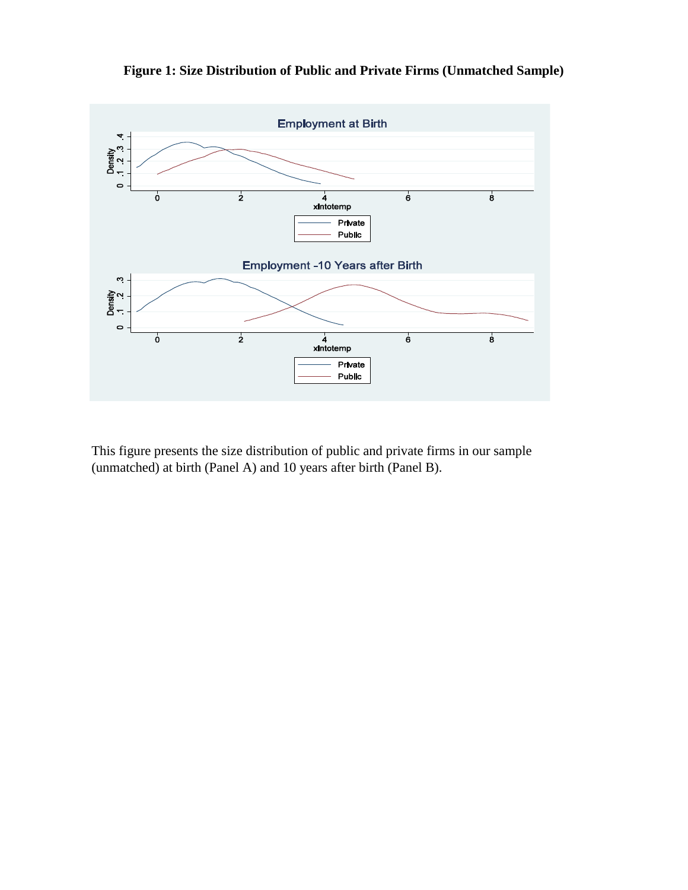

**Figure 1: Size Distribution of Public and Private Firms (Unmatched Sample)**

This figure presents the size distribution of public and private firms in our sample (unmatched) at birth (Panel A) and 10 years after birth (Panel B).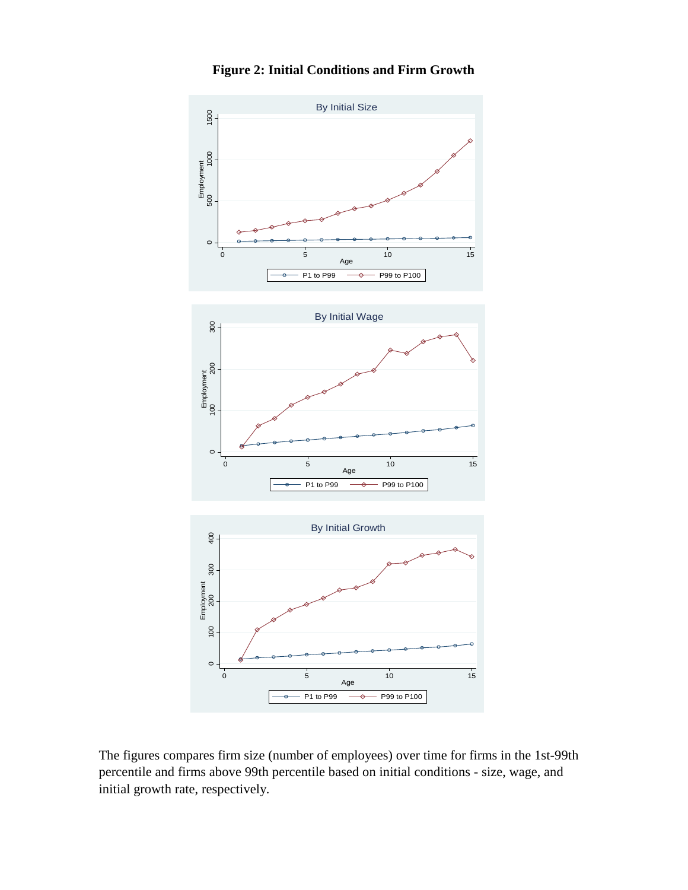

**Figure 2: Initial Conditions and Firm Growth**

The figures compares firm size (number of employees) over time for firms in the 1st-99th percentile and firms above 99th percentile based on initial conditions - size, wage, and initial growth rate, respectively.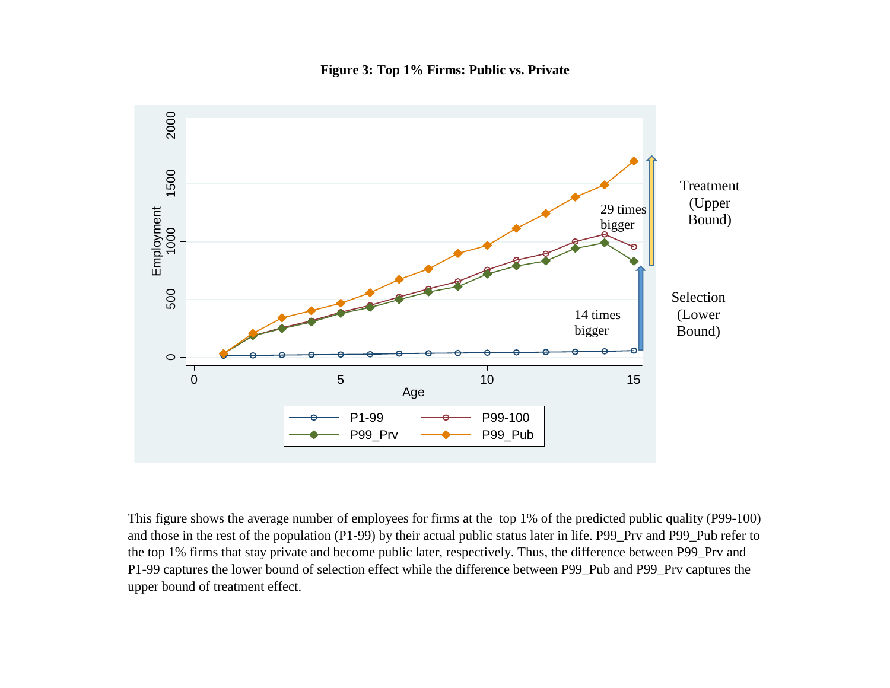**Figure 3: Top 1% Firms: Public vs. Private**



This figure shows the average number of employees for firms at the top 1% of the predicted public quality (P99-100) and those in the rest of the population (P1-99) by their actual public status later in life. P99\_Prv and P99\_Pub refer to the top 1% firms that stay private and become public later, respectively. Thus, the difference between P99\_Prv and P1-99 captures the lower bound of selection effect while the difference between P99\_Pub and P99\_Prv captures the upper bound of treatment effect.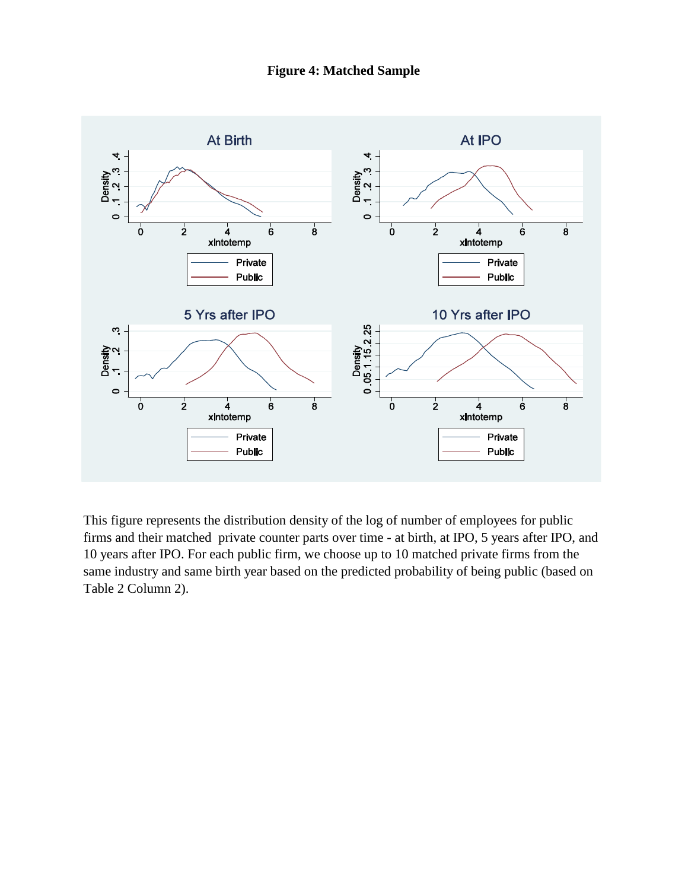

This figure represents the distribution density of the log of number of employees for public firms and their matched private counter parts over time - at birth, at IPO, 5 years after IPO, and 10 years after IPO. For each public firm, we choose up to 10 matched private firms from the same industry and same birth year based on the predicted probability of being public (based on Table 2 Column 2).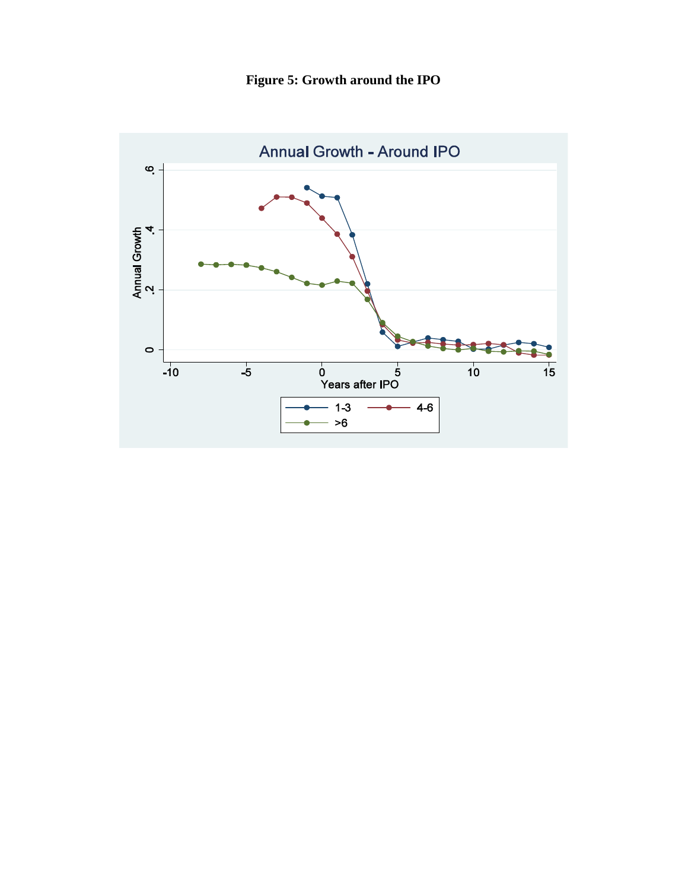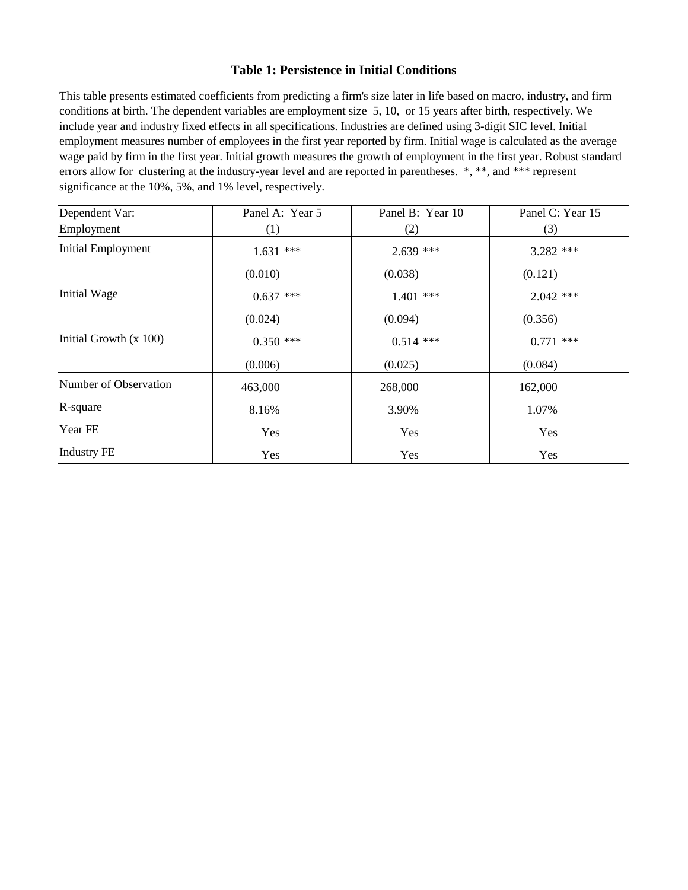# **Table 1: Persistence in Initial Conditions**

This table presents estimated coefficients from predicting a firm's size later in life based on macro, industry, and firm conditions at birth. The dependent variables are employment size 5, 10, or 15 years after birth, respectively. We include year and industry fixed effects in all specifications. Industries are defined using 3-digit SIC level. Initial employment measures number of employees in the first year reported by firm. Initial wage is calculated as the average wage paid by firm in the first year. Initial growth measures the growth of employment in the first year. Robust standard errors allow for clustering at the industry-year level and are reported in parentheses. \*, \*\*, and \*\*\* represent significance at the 10%, 5%, and 1% level, respectively.

| Dependent Var:            | Panel A: Year 5 | Panel B: Year 10 | Panel C: Year 15 |
|---------------------------|-----------------|------------------|------------------|
| Employment                | (1)             | (2)              | (3)              |
| <b>Initial Employment</b> | $1.631$ ***     | $2.639$ ***      | $3.282$ ***      |
|                           | (0.010)         | (0.038)          | (0.121)          |
| <b>Initial Wage</b>       | $0.637$ ***     | $1.401$ ***      | $2.042$ ***      |
|                           | (0.024)         | (0.094)          | (0.356)          |
| Initial Growth (x 100)    | $0.350$ ***     | $0.514$ ***      | $0.771$ ***      |
|                           | (0.006)         | (0.025)          | (0.084)          |
| Number of Observation     | 463,000         | 268,000          | 162,000          |
| R-square                  | 8.16%           | 3.90%            | 1.07%            |
| Year FE                   | Yes             | Yes              | Yes              |
| <b>Industry FE</b>        | Yes             | Yes              | Yes              |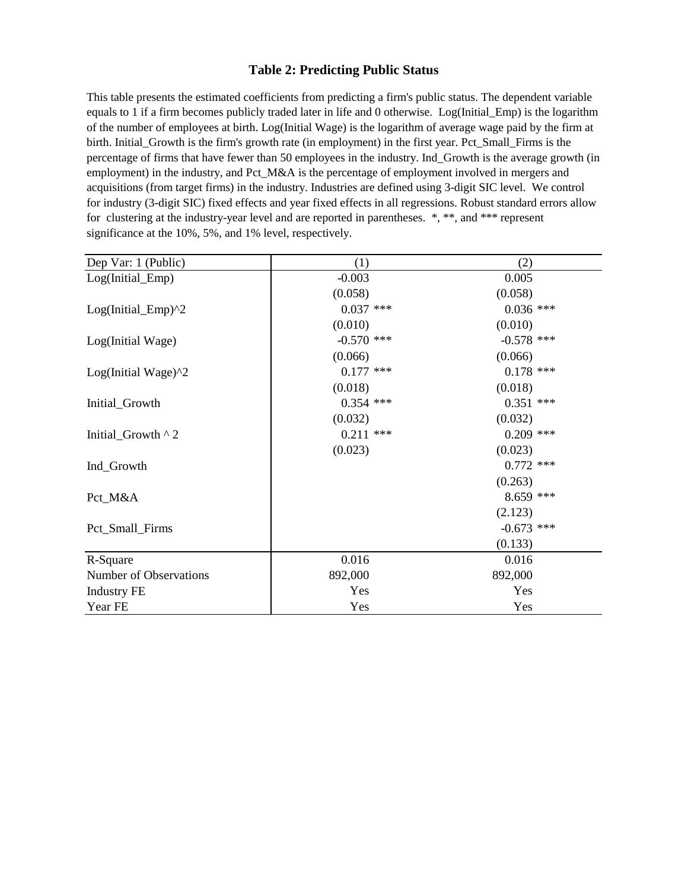# **Table 2: Predicting Public Status**

This table presents the estimated coefficients from predicting a firm's public status. The dependent variable equals to 1 if a firm becomes publicly traded later in life and 0 otherwise. Log(Initial\_Emp) is the logarithm of the number of employees at birth. Log(Initial Wage) is the logarithm of average wage paid by the firm at birth. Initial\_Growth is the firm's growth rate (in employment) in the first year. Pct\_Small\_Firms is the percentage of firms that have fewer than 50 employees in the industry. Ind\_Growth is the average growth (in employment) in the industry, and Pct\_M&A is the percentage of employment involved in mergers and acquisitions (from target firms) in the industry. Industries are defined using 3-digit SIC level. We control for industry (3-digit SIC) fixed effects and year fixed effects in all regressions. Robust standard errors allow for clustering at the industry-year level and are reported in parentheses.  $*, **$ , and \*\*\* represent significance at the 10%, 5%, and 1% level, respectively.

| Dep Var: 1 (Public)            | (1)          | (2)          |
|--------------------------------|--------------|--------------|
| Log(Initial_Emp)               | $-0.003$     | 0.005        |
|                                | (0.058)      | (0.058)      |
| Log(Initial_Emp)^2             | $0.037$ ***  | $0.036$ ***  |
|                                | (0.010)      | (0.010)      |
| Log(Initial Wage)              | $-0.570$ *** | $-0.578$ *** |
|                                | (0.066)      | (0.066)      |
| Log(Initial Wage) $^{\wedge}2$ | $0.177$ ***  | $0.178$ ***  |
|                                | (0.018)      | (0.018)      |
| Initial_Growth                 | $0.354$ ***  | $0.351$ ***  |
|                                | (0.032)      | (0.032)      |
| Initial_Growth ^ 2             | $0.211$ ***  | $0.209$ ***  |
|                                | (0.023)      | (0.023)      |
| Ind_Growth                     |              | $0.772$ ***  |
|                                |              | (0.263)      |
| Pct_M&A                        |              | $8.659$ ***  |
|                                |              | (2.123)      |
| Pct_Small_Firms                |              | $-0.673$ *** |
|                                |              | (0.133)      |
| R-Square                       | 0.016        | 0.016        |
| Number of Observations         | 892,000      | 892,000      |
| <b>Industry FE</b>             | Yes          | Yes          |
| Year FE                        | Yes          | Yes          |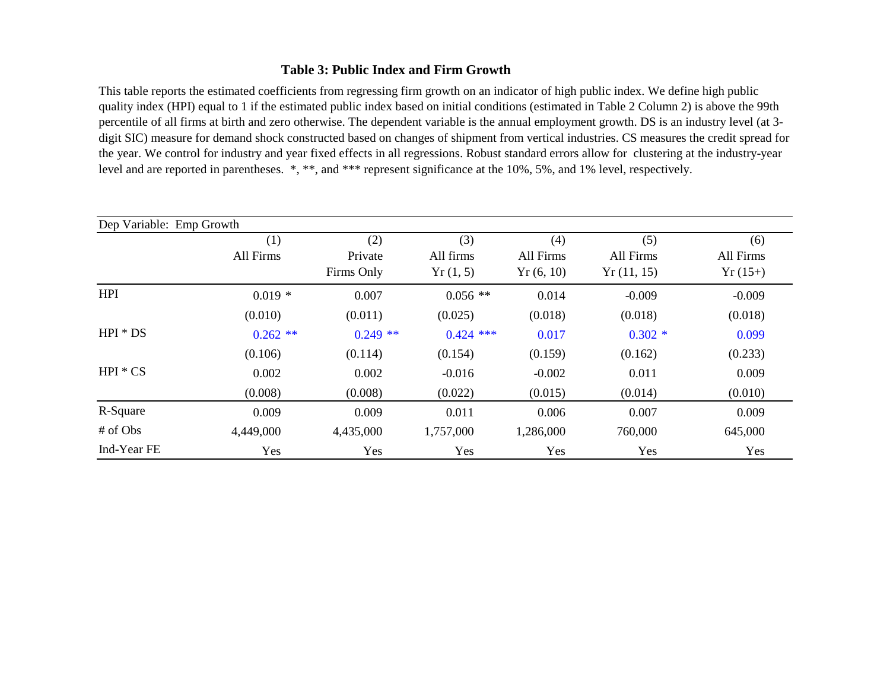# **Table 3: Public Index and Firm Growth**

This table reports the estimated coefficients from regressing firm growth on an indicator of high public index. We define high public quality index (HPI) equal to 1 if the estimated public index based on initial conditions (estimated in Table 2 Column 2) is above the 99th percentile of all firms at birth and zero otherwise. The dependent variable is the annual employment growth. DS is an industry level (at 3 digit SIC) measure for demand shock constructed based on changes of shipment from vertical industries. CS measures the credit spread for the year. We control for industry and year fixed effects in all regressions. Robust standard errors allow for clustering at the industry-year level and are reported in parentheses. \*, \*\*, and \*\*\* represent significance at the 10%, 5%, and 1% level, respectively.

| Dep Variable: Emp Growth |                  |                              |                              |                               |                                |                               |
|--------------------------|------------------|------------------------------|------------------------------|-------------------------------|--------------------------------|-------------------------------|
|                          | (1)<br>All Firms | (2)<br>Private<br>Firms Only | (3)<br>All firms<br>Yr(1, 5) | (4)<br>All Firms<br>Yr(6, 10) | (5)<br>All Firms<br>Yr(11, 15) | (6)<br>All Firms<br>$Yr(15+)$ |
| <b>HPI</b>               | $0.019*$         | 0.007                        | $0.056$ **                   | 0.014                         | $-0.009$                       | $-0.009$                      |
|                          | (0.010)          | (0.011)                      | (0.025)                      | (0.018)                       | (0.018)                        | (0.018)                       |
| $HPI * DS$               | $0.262$ **       | $0.249$ **                   | $0.424$ ***                  | 0.017                         | $0.302 *$                      | 0.099                         |
|                          | (0.106)          | (0.114)                      | (0.154)                      | (0.159)                       | (0.162)                        | (0.233)                       |
| $HPI * CS$               | 0.002            | 0.002                        | $-0.016$                     | $-0.002$                      | 0.011                          | 0.009                         |
|                          | (0.008)          | (0.008)                      | (0.022)                      | (0.015)                       | (0.014)                        | (0.010)                       |
| R-Square                 | 0.009            | 0.009                        | 0.011                        | 0.006                         | 0.007                          | 0.009                         |
| # of Obs                 | 4,449,000        | 4,435,000                    | 1,757,000                    | 1,286,000                     | 760,000                        | 645,000                       |
| Ind-Year FE              | Yes              | Yes                          | Yes                          | Yes                           | Yes                            | Yes                           |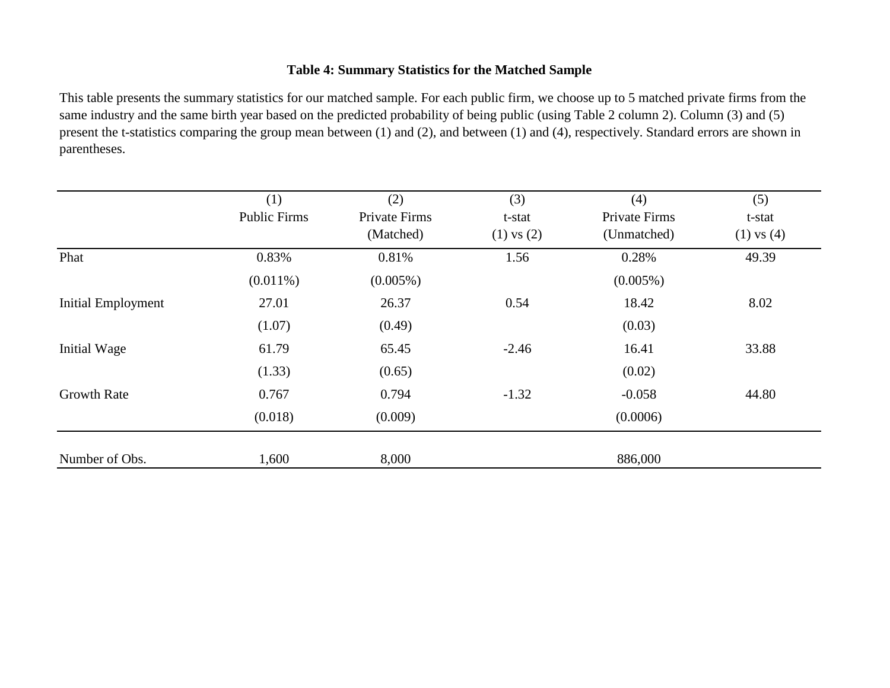# **Table 4: Summary Statistics for the Matched Sample**

This table presents the summary statistics for our matched sample. For each public firm, we choose up to 5 matched private firms from the same industry and the same birth year based on the predicted probability of being public (using Table 2 column 2). Column (3) and (5) present the t-statistics comparing the group mean between (1) and (2), and between (1) and (4), respectively. Standard errors are shown in parentheses.

|                           | (1)                 | (2)           | (3)            | (4)           | (5)            |
|---------------------------|---------------------|---------------|----------------|---------------|----------------|
|                           | <b>Public Firms</b> | Private Firms | t-stat         | Private Firms | t-stat         |
|                           |                     | (Matched)     | $(1)$ vs $(2)$ | (Unmatched)   | $(1)$ vs $(4)$ |
| Phat                      | 0.83%               | 0.81%         | 1.56           | 0.28%         | 49.39          |
|                           | $(0.011\%)$         | $(0.005\%)$   |                | $(0.005\%)$   |                |
| <b>Initial Employment</b> | 27.01               | 26.37         | 0.54           | 18.42         | 8.02           |
|                           | (1.07)              | (0.49)        |                | (0.03)        |                |
| <b>Initial Wage</b>       | 61.79               | 65.45         | $-2.46$        | 16.41         | 33.88          |
|                           | (1.33)              | (0.65)        |                | (0.02)        |                |
| <b>Growth Rate</b>        | 0.767               | 0.794         | $-1.32$        | $-0.058$      | 44.80          |
|                           | (0.018)             | (0.009)       |                | (0.0006)      |                |
| Number of Obs.            | 1,600               | 8,000         |                | 886,000       |                |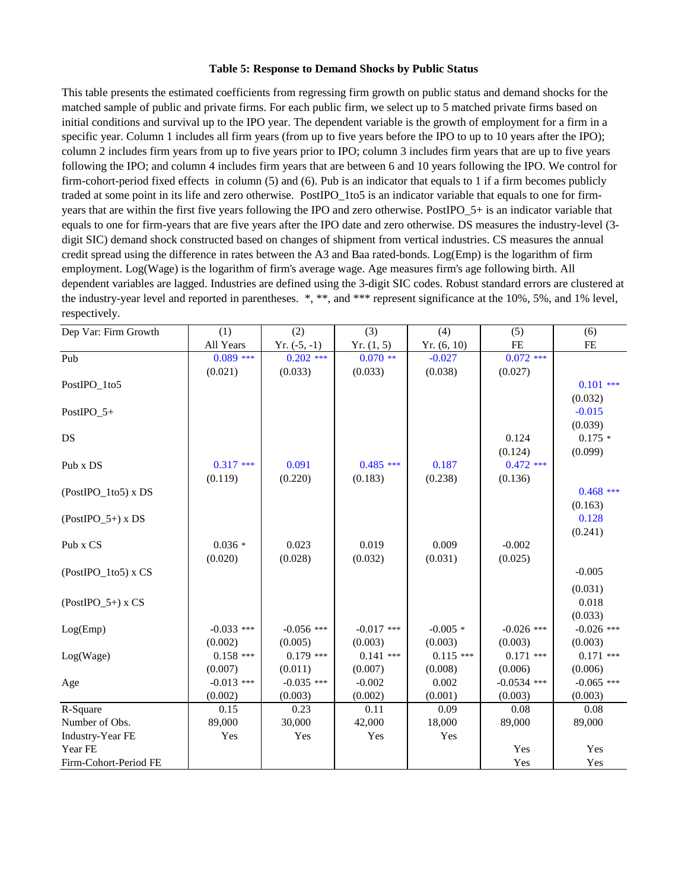#### **Table 5: Response to Demand Shocks by Public Status**

This table presents the estimated coefficients from regressing firm growth on public status and demand shocks for the matched sample of public and private firms. For each public firm, we select up to 5 matched private firms based on initial conditions and survival up to the IPO year. The dependent variable is the growth of employment for a firm in a specific year. Column 1 includes all firm years (from up to five years before the IPO to up to 10 years after the IPO); column 2 includes firm years from up to five years prior to IPO; column 3 includes firm years that are up to five years following the IPO; and column 4 includes firm years that are between 6 and 10 years following the IPO. We control for firm-cohort-period fixed effects in column (5) and (6). Pub is an indicator that equals to 1 if a firm becomes publicly traded at some point in its life and zero otherwise. PostIPO 1to5 is an indicator variable that equals to one for firmyears that are within the first five years following the IPO and zero otherwise. PostIPO\_5+ is an indicator variable that equals to one for firm-years that are five years after the IPO date and zero otherwise. DS measures the industry-level (3 digit SIC) demand shock constructed based on changes of shipment from vertical industries. CS measures the annual credit spread using the difference in rates between the A3 and Baa rated-bonds. Log(Emp) is the logarithm of firm employment. Log(Wage) is the logarithm of firm's average wage. Age measures firm's age following birth. All dependent variables are lagged. Industries are defined using the 3-digit SIC codes. Robust standard errors are clustered at the industry-year level and reported in parentheses. \*, \*\*, and \*\*\* represent significance at the 10%, 5%, and 1% level, respectively.

| Dep Var: Firm Growth  | (1)          | (2)            | (3)          | (4)         | (5)           | (6)          |
|-----------------------|--------------|----------------|--------------|-------------|---------------|--------------|
|                       | All Years    | $Yr. (-5, -1)$ | Yr. (1, 5)   | Yr. (6, 10) | <b>FE</b>     | FE           |
| Pub                   | $0.089$ ***  | $0.202$ ***    | $0.070$ **   | $-0.027$    | $0.072$ ***   |              |
|                       | (0.021)      | (0.033)        | (0.033)      | (0.038)     | (0.027)       |              |
| PostIPO_1to5          |              |                |              |             |               | $0.101$ ***  |
|                       |              |                |              |             |               | (0.032)      |
| PostIPO_5+            |              |                |              |             |               | $-0.015$     |
|                       |              |                |              |             |               | (0.039)      |
| DS                    |              |                |              |             | 0.124         | $0.175*$     |
|                       |              |                |              |             | (0.124)       | (0.099)      |
| Pub x DS              | $0.317$ ***  | 0.091          | $0.485$ ***  | 0.187       | $0.472$ ***   |              |
|                       | (0.119)      | (0.220)        | (0.183)      | (0.238)     | (0.136)       |              |
| $(PostIPO_1to5)$ x DS |              |                |              |             |               | $0.468$ ***  |
|                       |              |                |              |             |               | (0.163)      |
| $(PostIPO_5+)$ x DS   |              |                |              |             |               | 0.128        |
|                       |              |                |              |             |               | (0.241)      |
| Pub x CS              | $0.036*$     | 0.023          | 0.019        | 0.009       | $-0.002$      |              |
|                       | (0.020)      | (0.028)        | (0.032)      | (0.031)     | (0.025)       |              |
| $(PostIPO_1to5)$ x CS |              |                |              |             |               | $-0.005$     |
|                       |              |                |              |             |               | (0.031)      |
| $(PostIPO_5+)$ x CS   |              |                |              |             |               | 0.018        |
|                       |              |                |              |             |               | (0.033)      |
| Log(Emp)              | $-0.033$ *** | $-0.056$ ***   | $-0.017$ *** | $-0.005$ *  | $-0.026$ ***  | $-0.026$ *** |
|                       | (0.002)      | (0.005)        | (0.003)      | (0.003)     | (0.003)       | (0.003)      |
| Log(Wage)             | $0.158$ ***  | $0.179$ ***    | $0.141$ ***  | $0.115$ *** | $0.171$ ***   | $0.171$ ***  |
|                       | (0.007)      | (0.011)        | (0.007)      | (0.008)     | (0.006)       | (0.006)      |
| Age                   | $-0.013$ *** | $-0.035$ ***   | $-0.002$     | 0.002       | $-0.0534$ *** | $-0.065$ *** |
|                       | (0.002)      | (0.003)        | (0.002)      | (0.001)     | (0.003)       | (0.003)      |
| R-Square              | 0.15         | 0.23           | 0.11         | 0.09        | 0.08          | 0.08         |
| Number of Obs.        | 89,000       | 30,000         | 42,000       | 18,000      | 89,000        | 89,000       |
| Industry-Year FE      | Yes          | Yes            | Yes          | Yes         |               |              |
| Year FE               |              |                |              |             | Yes           | Yes          |
| Firm-Cohort-Period FE |              |                |              |             | Yes           | Yes          |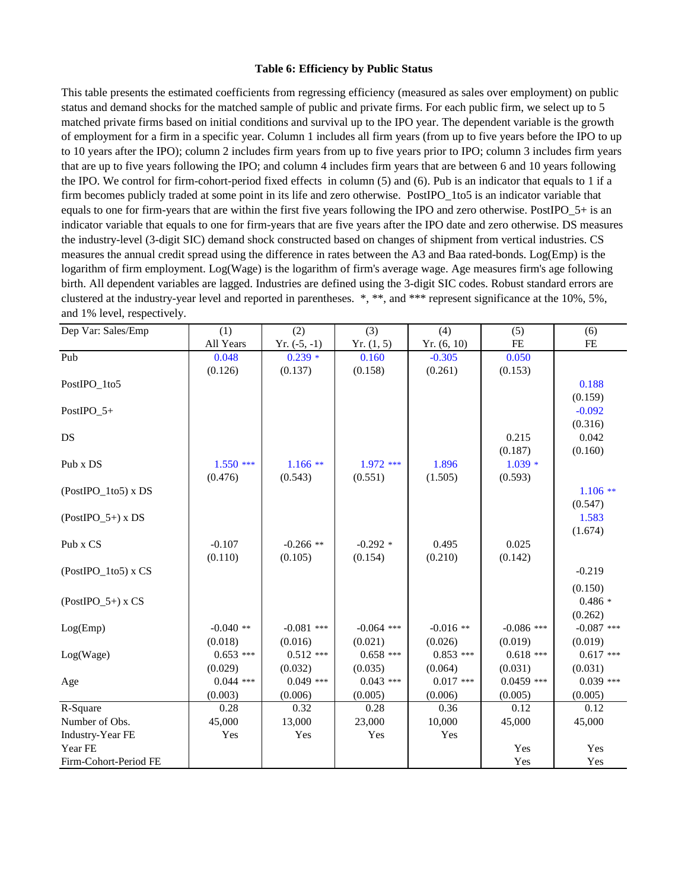#### **Table 6: Efficiency by Public Status**

This table presents the estimated coefficients from regressing efficiency (measured as sales over employment) on public status and demand shocks for the matched sample of public and private firms. For each public firm, we select up to 5 matched private firms based on initial conditions and survival up to the IPO year. The dependent variable is the growth of employment for a firm in a specific year. Column 1 includes all firm years (from up to five years before the IPO to up to 10 years after the IPO); column 2 includes firm years from up to five years prior to IPO; column 3 includes firm years that are up to five years following the IPO; and column 4 includes firm years that are between 6 and 10 years following the IPO. We control for firm-cohort-period fixed effects in column (5) and (6). Pub is an indicator that equals to 1 if a firm becomes publicly traded at some point in its life and zero otherwise. PostIPO\_1to5 is an indicator variable that equals to one for firm-years that are within the first five years following the IPO and zero otherwise. PostIPO  $5+$  is an indicator variable that equals to one for firm-years that are five years after the IPO date and zero otherwise. DS measures the industry-level (3-digit SIC) demand shock constructed based on changes of shipment from vertical industries. CS measures the annual credit spread using the difference in rates between the A3 and Baa rated-bonds. Log(Emp) is the logarithm of firm employment. Log(Wage) is the logarithm of firm's average wage. Age measures firm's age following birth. All dependent variables are lagged. Industries are defined using the 3-digit SIC codes. Robust standard errors are clustered at the industry-year level and reported in parentheses. \*, \*\*, and \*\*\* represent significance at the 10%, 5%, and 1% level, respectively.

| Dep Var: Sales/Emp      | (1)         | (2)            | (3)          | (4)         | (5)          | (6)          |
|-------------------------|-------------|----------------|--------------|-------------|--------------|--------------|
|                         | All Years   | $Yr. (-5, -1)$ | Yr. (1, 5)   | Yr. (6, 10) | FE           | FE           |
| Pub                     | 0.048       | $0.239*$       | 0.160        | $-0.305$    | 0.050        |              |
|                         | (0.126)     | (0.137)        | (0.158)      | (0.261)     | (0.153)      |              |
| PostIPO_1to5            |             |                |              |             |              | 0.188        |
|                         |             |                |              |             |              | (0.159)      |
| PostIPO_5+              |             |                |              |             |              | $-0.092$     |
|                         |             |                |              |             |              | (0.316)      |
| DS                      |             |                |              |             | 0.215        | 0.042        |
|                         |             |                |              |             | (0.187)      | (0.160)      |
| Pub x DS                | $1.550$ *** | $1.166$ **     | 1.972 ***    | 1.896       | $1.039*$     |              |
|                         | (0.476)     | (0.543)        | (0.551)      | (1.505)     | (0.593)      |              |
| $(PostIPO_1to5)$ x DS   |             |                |              |             |              | $1.106$ **   |
|                         |             |                |              |             |              | (0.547)      |
| $(PostIPO_5+)$ x DS     |             |                |              |             |              | 1.583        |
|                         |             |                |              |             |              | (1.674)      |
| Pub x CS                | $-0.107$    | $-0.266$ **    | $-0.292*$    | 0.495       | 0.025        |              |
|                         | (0.110)     | (0.105)        | (0.154)      | (0.210)     | (0.142)      |              |
| $(PostIPO 1to5)$ x CS   |             |                |              |             |              | $-0.219$     |
|                         |             |                |              |             |              | (0.150)      |
| $(PostIPO_5+)$ x CS     |             |                |              |             |              | $0.486*$     |
|                         |             |                |              |             |              | (0.262)      |
| Log(Emp)                | $-0.040$ ** | $-0.081$ ***   | $-0.064$ *** | $-0.016$ ** | $-0.086$ *** | $-0.087$ *** |
|                         | (0.018)     | (0.016)        | (0.021)      | (0.026)     | (0.019)      | (0.019)      |
| Log(Wage)               | $0.653$ *** | $0.512$ ***    | $0.658$ ***  | $0.853$ *** | $0.618***$   | $0.617$ ***  |
|                         | (0.029)     | (0.032)        | (0.035)      | (0.064)     | (0.031)      | (0.031)      |
| Age                     | $0.044$ *** | $0.049$ ***    | $0.043$ ***  | $0.017$ *** | $0.0459$ *** | $0.039$ ***  |
|                         | (0.003)     | (0.006)        | (0.005)      | (0.006)     | (0.005)      | (0.005)      |
| R-Square                | 0.28        | 0.32           | 0.28         | 0.36        | 0.12         | 0.12         |
| Number of Obs.          | 45,000      | 13,000         | 23,000       | 10,000      | 45,000       | 45,000       |
| <b>Industry-Year FE</b> | Yes         | Yes            | Yes          | Yes         |              |              |
| Year FE                 |             |                |              |             | Yes          | Yes          |
| Firm-Cohort-Period FE   |             |                |              |             | Yes          | Yes          |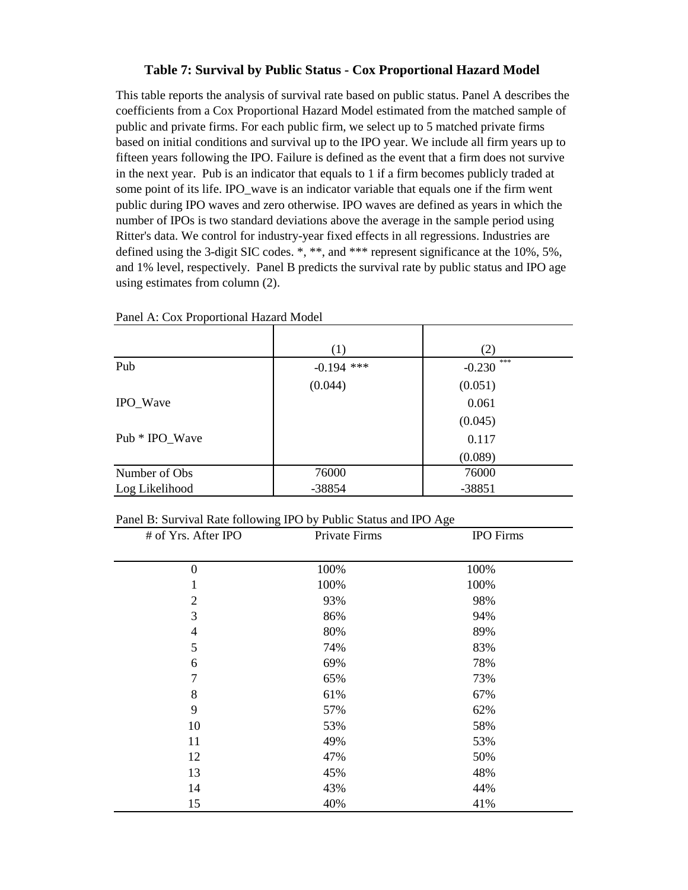# **Table 7: Survival by Public Status - Cox Proportional Hazard Model**

This table reports the analysis of survival rate based on public status. Panel A describes the coefficients from a Cox Proportional Hazard Model estimated from the matched sample of public and private firms. For each public firm, we select up to 5 matched private firms based on initial conditions and survival up to the IPO year. We include all firm years up to fifteen years following the IPO. Failure is defined as the event that a firm does not survive in the next year. Pub is an indicator that equals to 1 if a firm becomes publicly traded at some point of its life. IPO\_wave is an indicator variable that equals one if the firm went public during IPO waves and zero otherwise. IPO waves are defined as years in which the number of IPOs is two standard deviations above the average in the sample period using Ritter's data. We control for industry-year fixed effects in all regressions. Industries are defined using the 3-digit SIC codes. \*, \*\*, and \*\*\* represent significance at the 10%, 5%, and 1% level, respectively. Panel B predicts the survival rate by public status and IPO age using estimates from column (2).

|                | (1)             | (2)             |
|----------------|-----------------|-----------------|
| Pub            | ***<br>$-0.194$ | ***<br>$-0.230$ |
|                | (0.044)         | (0.051)         |
| IPO_Wave       |                 | 0.061           |
|                |                 | (0.045)         |
| Pub * IPO_Wave |                 | 0.117           |
|                |                 | (0.089)         |
| Number of Obs  | 76000           | 76000           |
| Log Likelihood | -38854          | $-38851$        |

Panel A: Cox Proportional Hazard Model

#### Panel B: Survival Rate following IPO by Public Status and IPO Age

| # of Yrs. After IPO | Private Firms | <b>IPO</b> Firms |
|---------------------|---------------|------------------|
|                     |               |                  |
| $\overline{0}$      | 100%          | 100%             |
| 1                   | 100%          | 100%             |
| $\overline{2}$      | 93%           | 98%              |
| 3                   | 86%           | 94%              |
| $\overline{4}$      | 80%           | 89%              |
| 5                   | 74%           | 83%              |
| 6                   | 69%           | 78%              |
| 7                   | 65%           | 73%              |
| 8                   | 61%           | 67%              |
| 9                   | 57%           | 62%              |
| 10                  | 53%           | 58%              |
| 11                  | 49%           | 53%              |
| 12                  | 47%           | 50%              |
| 13                  | 45%           | 48%              |
| 14                  | 43%           | 44%              |
| 15                  | 40%           | 41%              |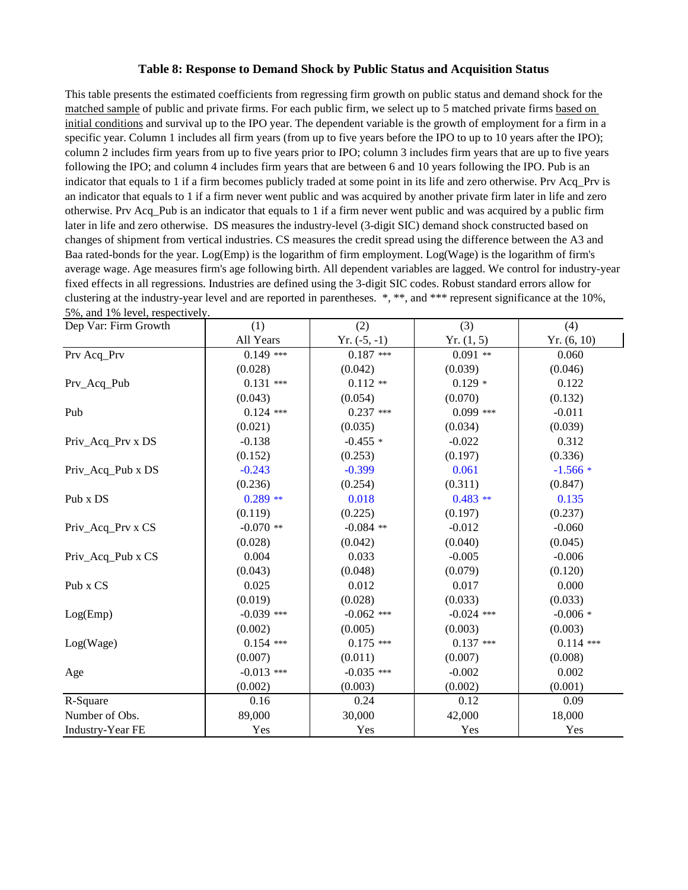# **Table 8: Response to Demand Shock by Public Status and Acquisition Status**

This table presents the estimated coefficients from regressing firm growth on public status and demand shock for the matched sample of public and private firms. For each public firm, we select up to 5 matched private firms based on initial conditions and survival up to the IPO year. The dependent variable is the growth of employment for a firm in a specific year. Column 1 includes all firm years (from up to five years before the IPO to up to 10 years after the IPO); column 2 includes firm years from up to five years prior to IPO; column 3 includes firm years that are up to five years following the IPO; and column 4 includes firm years that are between 6 and 10 years following the IPO. Pub is an indicator that equals to 1 if a firm becomes publicly traded at some point in its life and zero otherwise. Prv Acq\_Prv is an indicator that equals to 1 if a firm never went public and was acquired by another private firm later in life and zero otherwise. Prv Acq\_Pub is an indicator that equals to 1 if a firm never went public and was acquired by a public firm later in life and zero otherwise. DS measures the industry-level (3-digit SIC) demand shock constructed based on changes of shipment from vertical industries. CS measures the credit spread using the difference between the A3 and Baa rated-bonds for the year. Log(Emp) is the logarithm of firm employment. Log(Wage) is the logarithm of firm's average wage. Age measures firm's age following birth. All dependent variables are lagged. We control for industry-year fixed effects in all regressions. Industries are defined using the 3-digit SIC codes. Robust standard errors allow for clustering at the industry-year level and are reported in parentheses. \*, \*\*, and \*\*\* represent significance at the 10%, 5%, and 1% level, respectively.

| Dep Var: Firm Growth | (1)          | (2)            | (3)          | (4)         |
|----------------------|--------------|----------------|--------------|-------------|
|                      | All Years    | $Yr. (-5, -1)$ | Yr. (1, 5)   | Yr. (6, 10) |
| Prv Acq_Prv          | $0.149$ ***  | $0.187$ ***    | $0.091**$    | 0.060       |
|                      | (0.028)      | (0.042)        | (0.039)      | (0.046)     |
| Prv_Acq_Pub          | $0.131$ ***  | $0.112**$      | $0.129*$     | 0.122       |
|                      | (0.043)      | (0.054)        | (0.070)      | (0.132)     |
| Pub                  | $0.124$ ***  | $0.237$ ***    | $0.099$ ***  | $-0.011$    |
|                      | (0.021)      | (0.035)        | (0.034)      | (0.039)     |
| Priv_Acq_Prv x DS    | $-0.138$     | $-0.455*$      | $-0.022$     | 0.312       |
|                      | (0.152)      | (0.253)        | (0.197)      | (0.336)     |
| Priv_Acq_Pub x DS    | $-0.243$     | $-0.399$       | 0.061        | $-1.566*$   |
|                      | (0.236)      | (0.254)        | (0.311)      | (0.847)     |
| Pub x DS             | $0.289**$    | 0.018          | $0.483$ **   | 0.135       |
|                      | (0.119)      | (0.225)        | (0.197)      | (0.237)     |
| Priv_Acq_Prv x CS    | $-0.070$ **  | $-0.084$ **    | $-0.012$     | $-0.060$    |
|                      | (0.028)      | (0.042)        | (0.040)      | (0.045)     |
| Priv_Acq_Pub x CS    | 0.004        | 0.033          | $-0.005$     | $-0.006$    |
|                      | (0.043)      | (0.048)        | (0.079)      | (0.120)     |
| Pub x CS             | 0.025        | 0.012          | 0.017        | 0.000       |
|                      | (0.019)      | (0.028)        | (0.033)      | (0.033)     |
| Log(Emp)             | $-0.039$ *** | $-0.062$ ***   | $-0.024$ *** | $-0.006*$   |
|                      | (0.002)      | (0.005)        | (0.003)      | (0.003)     |
| Log(Wage)            | $0.154$ ***  | $0.175$ ***    | $0.137$ ***  | $0.114$ *** |
|                      | (0.007)      | (0.011)        | (0.007)      | (0.008)     |
| Age                  | $-0.013$ *** | $-0.035$ ***   | $-0.002$     | 0.002       |
|                      | (0.002)      | (0.003)        | (0.002)      | (0.001)     |
| R-Square             | 0.16         | 0.24           | 0.12         | 0.09        |
| Number of Obs.       | 89,000       | 30,000         | 42,000       | 18,000      |
| Industry-Year FE     | Yes          | Yes            | Yes          | Yes         |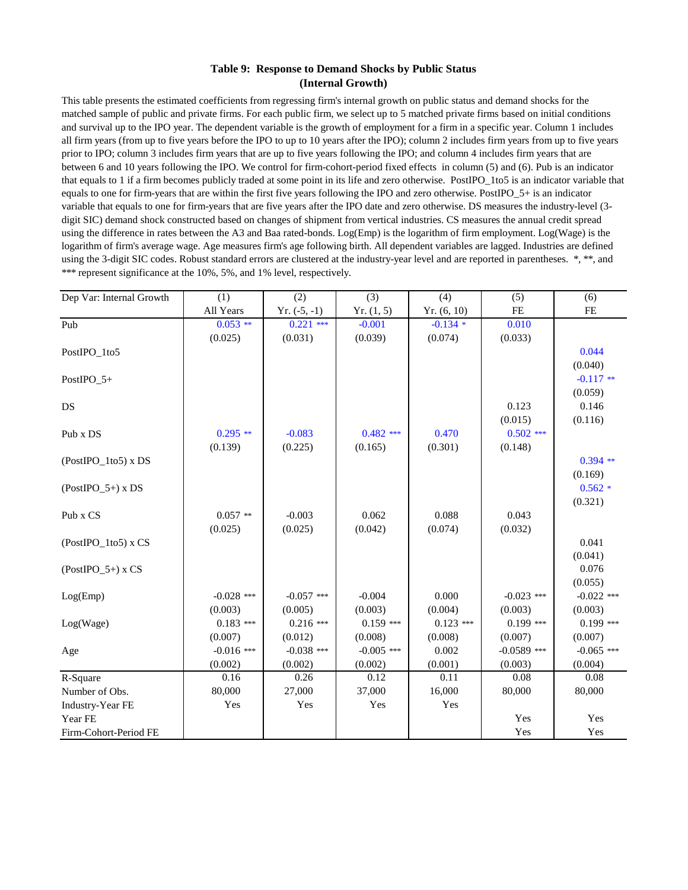#### **Table 9: Response to Demand Shocks by Public Status (Internal Growth)**

This table presents the estimated coefficients from regressing firm's internal growth on public status and demand shocks for the matched sample of public and private firms. For each public firm, we select up to 5 matched private firms based on initial conditions and survival up to the IPO year. The dependent variable is the growth of employment for a firm in a specific year. Column 1 includes all firm years (from up to five years before the IPO to up to 10 years after the IPO); column 2 includes firm years from up to five years prior to IPO; column 3 includes firm years that are up to five years following the IPO; and column 4 includes firm years that are between 6 and 10 years following the IPO. We control for firm-cohort-period fixed effects in column (5) and (6). Pub is an indicator that equals to 1 if a firm becomes publicly traded at some point in its life and zero otherwise. PostIPO\_1to5 is an indicator variable that equals to one for firm-years that are within the first five years following the IPO and zero otherwise. PostIPO  $5+$  is an indicator variable that equals to one for firm-years that are five years after the IPO date and zero otherwise. DS measures the industry-level (3 digit SIC) demand shock constructed based on changes of shipment from vertical industries. CS measures the annual credit spread using the difference in rates between the A3 and Baa rated-bonds. Log(Emp) is the logarithm of firm employment. Log(Wage) is the logarithm of firm's average wage. Age measures firm's age following birth. All dependent variables are lagged. Industries are defined using the 3-digit SIC codes. Robust standard errors are clustered at the industry-year level and are reported in parentheses. \*, \*\*, and \*\*\* represent significance at the 10%, 5%, and 1% level, respectively.

| Dep Var: Internal Growth | (1)          | (2)            | (3)          | (4)         | (5)           | (6)          |
|--------------------------|--------------|----------------|--------------|-------------|---------------|--------------|
|                          | All Years    | $Yr. (-5, -1)$ | Yr. (1, 5)   | Yr. (6, 10) | FE            | FE           |
| Pub                      | $0.053$ **   | $0.221$ ***    | $-0.001$     | $-0.134*$   | 0.010         |              |
|                          | (0.025)      | (0.031)        | (0.039)      | (0.074)     | (0.033)       |              |
| PostIPO_1to5             |              |                |              |             |               | 0.044        |
|                          |              |                |              |             |               | (0.040)      |
| $PostIFO_5+$             |              |                |              |             |               | $-0.117$ **  |
|                          |              |                |              |             |               | (0.059)      |
| DS                       |              |                |              |             | 0.123         | 0.146        |
|                          |              |                |              |             | (0.015)       | (0.116)      |
| Pub x DS                 | $0.295$ **   | $-0.083$       | $0.482$ ***  | 0.470       | $0.502$ ***   |              |
|                          | (0.139)      | (0.225)        | (0.165)      | (0.301)     | (0.148)       |              |
| (PostIPO_1to5) x DS      |              |                |              |             |               | $0.394$ **   |
|                          |              |                |              |             |               | (0.169)      |
| $(PostIPO_5+)$ x DS      |              |                |              |             |               | $0.562 *$    |
|                          |              |                |              |             |               | (0.321)      |
| Pub x CS                 | $0.057**$    | $-0.003$       | 0.062        | 0.088       | 0.043         |              |
|                          | (0.025)      | (0.025)        | (0.042)      | (0.074)     | (0.032)       |              |
| (PostIPO_1to5) x CS      |              |                |              |             |               | 0.041        |
|                          |              |                |              |             |               | (0.041)      |
| $(PostIPO_5+)$ x CS      |              |                |              |             |               | 0.076        |
|                          |              |                |              |             |               | (0.055)      |
| Log(Emp)                 | $-0.028$ *** | $-0.057$ ***   | $-0.004$     | 0.000       | $-0.023$ ***  | $-0.022$ *** |
|                          | (0.003)      | (0.005)        | (0.003)      | (0.004)     | (0.003)       | (0.003)      |
| Log(Wage)                | $0.183$ ***  | $0.216$ ***    | $0.159$ ***  | $0.123$ *** | $0.199$ ***   | $0.199$ ***  |
|                          | (0.007)      | (0.012)        | (0.008)      | (0.008)     | (0.007)       | (0.007)      |
| Age                      | $-0.016$ *** | $-0.038$ ***   | $-0.005$ *** | 0.002       | $-0.0589$ *** | $-0.065$ *** |
|                          | (0.002)      | (0.002)        | (0.002)      | (0.001)     | (0.003)       | (0.004)      |
| R-Square                 | 0.16         | 0.26           | 0.12         | 0.11        | 0.08          | 0.08         |
| Number of Obs.           | 80,000       | 27,000         | 37,000       | 16,000      | 80,000        | 80,000       |
| Industry-Year FE         | Yes          | Yes            | Yes          | Yes         |               |              |
| Year FE                  |              |                |              |             | Yes           | Yes          |
| Firm-Cohort-Period FE    |              |                |              |             | Yes           | Yes          |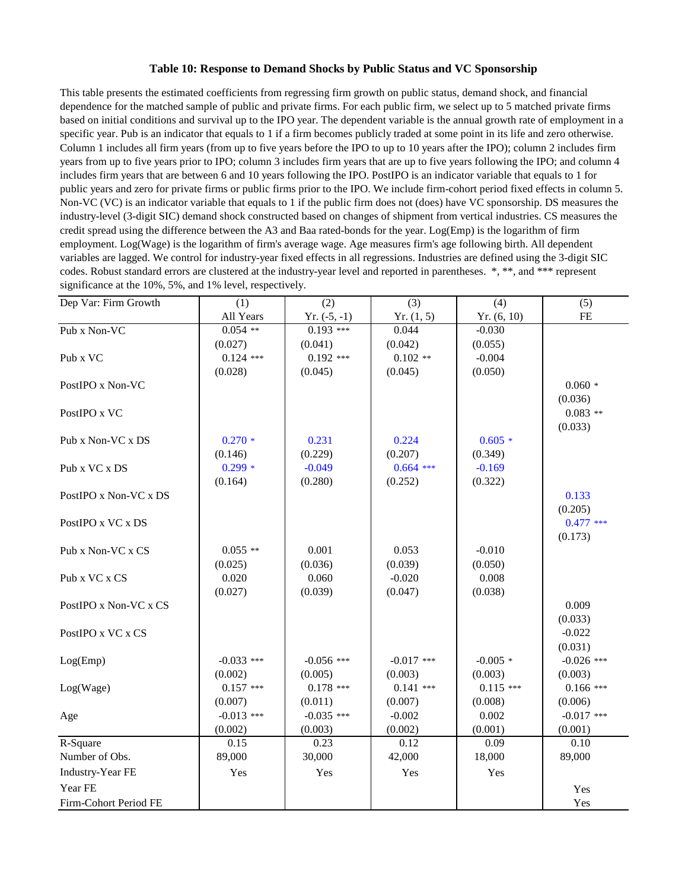#### **Table 10: Response to Demand Shocks by Public Status and VC Sponsorship**

This table presents the estimated coefficients from regressing firm growth on public status, demand shock, and financial dependence for the matched sample of public and private firms. For each public firm, we select up to 5 matched private firms based on initial conditions and survival up to the IPO year. The dependent variable is the annual growth rate of employment in a specific year. Pub is an indicator that equals to 1 if a firm becomes publicly traded at some point in its life and zero otherwise. Column 1 includes all firm years (from up to five years before the IPO to up to 10 years after the IPO); column 2 includes firm years from up to five years prior to IPO; column 3 includes firm years that are up to five years following the IPO; and column 4 includes firm years that are between 6 and 10 years following the IPO. PostIPO is an indicator variable that equals to 1 for public years and zero for private firms or public firms prior to the IPO. We include firm-cohort period fixed effects in column 5. Non-VC (VC) is an indicator variable that equals to 1 if the public firm does not (does) have VC sponsorship. DS measures the industry-level (3-digit SIC) demand shock constructed based on changes of shipment from vertical industries. CS measures the credit spread using the difference between the A3 and Baa rated-bonds for the year. Log(Emp) is the logarithm of firm employment. Log(Wage) is the logarithm of firm's average wage. Age measures firm's age following birth. All dependent variables are lagged. We control for industry-year fixed effects in all regressions. Industries are defined using the 3-digit SIC codes. Robust standard errors are clustered at the industry-year level and reported in parentheses. \*, \*\*, and \*\*\* represent significance at the 10%, 5%, and 1% level, respectively.

| Dep Var: Firm Growth  | (1)                    | (2)                    | (3)                    | (4)                    | (5)                    |
|-----------------------|------------------------|------------------------|------------------------|------------------------|------------------------|
|                       | All Years              | $Yr. (-5, -1)$         | Yr. (1, 5)             | Yr. (6, 10)            | <b>FE</b>              |
| Pub x Non-VC          | $0.054$ **             | $0.193$ ***            | 0.044                  | $-0.030$               |                        |
|                       | (0.027)                | (0.041)                | (0.042)                | (0.055)                |                        |
| Pub x VC              | $0.124$ ***            | $0.192$ ***            | $0.102**$              | $-0.004$               |                        |
|                       | (0.028)                | (0.045)                | (0.045)                | (0.050)                |                        |
| PostIPO x Non-VC      |                        |                        |                        |                        | $0.060*$               |
|                       |                        |                        |                        |                        | (0.036)                |
| PostIPO x VC          |                        |                        |                        |                        | $0.083**$              |
|                       |                        |                        |                        |                        | (0.033)                |
| Pub x Non-VC x DS     | $0.270*$               | 0.231                  | 0.224                  | $0.605*$               |                        |
|                       | (0.146)                | (0.229)                | (0.207)                | (0.349)                |                        |
| Pub x VC x DS         | $0.299*$               | $-0.049$               | $0.664$ ***            | $-0.169$               |                        |
|                       | (0.164)                | (0.280)                | (0.252)                | (0.322)                |                        |
| PostIPO x Non-VC x DS |                        |                        |                        |                        | 0.133                  |
|                       |                        |                        |                        |                        | (0.205)                |
| PostIPO x VC x DS     |                        |                        |                        |                        | $0.477$ ***            |
|                       |                        |                        |                        |                        | (0.173)                |
| Pub x Non-VC x CS     | $0.055$ **             | 0.001                  | 0.053                  | $-0.010$               |                        |
|                       | (0.025)                | (0.036)                | (0.039)                | (0.050)                |                        |
| Pub x VC x CS         | 0.020                  | 0.060                  | $-0.020$               | 0.008                  |                        |
|                       | (0.027)                | (0.039)                | (0.047)                | (0.038)                |                        |
| PostIPO x Non-VC x CS |                        |                        |                        |                        | 0.009                  |
|                       |                        |                        |                        |                        | (0.033)                |
| PostIPO x VC x CS     |                        |                        |                        |                        | $-0.022$               |
|                       |                        |                        |                        |                        | (0.031)                |
| Log(Emp)              | $-0.033$ ***           | $-0.056$ ***           | $-0.017$ ***           | $-0.005$ *             | $-0.026$ ***           |
|                       | (0.002)<br>$0.157$ *** | (0.005)<br>$0.178$ *** | (0.003)<br>$0.141$ *** | (0.003)<br>$0.115$ *** | (0.003)<br>$0.166$ *** |
| Log(Wage)             | (0.007)                | (0.011)                | (0.007)                |                        | (0.006)                |
|                       | $-0.013$ ***           | $-0.035$ ***           | $-0.002$               | (0.008)<br>0.002       | $-0.017$ ***           |
| Age                   | (0.002)                | (0.003)                | (0.002)                | (0.001)                | (0.001)                |
| R-Square              | 0.15                   | 0.23                   | 0.12                   | 0.09                   | 0.10                   |
| Number of Obs.        | 89,000                 | 30,000                 | 42,000                 | 18,000                 | 89,000                 |
|                       |                        |                        |                        |                        |                        |
| Industry-Year FE      | Yes                    | Yes                    | Yes                    | Yes                    |                        |
| Year FE               |                        |                        |                        |                        | Yes                    |
| Firm-Cohort Period FE |                        |                        |                        |                        | Yes                    |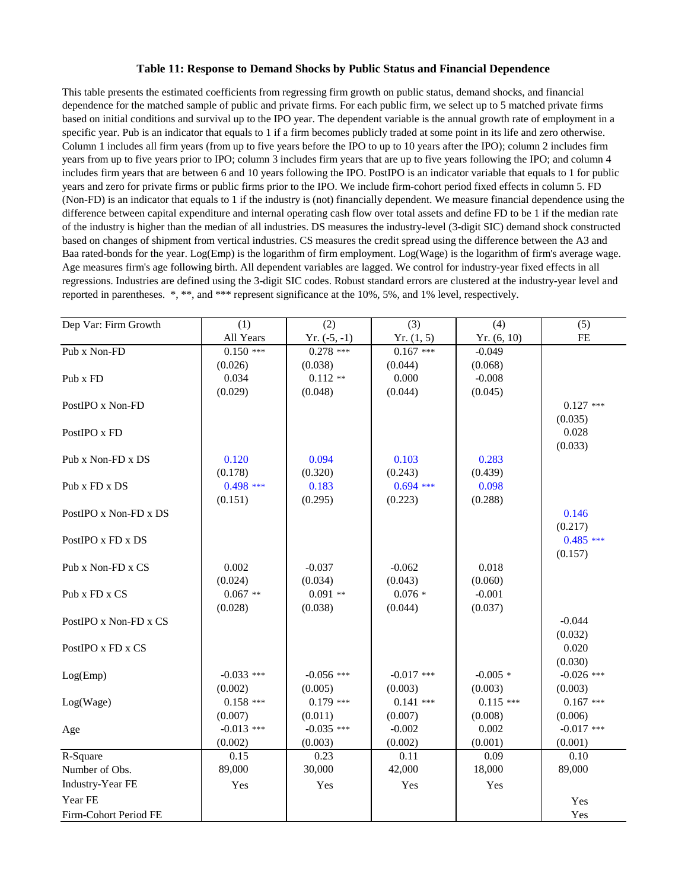#### **Table 11: Response to Demand Shocks by Public Status and Financial Dependence**

This table presents the estimated coefficients from regressing firm growth on public status, demand shocks, and financial dependence for the matched sample of public and private firms. For each public firm, we select up to 5 matched private firms based on initial conditions and survival up to the IPO year. The dependent variable is the annual growth rate of employment in a specific year. Pub is an indicator that equals to 1 if a firm becomes publicly traded at some point in its life and zero otherwise. Column 1 includes all firm years (from up to five years before the IPO to up to 10 years after the IPO); column 2 includes firm years from up to five years prior to IPO; column 3 includes firm years that are up to five years following the IPO; and column 4 includes firm years that are between 6 and 10 years following the IPO. PostIPO is an indicator variable that equals to 1 for public years and zero for private firms or public firms prior to the IPO. We include firm-cohort period fixed effects in column 5. FD (Non-FD) is an indicator that equals to 1 if the industry is (not) financially dependent. We measure financial dependence using the difference between capital expenditure and internal operating cash flow over total assets and define FD to be 1 if the median rate of the industry is higher than the median of all industries. DS measures the industry-level (3-digit SIC) demand shock constructed based on changes of shipment from vertical industries. CS measures the credit spread using the difference between the A3 and Baa rated-bonds for the year. Log(Emp) is the logarithm of firm employment. Log(Wage) is the logarithm of firm's average wage. Age measures firm's age following birth. All dependent variables are lagged. We control for industry-year fixed effects in all regressions. Industries are defined using the 3-digit SIC codes. Robust standard errors are clustered at the industry-year level and reported in parentheses. \*, \*\*, and \*\*\* represent significance at the 10%, 5%, and 1% level, respectively.

| (1)         | (2)                                                                                                                                                                                       | (3)                                                                                                                                                                         | (4)                                                                                                                                                                                    | (5)                                                                                                                                                                      |
|-------------|-------------------------------------------------------------------------------------------------------------------------------------------------------------------------------------------|-----------------------------------------------------------------------------------------------------------------------------------------------------------------------------|----------------------------------------------------------------------------------------------------------------------------------------------------------------------------------------|--------------------------------------------------------------------------------------------------------------------------------------------------------------------------|
| All Years   | $Yr. (-5, -1)$                                                                                                                                                                            | Yr. (1, 5)                                                                                                                                                                  | Yr. (6, 10)                                                                                                                                                                            | <b>FE</b>                                                                                                                                                                |
| $0.150$ *** | $0.278$ ***                                                                                                                                                                               | $0.167$ ***                                                                                                                                                                 | $-0.049$                                                                                                                                                                               |                                                                                                                                                                          |
| (0.026)     | (0.038)                                                                                                                                                                                   | (0.044)                                                                                                                                                                     | (0.068)                                                                                                                                                                                |                                                                                                                                                                          |
| 0.034       | $0.112**$                                                                                                                                                                                 | 0.000                                                                                                                                                                       | $-0.008$                                                                                                                                                                               |                                                                                                                                                                          |
| (0.029)     | (0.048)                                                                                                                                                                                   | (0.044)                                                                                                                                                                     | (0.045)                                                                                                                                                                                |                                                                                                                                                                          |
|             |                                                                                                                                                                                           |                                                                                                                                                                             |                                                                                                                                                                                        | $0.127$ ***                                                                                                                                                              |
|             |                                                                                                                                                                                           |                                                                                                                                                                             |                                                                                                                                                                                        | (0.035)                                                                                                                                                                  |
|             |                                                                                                                                                                                           |                                                                                                                                                                             |                                                                                                                                                                                        | 0.028                                                                                                                                                                    |
|             |                                                                                                                                                                                           |                                                                                                                                                                             |                                                                                                                                                                                        | (0.033)                                                                                                                                                                  |
|             |                                                                                                                                                                                           |                                                                                                                                                                             |                                                                                                                                                                                        |                                                                                                                                                                          |
|             |                                                                                                                                                                                           |                                                                                                                                                                             |                                                                                                                                                                                        |                                                                                                                                                                          |
|             |                                                                                                                                                                                           |                                                                                                                                                                             |                                                                                                                                                                                        |                                                                                                                                                                          |
|             |                                                                                                                                                                                           |                                                                                                                                                                             |                                                                                                                                                                                        |                                                                                                                                                                          |
|             |                                                                                                                                                                                           |                                                                                                                                                                             |                                                                                                                                                                                        | 0.146                                                                                                                                                                    |
|             |                                                                                                                                                                                           |                                                                                                                                                                             |                                                                                                                                                                                        | (0.217)                                                                                                                                                                  |
|             |                                                                                                                                                                                           |                                                                                                                                                                             |                                                                                                                                                                                        | $0.485***$                                                                                                                                                               |
|             |                                                                                                                                                                                           |                                                                                                                                                                             |                                                                                                                                                                                        | (0.157)                                                                                                                                                                  |
|             |                                                                                                                                                                                           |                                                                                                                                                                             |                                                                                                                                                                                        |                                                                                                                                                                          |
|             |                                                                                                                                                                                           |                                                                                                                                                                             |                                                                                                                                                                                        |                                                                                                                                                                          |
|             |                                                                                                                                                                                           |                                                                                                                                                                             |                                                                                                                                                                                        |                                                                                                                                                                          |
|             |                                                                                                                                                                                           |                                                                                                                                                                             |                                                                                                                                                                                        |                                                                                                                                                                          |
|             |                                                                                                                                                                                           |                                                                                                                                                                             |                                                                                                                                                                                        | $-0.044$                                                                                                                                                                 |
|             |                                                                                                                                                                                           |                                                                                                                                                                             |                                                                                                                                                                                        | (0.032)<br>0.020                                                                                                                                                         |
|             |                                                                                                                                                                                           |                                                                                                                                                                             |                                                                                                                                                                                        | (0.030)                                                                                                                                                                  |
|             |                                                                                                                                                                                           |                                                                                                                                                                             |                                                                                                                                                                                        | $-0.026$ ***                                                                                                                                                             |
|             |                                                                                                                                                                                           |                                                                                                                                                                             |                                                                                                                                                                                        | (0.003)                                                                                                                                                                  |
|             |                                                                                                                                                                                           |                                                                                                                                                                             |                                                                                                                                                                                        | $0.167$ ***                                                                                                                                                              |
|             |                                                                                                                                                                                           |                                                                                                                                                                             |                                                                                                                                                                                        | (0.006)                                                                                                                                                                  |
|             |                                                                                                                                                                                           |                                                                                                                                                                             |                                                                                                                                                                                        | $-0.017$ ***                                                                                                                                                             |
|             |                                                                                                                                                                                           |                                                                                                                                                                             |                                                                                                                                                                                        | (0.001)                                                                                                                                                                  |
|             |                                                                                                                                                                                           |                                                                                                                                                                             |                                                                                                                                                                                        | 0.10                                                                                                                                                                     |
|             | 30,000                                                                                                                                                                                    |                                                                                                                                                                             |                                                                                                                                                                                        | 89,000                                                                                                                                                                   |
| Yes         | Yes                                                                                                                                                                                       | Yes                                                                                                                                                                         | Yes                                                                                                                                                                                    |                                                                                                                                                                          |
|             |                                                                                                                                                                                           |                                                                                                                                                                             |                                                                                                                                                                                        | Yes                                                                                                                                                                      |
|             |                                                                                                                                                                                           |                                                                                                                                                                             |                                                                                                                                                                                        | Yes                                                                                                                                                                      |
|             | 0.120<br>(0.178)<br>$0.498$ ***<br>(0.151)<br>0.002<br>(0.024)<br>$0.067$ **<br>(0.028)<br>$-0.033$ ***<br>(0.002)<br>$0.158$ ***<br>(0.007)<br>$-0.013$ ***<br>(0.002)<br>0.15<br>89,000 | 0.094<br>(0.320)<br>0.183<br>(0.295)<br>$-0.037$<br>(0.034)<br>$0.091**$<br>(0.038)<br>$-0.056$ ***<br>(0.005)<br>$0.179$ ***<br>(0.011)<br>$-0.035$ ***<br>(0.003)<br>0.23 | 0.103<br>(0.243)<br>$0.694$ ***<br>(0.223)<br>$-0.062$<br>(0.043)<br>$0.076*$<br>(0.044)<br>$-0.017$ ***<br>(0.003)<br>$0.141$ ***<br>(0.007)<br>$-0.002$<br>(0.002)<br>0.11<br>42,000 | 0.283<br>(0.439)<br>0.098<br>(0.288)<br>0.018<br>(0.060)<br>$-0.001$<br>(0.037)<br>$-0.005$ *<br>(0.003)<br>$0.115$ ***<br>(0.008)<br>0.002<br>(0.001)<br>0.09<br>18,000 |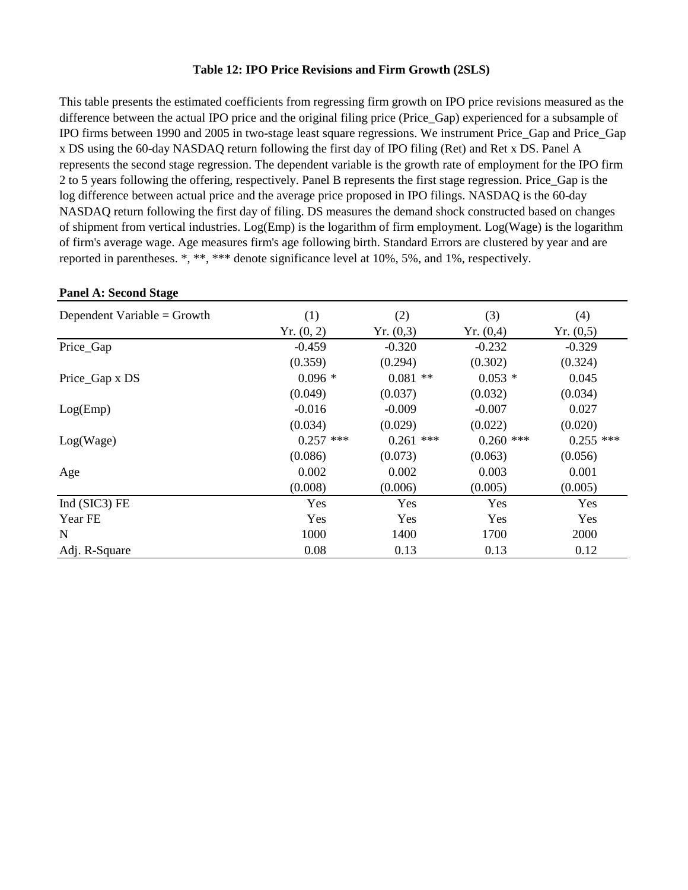# **Table 12: IPO Price Revisions and Firm Growth (2SLS)**

This table presents the estimated coefficients from regressing firm growth on IPO price revisions measured as the difference between the actual IPO price and the original filing price (Price\_Gap) experienced for a subsample of IPO firms between 1990 and 2005 in two-stage least square regressions. We instrument Price\_Gap and Price\_Gap x DS using the 60-day NASDAQ return following the first day of IPO filing (Ret) and Ret x DS. Panel A represents the second stage regression. The dependent variable is the growth rate of employment for the IPO firm 2 to 5 years following the offering, respectively. Panel B represents the first stage regression. Price\_Gap is the log difference between actual price and the average price proposed in IPO filings. NASDAQ is the 60-day NASDAQ return following the first day of filing. DS measures the demand shock constructed based on changes of shipment from vertical industries. Log(Emp) is the logarithm of firm employment. Log(Wage) is the logarithm of firm's average wage. Age measures firm's age following birth. Standard Errors are clustered by year and are reported in parentheses. \*, \*\*, \*\*\* denote significance level at 10%, 5%, and 1%, respectively.

| Dependent Variable = $G$ rowth | (1)         | (2)         | (3)         | (4)<br>Yr. (0,5) |  |
|--------------------------------|-------------|-------------|-------------|------------------|--|
|                                | Yr. (0, 2)  | Yr. (0,3)   | Yr. (0,4)   |                  |  |
| Price_Gap                      | $-0.459$    | $-0.320$    | $-0.232$    | $-0.329$         |  |
|                                | (0.359)     | (0.294)     | (0.302)     | (0.324)          |  |
| Price_Gap x DS                 | $0.096*$    | $0.081$ **  | $0.053*$    | 0.045            |  |
|                                | (0.049)     | (0.037)     | (0.032)     | (0.034)          |  |
| Log(Emp)                       | $-0.016$    | $-0.009$    | $-0.007$    | 0.027            |  |
|                                | (0.034)     | (0.029)     | (0.022)     | (0.020)          |  |
| Log(Wage)                      | $0.257$ *** | $0.261$ *** | $0.260$ *** | $0.255$ ***      |  |
|                                | (0.086)     | (0.073)     | (0.063)     | (0.056)          |  |
| Age                            | 0.002       | 0.002       | 0.003       | 0.001            |  |
|                                | (0.008)     | (0.006)     | (0.005)     | (0.005)          |  |
| Ind (SIC3) FE                  | Yes         | Yes         | Yes         | Yes              |  |
| Year FE                        | Yes         | Yes         | Yes         | Yes              |  |
| N                              | 1000        | 1400        | 1700        | 2000             |  |
| Adj. R-Square                  | 0.08        | 0.13        | 0.13        | 0.12             |  |

### **Panel A: Second Stage**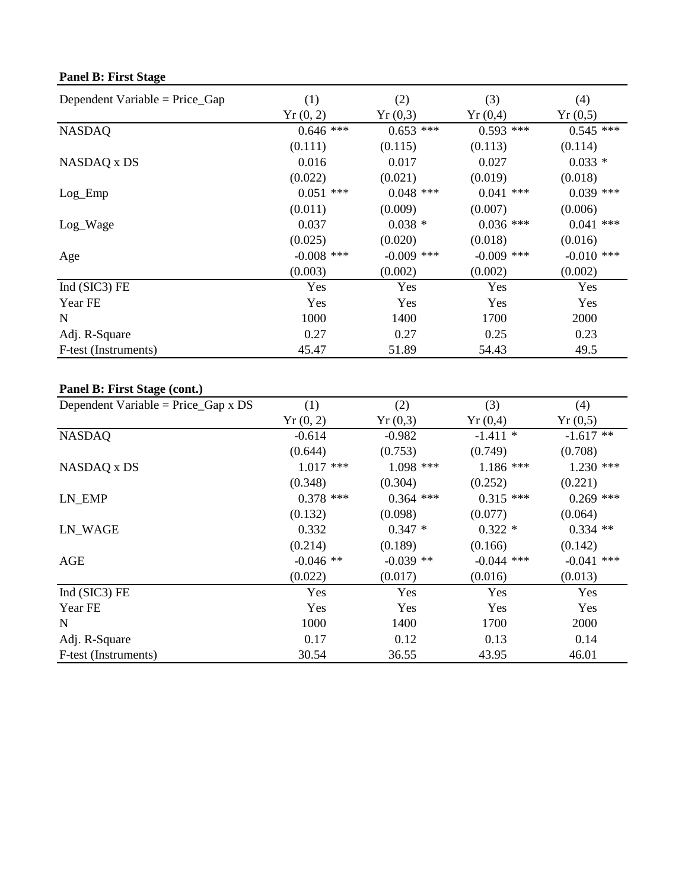# **Panel B: First Stage**

| Dependent Variable = $Price_Gap$ | (1)          | (2)          | (3)          | (4)          |  |
|----------------------------------|--------------|--------------|--------------|--------------|--|
|                                  | Yr(0, 2)     | Yr(0,3)      | Yr(0,4)      | Yr(0,5)      |  |
| <b>NASDAQ</b>                    | $0.646$ ***  | $0.653$ ***  | $0.593$ ***  | $0.545$ ***  |  |
|                                  | (0.111)      | (0.115)      | (0.113)      | (0.114)      |  |
| NASDAQ x DS                      | 0.016        | 0.017        | 0.027        | $0.033*$     |  |
|                                  | (0.022)      | (0.021)      | (0.019)      | (0.018)      |  |
| $Log_{\text{Emp}}$               | $0.051$ ***  | $0.048$ ***  | $0.041$ ***  | $0.039$ ***  |  |
|                                  | (0.011)      | (0.009)      | (0.007)      | (0.006)      |  |
| Log_Wage                         | 0.037        | $0.038 *$    | $0.036$ ***  | $0.041$ ***  |  |
|                                  | (0.025)      | (0.020)      | (0.018)      | (0.016)      |  |
| Age                              | $-0.008$ *** | $-0.009$ *** | $-0.009$ *** | $-0.010$ *** |  |
|                                  | (0.003)      | (0.002)      | (0.002)      | (0.002)      |  |
| Ind (SIC3) FE                    | Yes          | Yes          | Yes          | Yes          |  |
| Year FE                          | Yes          | Yes          | Yes          | Yes          |  |
| N                                | 1000         | 1400         | 1700         | 2000         |  |
| Adj. R-Square                    | 0.27         | 0.27         | 0.25         | 0.23         |  |
| F-test (Instruments)             | 45.47        | 51.89        | 54.43        | 49.5         |  |

# **Panel B: First Stage (cont.)**

| Dependent Variable = $Price_Gap \times DS$ | (1)         | (2)         | (3)          | (4)          |  |
|--------------------------------------------|-------------|-------------|--------------|--------------|--|
|                                            | Yr(0, 2)    | Yr(0,3)     | Yr(0,4)      | Yr(0,5)      |  |
| <b>NASDAQ</b>                              | $-0.614$    | $-0.982$    | $-1.411*$    | $-1.617**$   |  |
|                                            | (0.644)     | (0.753)     | (0.749)      | (0.708)      |  |
| NASDAQ x DS                                | $1.017$ *** | $1.098$ *** | $1.186$ ***  | $1.230$ ***  |  |
|                                            | (0.348)     | (0.304)     | (0.252)      | (0.221)      |  |
| LN_EMP                                     | $0.378$ *** | $0.364$ *** | $0.315$ ***  | $0.269$ ***  |  |
|                                            | (0.132)     | (0.098)     | (0.077)      | (0.064)      |  |
| LN_WAGE                                    | 0.332       | $0.347*$    | $0.322*$     | $0.334$ **   |  |
|                                            | (0.214)     | (0.189)     | (0.166)      | (0.142)      |  |
| AGE                                        | $-0.046$ ** | $-0.039$ ** | $-0.044$ *** | $-0.041$ *** |  |
|                                            | (0.022)     | (0.017)     | (0.016)      | (0.013)      |  |
| Ind (SIC3) FE                              | Yes         | Yes         | Yes          | Yes          |  |
| Year FE                                    | Yes         | Yes         | Yes          | Yes          |  |
| N                                          | 1000        | 1400        | 1700         | 2000         |  |
| Adj. R-Square                              | 0.17        | 0.12        | 0.13         | 0.14         |  |
| F-test (Instruments)                       | 30.54       | 36.55       | 43.95        | 46.01        |  |